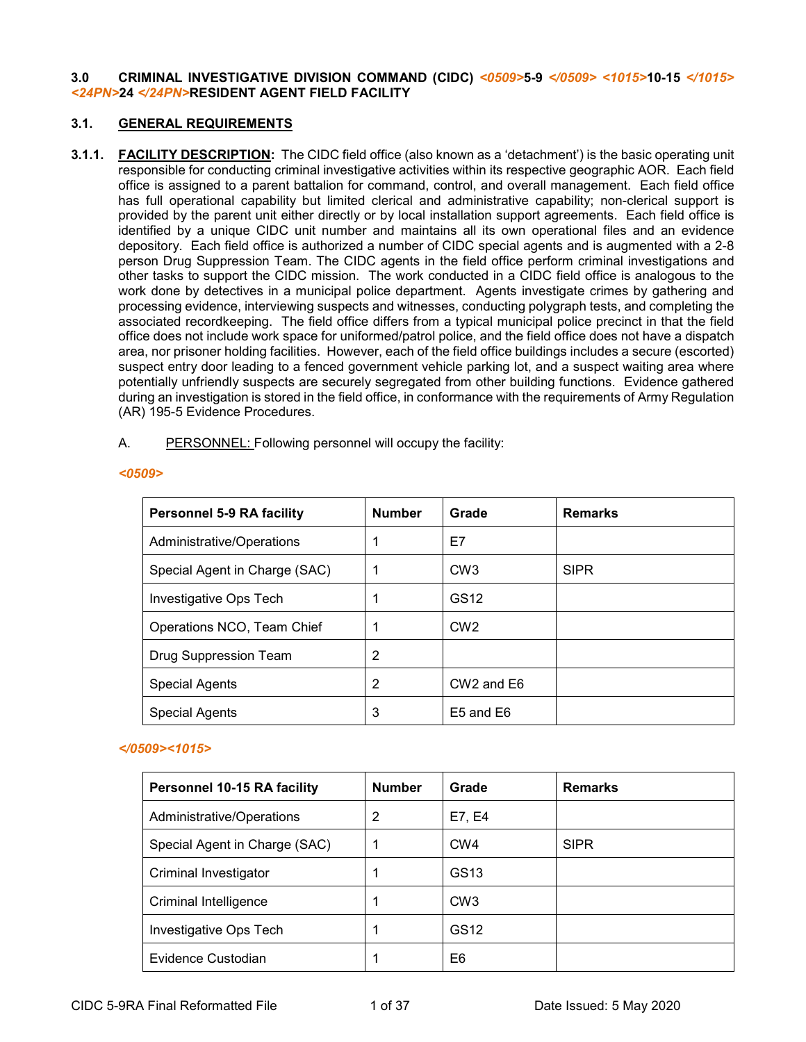#### **3.0 CRIMINAL INVESTIGATIVE DIVISION COMMAND (CIDC)** *<0509>***5-9** *</0509> <1015>***10-15** *</1015> <24PN>***24** *</24PN>***RESIDENT AGENT FIELD FACILITY**

#### **3.1. GENERAL REQUIREMENTS**

**3.1.1. FACILITY DESCRIPTION:** The CIDC field office (also known as a 'detachment') is the basic operating unit responsible for conducting criminal investigative activities within its respective geographic AOR. Each field office is assigned to a parent battalion for command, control, and overall management. Each field office has full operational capability but limited clerical and administrative capability; non-clerical support is provided by the parent unit either directly or by local installation support agreements. Each field office is identified by a unique CIDC unit number and maintains all its own operational files and an evidence depository. Each field office is authorized a number of CIDC special agents and is augmented with a 2-8 person Drug Suppression Team. The CIDC agents in the field office perform criminal investigations and other tasks to support the CIDC mission. The work conducted in a CIDC field office is analogous to the work done by detectives in a municipal police department. Agents investigate crimes by gathering and processing evidence, interviewing suspects and witnesses, conducting polygraph tests, and completing the associated recordkeeping. The field office differs from a typical municipal police precinct in that the field office does not include work space for uniformed/patrol police, and the field office does not have a dispatch area, nor prisoner holding facilities. However, each of the field office buildings includes a secure (escorted) suspect entry door leading to a fenced government vehicle parking lot, and a suspect waiting area where potentially unfriendly suspects are securely segregated from other building functions. Evidence gathered during an investigation is stored in the field office, in conformance with the requirements of Army Regulation (AR) 195-5 Evidence Procedures.

#### A. PERSONNEL: Following personnel will occupy the facility:

| <b>Personnel 5-9 RA facility</b> | <b>Number</b> | Grade                              | <b>Remarks</b> |
|----------------------------------|---------------|------------------------------------|----------------|
| Administrative/Operations        |               | E7                                 |                |
| Special Agent in Charge (SAC)    |               | CW <sub>3</sub>                    | <b>SIPR</b>    |
| Investigative Ops Tech           |               | GS12                               |                |
| Operations NCO, Team Chief       |               | CW <sub>2</sub>                    |                |
| Drug Suppression Team            | 2             |                                    |                |
| <b>Special Agents</b>            | 2             | CW <sub>2</sub> and E <sub>6</sub> |                |
| <b>Special Agents</b>            | 3             | E5 and E6                          |                |

#### *<0509>*

### *</0509><1015>*

| <b>Personnel 10-15 RA facility</b> | <b>Number</b> | Grade            | <b>Remarks</b> |
|------------------------------------|---------------|------------------|----------------|
| Administrative/Operations          | 2             | E7, E4           |                |
| Special Agent in Charge (SAC)      |               | CW <sub>4</sub>  | <b>SIPR</b>    |
| <b>Criminal Investigator</b>       |               | GS13             |                |
| Criminal Intelligence              |               | CW <sub>3</sub>  |                |
| Investigative Ops Tech             |               | GS <sub>12</sub> |                |
| Evidence Custodian                 |               | E6               |                |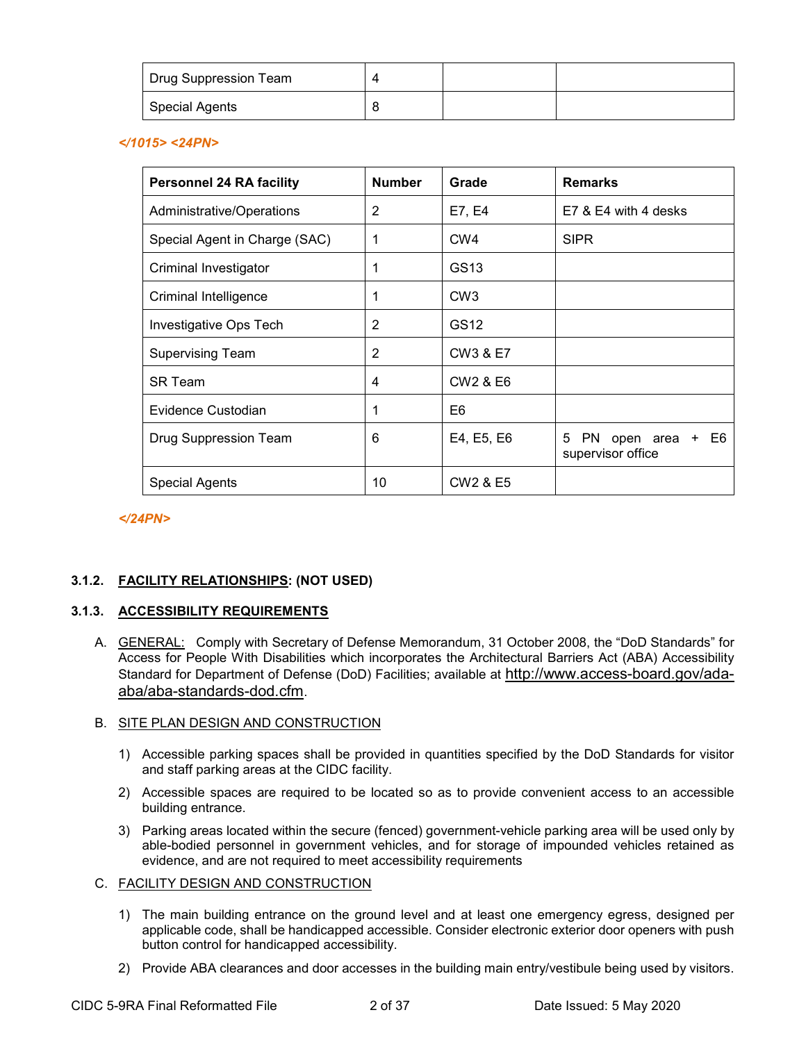| <sup>I</sup> Drug Suppression Team |  |  |
|------------------------------------|--|--|
| <b>Special Agents</b>              |  |  |

*</1015> <24PN>*

| <b>Personnel 24 RA facility</b> | <b>Number</b> | Grade                            | <b>Remarks</b>                                     |
|---------------------------------|---------------|----------------------------------|----------------------------------------------------|
| Administrative/Operations       | 2             | E7, E4                           | E7 & E4 with 4 desks                               |
| Special Agent in Charge (SAC)   | 1             | CW <sub>4</sub>                  | <b>SIPR</b>                                        |
| Criminal Investigator           |               | GS <sub>13</sub>                 |                                                    |
| Criminal Intelligence           |               | CW <sub>3</sub>                  |                                                    |
| Investigative Ops Tech          | 2             | GS12                             |                                                    |
| <b>Supervising Team</b>         | 2             | CW3 & E7                         |                                                    |
| SR Team                         | 4             | CW <sub>2</sub> & E <sub>6</sub> |                                                    |
| Evidence Custodian              | 1             | E6                               |                                                    |
| Drug Suppression Team           | 6             | E4, E5, E6                       | E6<br>5<br>PN.<br>open area +<br>supervisor office |
| <b>Special Agents</b>           | 10            | CW <sub>2</sub> & E <sub>5</sub> |                                                    |

*</24PN>*

# **3.1.2. FACILITY RELATIONSHIPS: (NOT USED)**

### **3.1.3. ACCESSIBILITY REQUIREMENTS**

A. GENERAL: Comply with Secretary of Defense Memorandum, 31 October 2008, the "DoD Standards" for Access for People With Disabilities which incorporates the Architectural Barriers Act (ABA) Accessibility Standard for Department of Defense (DoD) Facilities; available at http://www.access-board.gov/adaaba/aba-standards-dod.cfm.

# B. SITE PLAN DESIGN AND CONSTRUCTION

- 1) Accessible parking spaces shall be provided in quantities specified by the DoD Standards for visitor and staff parking areas at the CIDC facility.
- 2) Accessible spaces are required to be located so as to provide convenient access to an accessible building entrance.
- 3) Parking areas located within the secure (fenced) government-vehicle parking area will be used only by able-bodied personnel in government vehicles, and for storage of impounded vehicles retained as evidence, and are not required to meet accessibility requirements

### C. FACILITY DESIGN AND CONSTRUCTION

- 1) The main building entrance on the ground level and at least one emergency egress, designed per applicable code, shall be handicapped accessible. Consider electronic exterior door openers with push button control for handicapped accessibility.
- 2) Provide ABA clearances and door accesses in the building main entry/vestibule being used by visitors.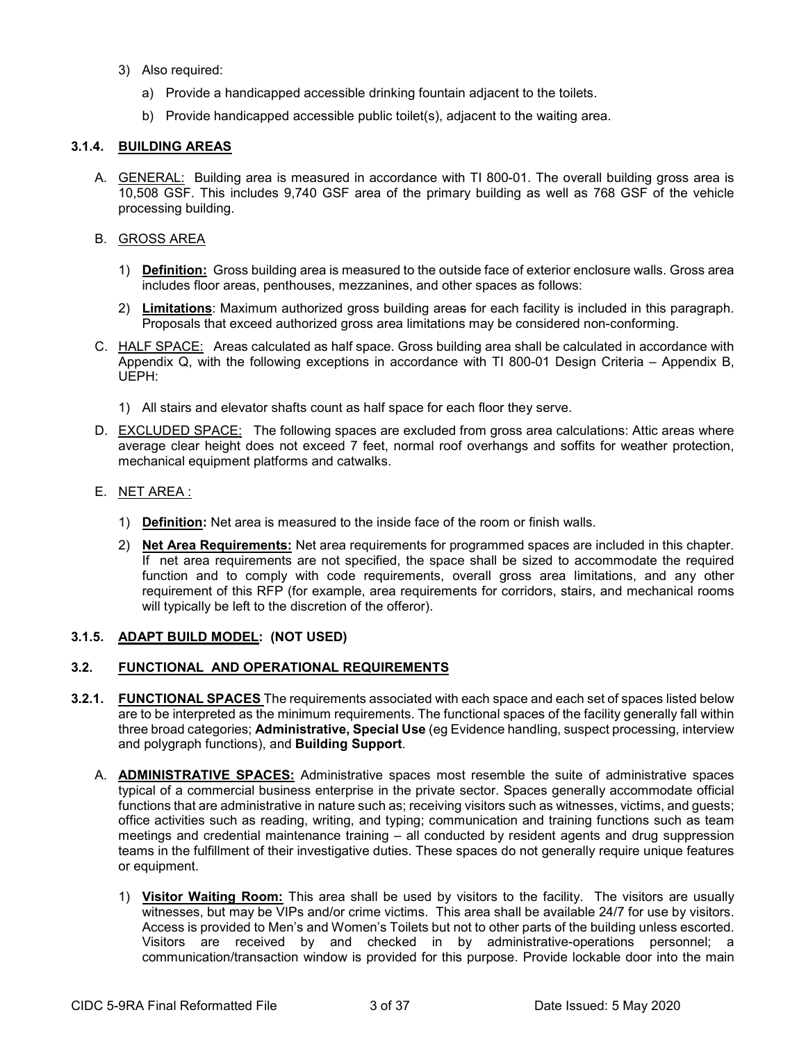- 3) Also required:
	- a) Provide a handicapped accessible drinking fountain adjacent to the toilets.
	- b) Provide handicapped accessible public toilet(s), adjacent to the waiting area.

# **3.1.4. BUILDING AREAS**

A. GENERAL: Building area is measured in accordance with TI 800-01. The overall building gross area is 10,508 GSF. This includes 9,740 GSF area of the primary building as well as 768 GSF of the vehicle processing building.

### B. GROSS AREA

- 1) **Definition:** Gross building area is measured to the outside face of exterior enclosure walls. Gross area includes floor areas, penthouses, mezzanines, and other spaces as follows:
- 2) **Limitations**: Maximum authorized gross building areas for each facility is included in this paragraph. Proposals that exceed authorized gross area limitations may be considered non-conforming.
- C. HALF SPACE: Areas calculated as half space. Gross building area shall be calculated in accordance with Appendix Q, with the following exceptions in accordance with TI 800-01 Design Criteria – Appendix B, UEPH:
	- 1) All stairs and elevator shafts count as half space for each floor they serve.
- D. EXCLUDED SPACE: The following spaces are excluded from gross area calculations: Attic areas where average clear height does not exceed 7 feet, normal roof overhangs and soffits for weather protection, mechanical equipment platforms and catwalks.
- E. NET AREA :
	- 1) **Definition:** Net area is measured to the inside face of the room or finish walls.
	- 2) **Net Area Requirements:** Net area requirements for programmed spaces are included in this chapter. If net area requirements are not specified, the space shall be sized to accommodate the required function and to comply with code requirements, overall gross area limitations, and any other requirement of this RFP (for example, area requirements for corridors, stairs, and mechanical rooms will typically be left to the discretion of the offeror).

# **3.1.5. ADAPT BUILD MODEL: (NOT USED)**

### **3.2. FUNCTIONAL AND OPERATIONAL REQUIREMENTS**

- **3.2.1. FUNCTIONAL SPACES** The requirements associated with each space and each set of spaces listed below are to be interpreted as the minimum requirements. The functional spaces of the facility generally fall within three broad categories; **Administrative, Special Use** (eg Evidence handling, suspect processing, interview and polygraph functions), and **Building Support**.
	- A. **ADMINISTRATIVE SPACES:** Administrative spaces most resemble the suite of administrative spaces typical of a commercial business enterprise in the private sector. Spaces generally accommodate official functions that are administrative in nature such as; receiving visitors such as witnesses, victims, and guests; office activities such as reading, writing, and typing; communication and training functions such as team meetings and credential maintenance training – all conducted by resident agents and drug suppression teams in the fulfillment of their investigative duties. These spaces do not generally require unique features or equipment.
		- 1) **Visitor Waiting Room:** This area shall be used by visitors to the facility. The visitors are usually witnesses, but may be VIPs and/or crime victims. This area shall be available 24/7 for use by visitors. Access is provided to Men's and Women's Toilets but not to other parts of the building unless escorted. Visitors are received by and checked in by administrative-operations personnel; a communication/transaction window is provided for this purpose. Provide lockable door into the main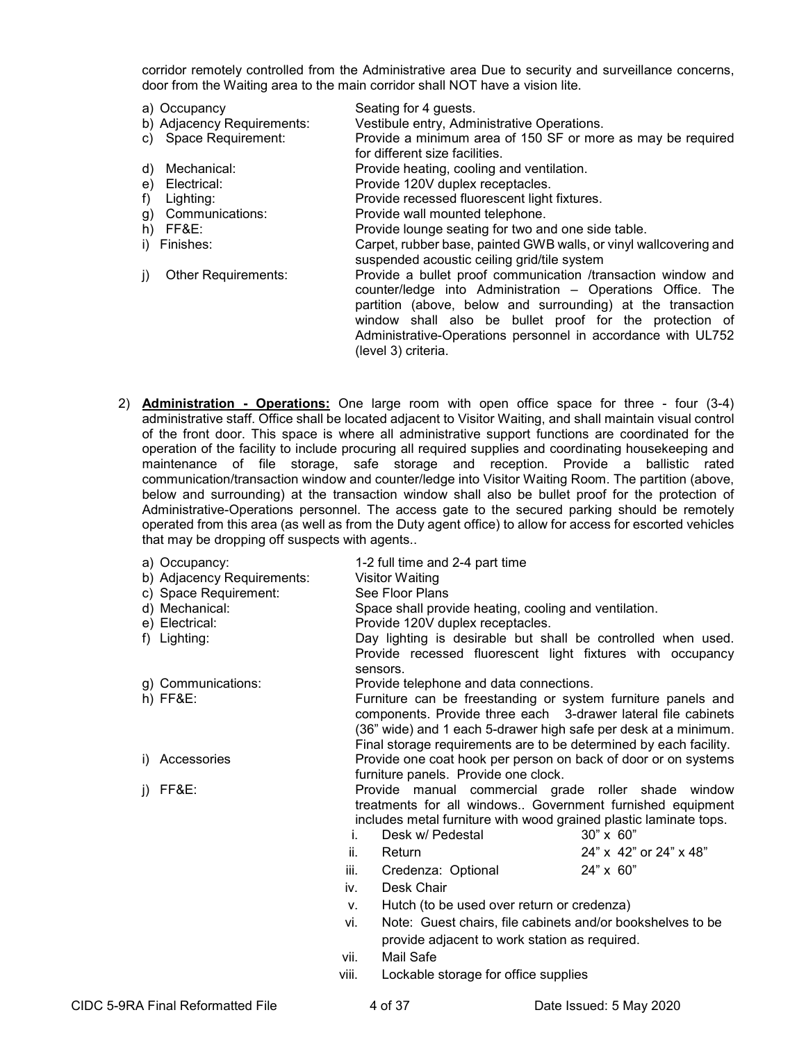corridor remotely controlled from the Administrative area Due to security and surveillance concerns, door from the Waiting area to the main corridor shall NOT have a vision lite.

- a) Occupancy Seating for 4 guests.<br>b) Adjacency Requirements: Vestibule entry, Adm
	- Vestibule entry, Administrative Operations.
- c) Space Requirement: Provide a minimum area of 150 SF or more as may be required for different size facilities.
- d) Mechanical: Provide heating, cooling and ventilation.
- e) Electrical: Provide 120V duplex receptacles.
- 
- 
- 
- 

f) Lighting: **Provide recessed fluorescent light fixtures.**<br>
g) Communications: **Provide wall mounted telephone**.

- g) Communications: Provide wall mounted telephone.<br>
h) FF&E: Provide lounge seating for two ar
- h) FF&E: Provide lounge seating for two and one side table.<br>i) Finishes: Provide table to Carpet, rubber base, painted GWB walls, or vinyl wall Carpet, rubber base, painted GWB walls, or vinyl wallcovering and suspended acoustic ceiling grid/tile system
- j) Other Requirements: Provide a bullet proof communication /transaction window and counter/ledge into Administration – Operations Office. The partition (above, below and surrounding) at the transaction window shall also be bullet proof for the protection of Administrative-Operations personnel in accordance with UL752 (level 3) criteria.
- 2) **Administration - Operations:** One large room with open office space for three four (3-4) administrative staff. Office shall be located adjacent to Visitor Waiting, and shall maintain visual control of the front door. This space is where all administrative support functions are coordinated for the operation of the facility to include procuring all required supplies and coordinating housekeeping and maintenance of file storage, safe storage and reception. Provide a ballistic rated communication/transaction window and counter/ledge into Visitor Waiting Room. The partition (above, below and surrounding) at the transaction window shall also be bullet proof for the protection of Administrative-Operations personnel. The access gate to the secured parking should be remotely operated from this area (as well as from the Duty agent office) to allow for access for escorted vehicles that may be dropping off suspects with agents..

| a) Occupancy:              | 1-2 full time and 2-4 part time                       |                                                                                                                               |
|----------------------------|-------------------------------------------------------|-------------------------------------------------------------------------------------------------------------------------------|
| b) Adjacency Requirements: | Visitor Waiting                                       |                                                                                                                               |
| c) Space Requirement:      | See Floor Plans                                       |                                                                                                                               |
| d) Mechanical:             | Space shall provide heating, cooling and ventilation. |                                                                                                                               |
| e) Electrical:             | Provide 120V duplex receptacles.                      |                                                                                                                               |
| f) Lighting:               |                                                       | Day lighting is desirable but shall be controlled when used.                                                                  |
|                            | sensors.                                              | Provide recessed fluorescent light fixtures with occupancy                                                                    |
| g) Communications:         | Provide telephone and data connections.               |                                                                                                                               |
| $h)$ FF&E:                 |                                                       | Furniture can be freestanding or system furniture panels and<br>components. Provide three each 3-drawer lateral file cabinets |
|                            |                                                       | (36" wide) and 1 each 5-drawer high safe per desk at a minimum.                                                               |
|                            |                                                       | Final storage requirements are to be determined by each facility.                                                             |
| Accessories<br>D.          |                                                       | Provide one coat hook per person on back of door or on systems                                                                |
|                            | furniture panels. Provide one clock.                  |                                                                                                                               |
| FF&E:<br>I)                |                                                       | Provide manual commercial grade roller shade window                                                                           |
|                            |                                                       | treatments for all windows Government furnished equipment                                                                     |
|                            |                                                       | includes metal furniture with wood grained plastic laminate tops.                                                             |
|                            | Desk w/ Pedestal<br>İ.                                | $30" \times 60"$                                                                                                              |
|                            | ii.<br>Return                                         | 24" x 42" or 24" x 48"                                                                                                        |
|                            | Credenza: Optional<br>iii.                            | 24" x 60"                                                                                                                     |
|                            | Desk Chair<br>İV.                                     |                                                                                                                               |
|                            | Hutch (to be used over return or credenza)<br>V.      |                                                                                                                               |
|                            | vi.                                                   | Note: Guest chairs, file cabinets and/or bookshelves to be                                                                    |
|                            | provide adjacent to work station as required.         |                                                                                                                               |
|                            | Mail Safe<br>vii.                                     |                                                                                                                               |
|                            | viii.<br>Lockable storage for office supplies         |                                                                                                                               |

CIDC 5-9RA Final Reformatted File 4 of 37 Date Issued: 5 May 2020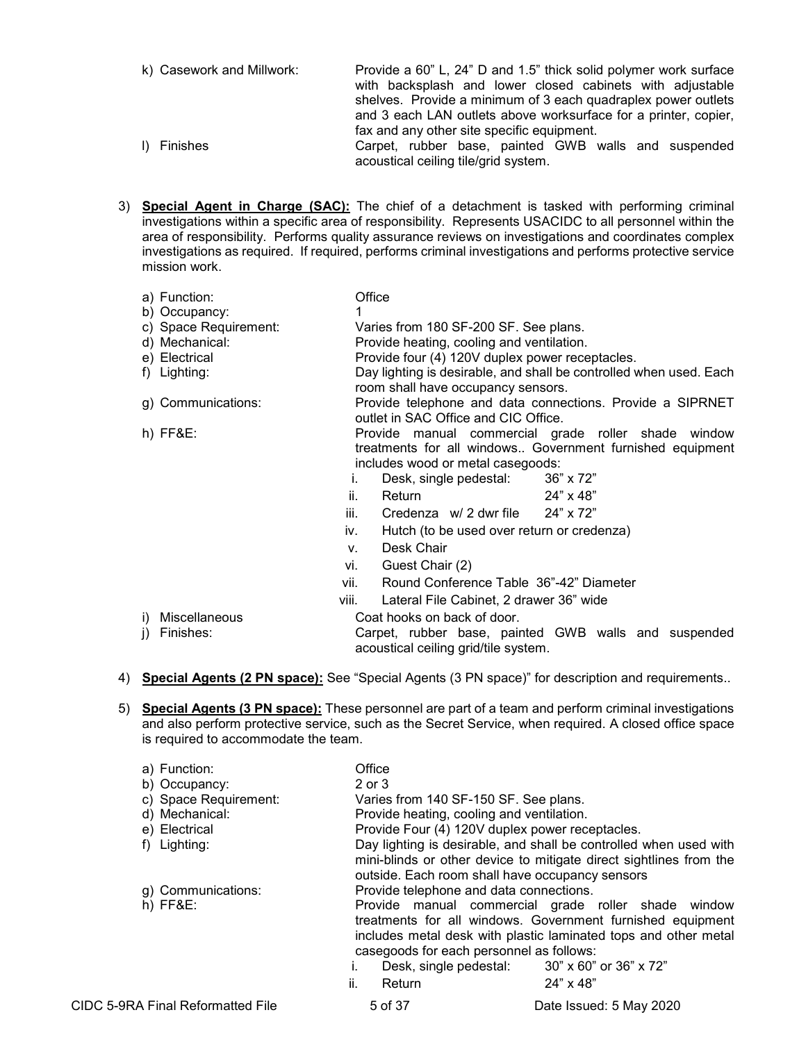- k) Casework and Millwork: Provide a 60" L, 24" D and 1.5" thick solid polymer work surface with backsplash and lower closed cabinets with adjustable shelves. Provide a minimum of 3 each quadraplex power outlets and 3 each LAN outlets above worksurface for a printer, copier, fax and any other site specific equipment. l) Finishes Carpet, rubber base, painted GWB walls and suspended acoustical ceiling tile/grid system.
- 3) **Special Agent in Charge (SAC):** The chief of a detachment is tasked with performing criminal investigations within a specific area of responsibility. Represents USACIDC to all personnel within the area of responsibility. Performs quality assurance reviews on investigations and coordinates complex investigations as required. If required, performs criminal investigations and performs protective service mission work.

|    | a) Function:          | Office |                                                 |                                                                    |
|----|-----------------------|--------|-------------------------------------------------|--------------------------------------------------------------------|
|    | b) Occupancy:         |        |                                                 |                                                                    |
|    | c) Space Requirement: |        | Varies from 180 SF-200 SF. See plans.           |                                                                    |
|    | d) Mechanical:        |        | Provide heating, cooling and ventilation.       |                                                                    |
|    | e) Electrical         |        | Provide four (4) 120V duplex power receptacles. |                                                                    |
|    | f) Lighting:          |        |                                                 | Day lighting is desirable, and shall be controlled when used. Each |
|    |                       |        | room shall have occupancy sensors.              |                                                                    |
|    | g) Communications:    |        |                                                 | Provide telephone and data connections. Provide a SIPRNET          |
|    |                       |        | outlet in SAC Office and CIC Office.            |                                                                    |
|    | $h)$ FF&E:            |        |                                                 | Provide manual commercial grade roller shade window                |
|    |                       |        |                                                 | treatments for all windows Government furnished equipment          |
|    |                       |        | includes wood or metal casegoods:               |                                                                    |
|    |                       | I.     | Desk, single pedestal:                          | 36" x 72"                                                          |
|    |                       | ii.    | Return                                          | 24" x 48"                                                          |
|    |                       | iii.   | Credenza $w/2$ dwr file $24" \times 72"$        |                                                                    |
|    |                       | iv.    | Hutch (to be used over return or credenza)      |                                                                    |
|    |                       | V.     | Desk Chair                                      |                                                                    |
|    |                       | vi.    | Guest Chair (2)                                 |                                                                    |
|    |                       | vii.   | Round Conference Table 36"-42" Diameter         |                                                                    |
|    |                       | viii.  | Lateral File Cabinet, 2 drawer 36" wide         |                                                                    |
|    | i) Miscellaneous      |        | Coat hooks on back of door.                     |                                                                    |
| i) | Finishes:             |        |                                                 | Carpet, rubber base, painted GWB walls and suspended               |
|    |                       |        | acoustical ceiling grid/tile system.            |                                                                    |

- 4) **Special Agents (2 PN space):** See "Special Agents (3 PN space)" for description and requirements..
- 5) **Special Agents (3 PN space):** These personnel are part of a team and perform criminal investigations and also perform protective service, such as the Secret Service, when required. A closed office space is required to accommodate the team.

| a) Function:<br>b) Occupancy:<br>c) Space Requirement:<br>d) Mechanical:<br>e) Electrical<br>f) Lighting: | Office<br>2 or 3<br>Varies from 140 SF-150 SF. See plans.<br>Provide heating, cooling and ventilation.     | Provide Four (4) 120V duplex power receptacles.<br>Day lighting is desirable, and shall be controlled when used with<br>mini-blinds or other device to mitigate direct sightlines from the<br>outside. Each room shall have occupancy sensors      |
|-----------------------------------------------------------------------------------------------------------|------------------------------------------------------------------------------------------------------------|----------------------------------------------------------------------------------------------------------------------------------------------------------------------------------------------------------------------------------------------------|
| g) Communications:<br>$h)$ FF&E:                                                                          | Provide telephone and data connections.<br>casegoods for each personnel as follows:<br>Ι.<br>ii.<br>Return | Provide manual commercial grade roller shade window<br>treatments for all windows. Government furnished equipment<br>includes metal desk with plastic laminated tops and other metal<br>Desk, single pedestal: 30" x 60" or 36" x 72"<br>24" x 48" |
| CIDC 5-9RA Final Reformatted File                                                                         | 5 of 37                                                                                                    | Date Issued: 5 May 2020                                                                                                                                                                                                                            |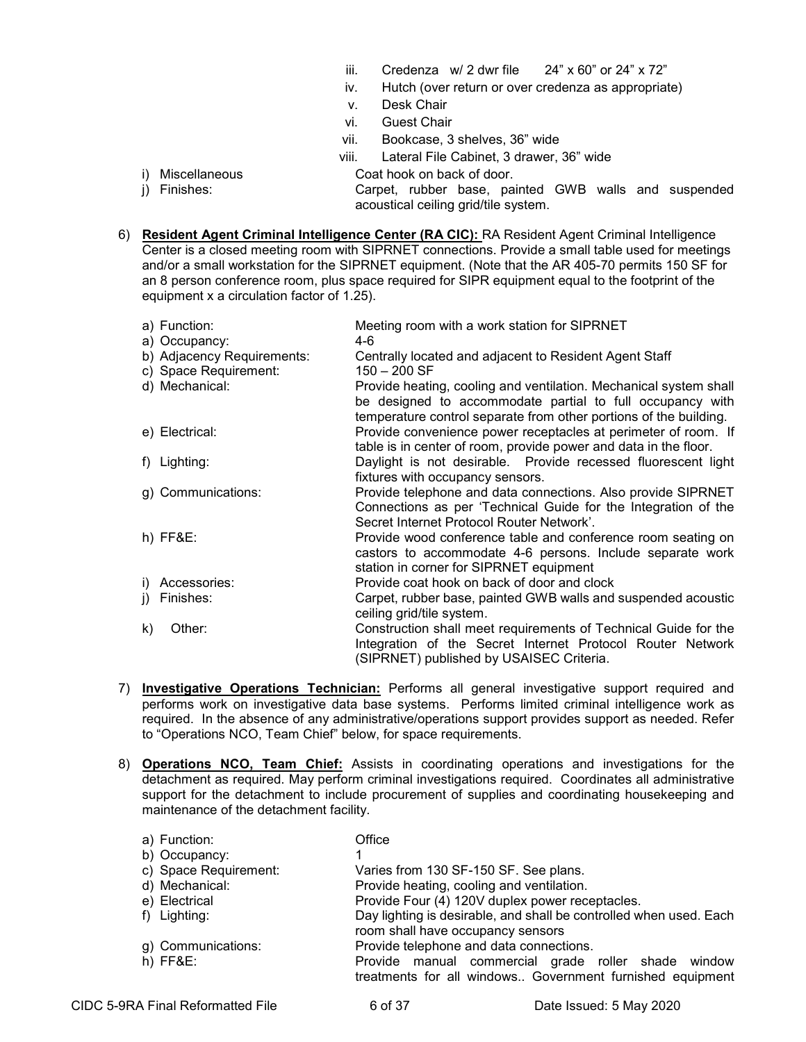- iii. Credenza w/ 2 dwr file  $24" \times 60"$  or 24"  $\times 72"$
- iv. Hutch (over return or over credenza as appropriate)
- v. Desk Chair
- vi. Guest Chair
- vii. Bookcase, 3 shelves, 36" wide
- viii. Lateral File Cabinet, 3 drawer, 36" wide
- i) Miscellaneous Coat hook on back of door.
- j) Finishes: Carpet, rubber base, painted GWB walls and suspended acoustical ceiling grid/tile system.
- 6) **Resident Agent Criminal Intelligence Center (RA CIC):** RA Resident Agent Criminal Intelligence Center is a closed meeting room with SIPRNET connections. Provide a small table used for meetings and/or a small workstation for the SIPRNET equipment. (Note that the AR 405-70 permits 150 SF for an 8 person conference room, plus space required for SIPR equipment equal to the footprint of the equipment x a circulation factor of 1.25).

|    | a) Function:               | Meeting room with a work station for SIPRNET                                                                                                                                                        |
|----|----------------------------|-----------------------------------------------------------------------------------------------------------------------------------------------------------------------------------------------------|
|    | a) Occupancy:              | 4-6                                                                                                                                                                                                 |
|    | b) Adjacency Requirements: | Centrally located and adjacent to Resident Agent Staff                                                                                                                                              |
|    | c) Space Requirement:      | $150 - 200$ SF                                                                                                                                                                                      |
|    | d) Mechanical:             | Provide heating, cooling and ventilation. Mechanical system shall<br>be designed to accommodate partial to full occupancy with<br>temperature control separate from other portions of the building. |
|    | e) Electrical:             | Provide convenience power receptacles at perimeter of room. If<br>table is in center of room, provide power and data in the floor.                                                                  |
|    | f) Lighting:               | Daylight is not desirable. Provide recessed fluorescent light<br>fixtures with occupancy sensors.                                                                                                   |
|    | g) Communications:         | Provide telephone and data connections. Also provide SIPRNET<br>Connections as per 'Technical Guide for the Integration of the<br>Secret Internet Protocol Router Network'.                         |
|    | $h)$ FF&E:                 | Provide wood conference table and conference room seating on<br>castors to accommodate 4-6 persons. Include separate work<br>station in corner for SIPRNET equipment                                |
|    | i) Accessories:            | Provide coat hook on back of door and clock                                                                                                                                                         |
| j) | Finishes:                  | Carpet, rubber base, painted GWB walls and suspended acoustic<br>ceiling grid/tile system.                                                                                                          |
| k) | Other:                     | Construction shall meet requirements of Technical Guide for the<br>Integration of the Secret Internet Protocol Router Network<br>(SIPRNET) published by USAISEC Criteria.                           |

- 7) **Investigative Operations Technician:** Performs all general investigative support required and performs work on investigative data base systems. Performs limited criminal intelligence work as required. In the absence of any administrative/operations support provides support as needed. Refer to "Operations NCO, Team Chief" below, for space requirements.
- 8) **Operations NCO, Team Chief:** Assists in coordinating operations and investigations for the detachment as required. May perform criminal investigations required. Coordinates all administrative support for the detachment to include procurement of supplies and coordinating housekeeping and maintenance of the detachment facility.

| a) Function:          | Office                                                                                                           |
|-----------------------|------------------------------------------------------------------------------------------------------------------|
| b) Occupancy:         |                                                                                                                  |
| c) Space Requirement: | Varies from 130 SF-150 SF. See plans.                                                                            |
| d) Mechanical:        | Provide heating, cooling and ventilation.                                                                        |
| e) Electrical         | Provide Four (4) 120V duplex power receptacles.                                                                  |
| f) Lighting:          | Day lighting is desirable, and shall be controlled when used. Each                                               |
|                       | room shall have occupancy sensors                                                                                |
| g) Communications:    | Provide telephone and data connections.                                                                          |
| $h)$ FF&E:            | Provide manual commercial grade roller shade window<br>treatments for all windows Government furnished equipment |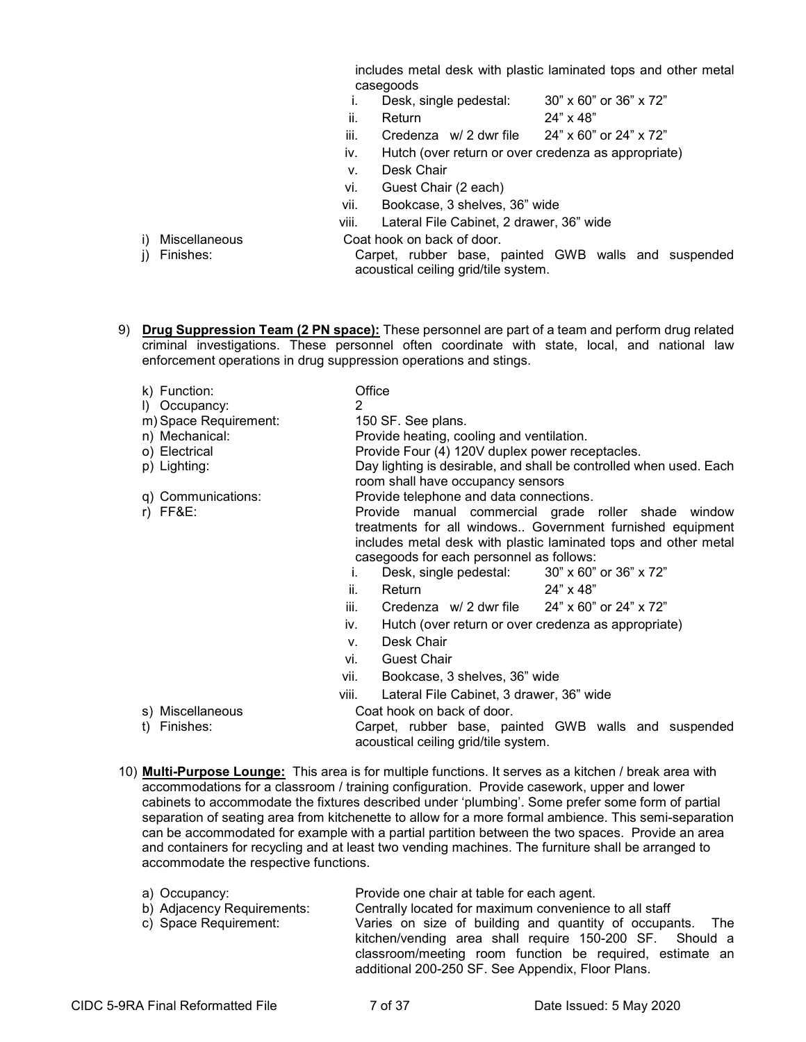includes metal desk with plastic laminated tops and other metal casegoods<br>i. Desk.

- Desk, single pedestal: 30" x 60" or 36" x 72"
- ii. Return  $24" \times 48"$

iii. Credenza w/ 2 dwr file  $24" \times 60"$  or 24"  $\times 72"$ 

- iv. Hutch (over return or over credenza as appropriate)
- v. Desk Chair
- vi. Guest Chair (2 each)
- vii. Bookcase, 3 shelves, 36" wide

viii. Lateral File Cabinet, 2 drawer, 36" wide

- i) Miscellaneous Coat hook on back of door.
- 

j) Finishes: Carpet, rubber base, painted GWB walls and suspended acoustical ceiling grid/tile system.

- 
- 9) **Drug Suppression Team (2 PN space):** These personnel are part of a team and perform drug related criminal investigations. These personnel often coordinate with state, local, and national law enforcement operations in drug suppression operations and stings.

| k) Function:<br>I) Occupancy:<br>m) Space Requirement:<br>n) Mechanical:<br>o) Electrical<br>p) Lighting: | Office<br>2<br>150 SF. See plans.<br>Provide heating, cooling and ventilation.<br>Provide Four (4) 120V duplex power receptacles.<br>Day lighting is desirable, and shall be controlled when used. Each<br>room shall have occupancy sensors |
|-----------------------------------------------------------------------------------------------------------|----------------------------------------------------------------------------------------------------------------------------------------------------------------------------------------------------------------------------------------------|
| q) Communications:<br>$r)$ FF&E:                                                                          | Provide telephone and data connections.<br>Provide manual commercial grade roller shade window<br>treatments for all windows Government furnished equipment<br>includes metal desk with plastic laminated tops and other metal               |
|                                                                                                           | casegoods for each personnel as follows:<br>Desk, single pedestal: 30" x 60" or 36" x 72"<br>Ι.                                                                                                                                              |
|                                                                                                           | ii.<br>24" x 48"<br>Return                                                                                                                                                                                                                   |
|                                                                                                           | iii.<br>Credenza $w/2$ dwr file $24" \times 60"$ or 24" x 72"                                                                                                                                                                                |
|                                                                                                           | Hutch (over return or over credenza as appropriate)<br>İV.                                                                                                                                                                                   |
|                                                                                                           | Desk Chair<br>V.                                                                                                                                                                                                                             |
|                                                                                                           | $O_{\text{track}}$ $O_{\text{halo}}$<br>$\cdots$                                                                                                                                                                                             |

- vi. Guest Chair
- vii. Bookcase, 3 shelves, 36" wide

viii. Lateral File Cabinet, 3 drawer, 36" wide

- s) Miscellaneous Coat hook on back of door.
- 

t) Finishes: Carpet, rubber base, painted GWB walls and suspended acoustical ceiling grid/tile system.

10) **Multi-Purpose Lounge:** This area is for multiple functions. It serves as a kitchen / break area with accommodations for a classroom / training configuration. Provide casework, upper and lower cabinets to accommodate the fixtures described under 'plumbing'. Some prefer some form of partial separation of seating area from kitchenette to allow for a more formal ambience. This semi-separation can be accommodated for example with a partial partition between the two spaces. Provide an area and containers for recycling and at least two vending machines. The furniture shall be arranged to accommodate the respective functions.

| a) Occupancy:              | Provide one chair at table for each agent.                                                                                                                                       |
|----------------------------|----------------------------------------------------------------------------------------------------------------------------------------------------------------------------------|
| b) Adjacency Requirements: | Centrally located for maximum convenience to all staff                                                                                                                           |
| c) Space Requirement:      | Varies on size of building and quantity of occupants. The<br>kitchen/vending area shall require 150-200 SF. Should a<br>classroom/meeting room function be required, estimate an |
|                            | additional 200-250 SF. See Appendix, Floor Plans.                                                                                                                                |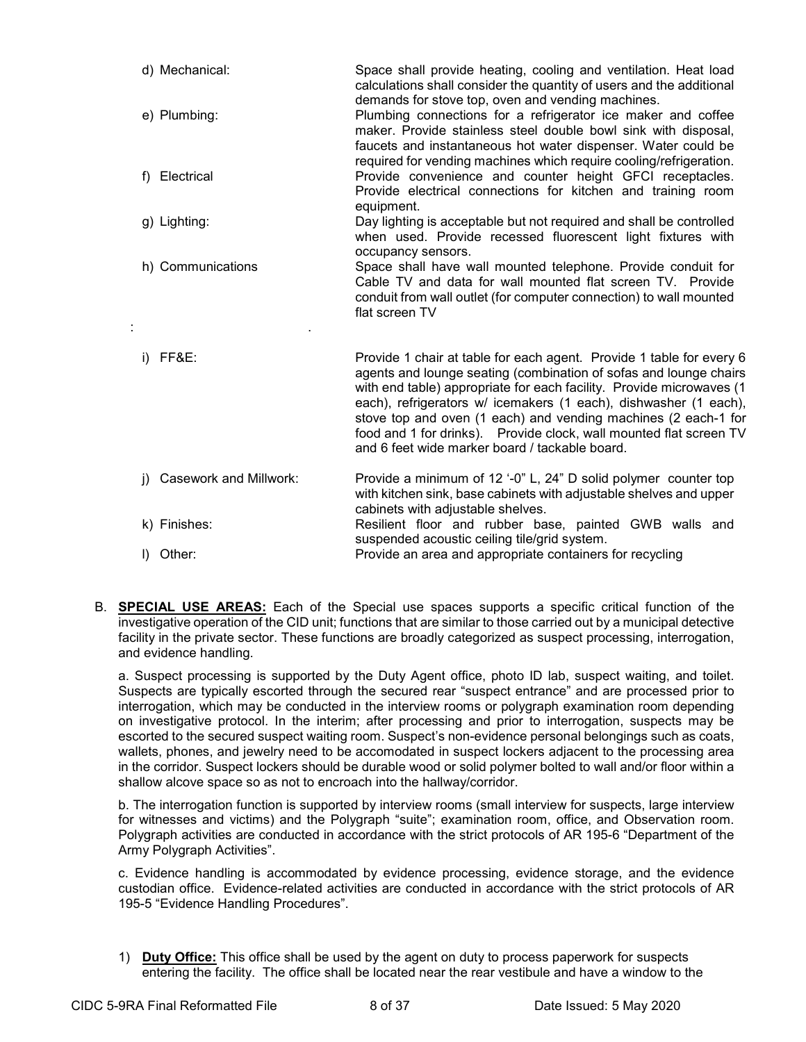| d) Mechanical:               | Space shall provide heating, cooling and ventilation. Heat load<br>calculations shall consider the quantity of users and the additional<br>demands for stove top, oven and vending machines.                                                                                                                                                                                                                                                                                    |
|------------------------------|---------------------------------------------------------------------------------------------------------------------------------------------------------------------------------------------------------------------------------------------------------------------------------------------------------------------------------------------------------------------------------------------------------------------------------------------------------------------------------|
| e) Plumbing:                 | Plumbing connections for a refrigerator ice maker and coffee<br>maker. Provide stainless steel double bowl sink with disposal,<br>faucets and instantaneous hot water dispenser. Water could be                                                                                                                                                                                                                                                                                 |
| f) Electrical                | required for vending machines which require cooling/refrigeration.<br>Provide convenience and counter height GFCI receptacles.<br>Provide electrical connections for kitchen and training room<br>equipment.                                                                                                                                                                                                                                                                    |
| g) Lighting:                 | Day lighting is acceptable but not required and shall be controlled<br>when used. Provide recessed fluorescent light fixtures with<br>occupancy sensors.                                                                                                                                                                                                                                                                                                                        |
| h) Communications            | Space shall have wall mounted telephone. Provide conduit for<br>Cable TV and data for wall mounted flat screen TV. Provide<br>conduit from wall outlet (for computer connection) to wall mounted<br>flat screen TV                                                                                                                                                                                                                                                              |
| FF&E:<br>i)                  | Provide 1 chair at table for each agent. Provide 1 table for every 6<br>agents and lounge seating (combination of sofas and lounge chairs<br>with end table) appropriate for each facility. Provide microwaves (1<br>each), refrigerators w/ icemakers (1 each), dishwasher (1 each),<br>stove top and oven (1 each) and vending machines (2 each-1 for<br>food and 1 for drinks). Provide clock, wall mounted flat screen TV<br>and 6 feet wide marker board / tackable board. |
| Casework and Millwork:<br>i) | Provide a minimum of 12 '-0" L, 24" D solid polymer counter top<br>with kitchen sink, base cabinets with adjustable shelves and upper                                                                                                                                                                                                                                                                                                                                           |
| k) Finishes:                 | cabinets with adjustable shelves.<br>Resilient floor and rubber base, painted GWB walls and<br>suspended acoustic ceiling tile/grid system.                                                                                                                                                                                                                                                                                                                                     |
| Other:<br>I).                | Provide an area and appropriate containers for recycling                                                                                                                                                                                                                                                                                                                                                                                                                        |

B. **SPECIAL USE AREAS:** Each of the Special use spaces supports a specific critical function of the investigative operation of the CID unit; functions that are similar to those carried out by a municipal detective facility in the private sector. These functions are broadly categorized as suspect processing, interrogation, and evidence handling.

a. Suspect processing is supported by the Duty Agent office, photo ID lab, suspect waiting, and toilet. Suspects are typically escorted through the secured rear "suspect entrance" and are processed prior to interrogation, which may be conducted in the interview rooms or polygraph examination room depending on investigative protocol. In the interim; after processing and prior to interrogation, suspects may be escorted to the secured suspect waiting room. Suspect's non-evidence personal belongings such as coats, wallets, phones, and jewelry need to be accomodated in suspect lockers adjacent to the processing area in the corridor. Suspect lockers should be durable wood or solid polymer bolted to wall and/or floor within a shallow alcove space so as not to encroach into the hallway/corridor.

b. The interrogation function is supported by interview rooms (small interview for suspects, large interview for witnesses and victims) and the Polygraph "suite"; examination room, office, and Observation room. Polygraph activities are conducted in accordance with the strict protocols of AR 195-6 "Department of the Army Polygraph Activities".

c. Evidence handling is accommodated by evidence processing, evidence storage, and the evidence custodian office. Evidence-related activities are conducted in accordance with the strict protocols of AR 195-5 "Evidence Handling Procedures".

1) **Duty Office:** This office shall be used by the agent on duty to process paperwork for suspects entering the facility. The office shall be located near the rear vestibule and have a window to the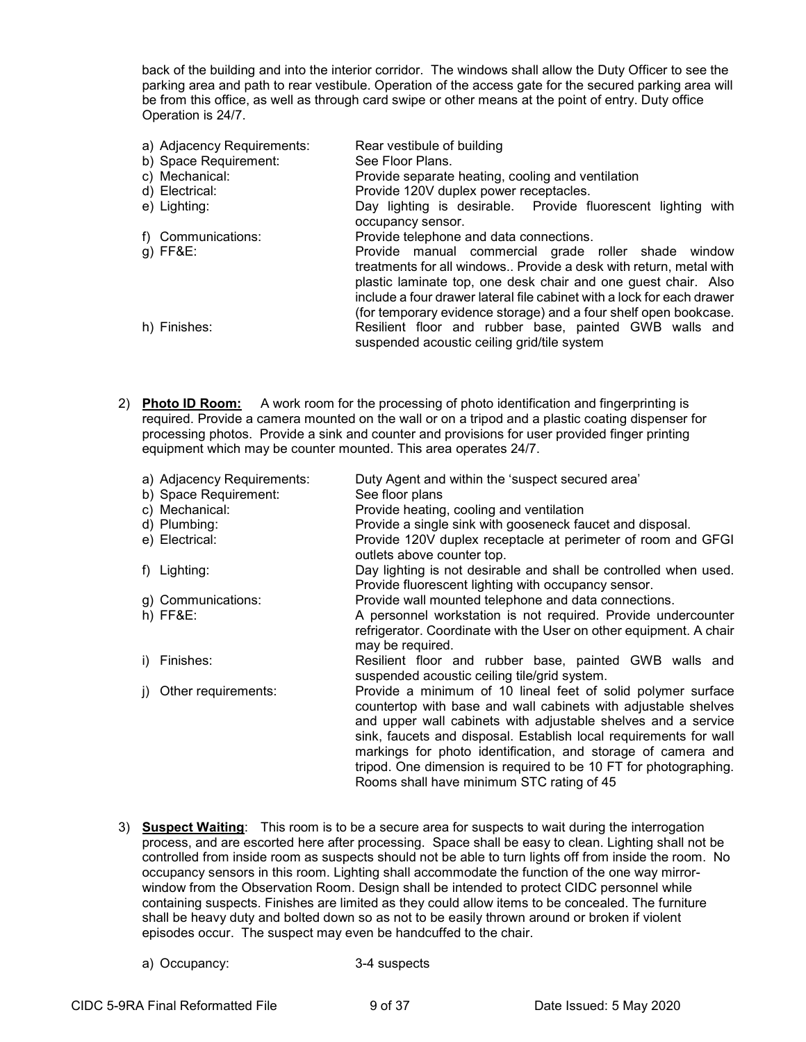back of the building and into the interior corridor. The windows shall allow the Duty Officer to see the parking area and path to rear vestibule. Operation of the access gate for the secured parking area will be from this office, as well as through card swipe or other means at the point of entry. Duty office Operation is 24/7.

- a) Adjacency Requirements: Rear vestibule of building b) Space Requirement: See Floor Plans. c) Mechanical: Provide separate heating, cooling and ventilation d) Electrical: Provide 120V duplex power receptacles. e) Lighting: Day lighting is desirable. Provide fluorescent lighting with occupancy sensor. f) Communications: Provide telephone and data connections. g) FF&E: Provide manual commercial grade roller shade window treatments for all windows.. Provide a desk with return, metal with plastic laminate top, one desk chair and one guest chair. Also include a four drawer lateral file cabinet with a lock for each drawer (for temporary evidence storage) and a four shelf open bookcase. h) Finishes: **Resilient floor and rubber base, painted GWB** walls and suspended acoustic ceiling grid/tile system
- 2) **Photo ID Room:** A work room for the processing of photo identification and fingerprinting is required. Provide a camera mounted on the wall or on a tripod and a plastic coating dispenser for processing photos. Provide a sink and counter and provisions for user provided finger printing equipment which may be counter mounted. This area operates 24/7.

|     | a) Adjacency Requirements:<br>b) Space Requirement: | Duty Agent and within the 'suspect secured area'<br>See floor plans                                                                                                                                                                                                                                                                                                                                                                                   |
|-----|-----------------------------------------------------|-------------------------------------------------------------------------------------------------------------------------------------------------------------------------------------------------------------------------------------------------------------------------------------------------------------------------------------------------------------------------------------------------------------------------------------------------------|
|     | c) Mechanical:                                      | Provide heating, cooling and ventilation                                                                                                                                                                                                                                                                                                                                                                                                              |
|     | d) Plumbing:                                        | Provide a single sink with gooseneck faucet and disposal.                                                                                                                                                                                                                                                                                                                                                                                             |
|     | e) Electrical:                                      | Provide 120V duplex receptacle at perimeter of room and GFGI<br>outlets above counter top.                                                                                                                                                                                                                                                                                                                                                            |
|     | f) Lighting:                                        | Day lighting is not desirable and shall be controlled when used.<br>Provide fluorescent lighting with occupancy sensor.                                                                                                                                                                                                                                                                                                                               |
|     | g) Communications:                                  | Provide wall mounted telephone and data connections.                                                                                                                                                                                                                                                                                                                                                                                                  |
|     | $h)$ FF&E:                                          | A personnel workstation is not required. Provide undercounter<br>refrigerator. Coordinate with the User on other equipment. A chair<br>may be required.                                                                                                                                                                                                                                                                                               |
| i). | Finishes:                                           | Resilient floor and rubber base, painted GWB walls and<br>suspended acoustic ceiling tile/grid system.                                                                                                                                                                                                                                                                                                                                                |
|     | Other requirements:                                 | Provide a minimum of 10 lineal feet of solid polymer surface<br>countertop with base and wall cabinets with adjustable shelves<br>and upper wall cabinets with adjustable shelves and a service<br>sink, faucets and disposal. Establish local requirements for wall<br>markings for photo identification, and storage of camera and<br>tripod. One dimension is required to be 10 FT for photographing.<br>Rooms shall have minimum STC rating of 45 |

- 3) **Suspect Waiting**: This room is to be a secure area for suspects to wait during the interrogation process, and are escorted here after processing. Space shall be easy to clean. Lighting shall not be controlled from inside room as suspects should not be able to turn lights off from inside the room. No occupancy sensors in this room. Lighting shall accommodate the function of the one way mirrorwindow from the Observation Room. Design shall be intended to protect CIDC personnel while containing suspects. Finishes are limited as they could allow items to be concealed. The furniture shall be heavy duty and bolted down so as not to be easily thrown around or broken if violent episodes occur. The suspect may even be handcuffed to the chair.
	- a) Occupancy: 3-4 suspects
		-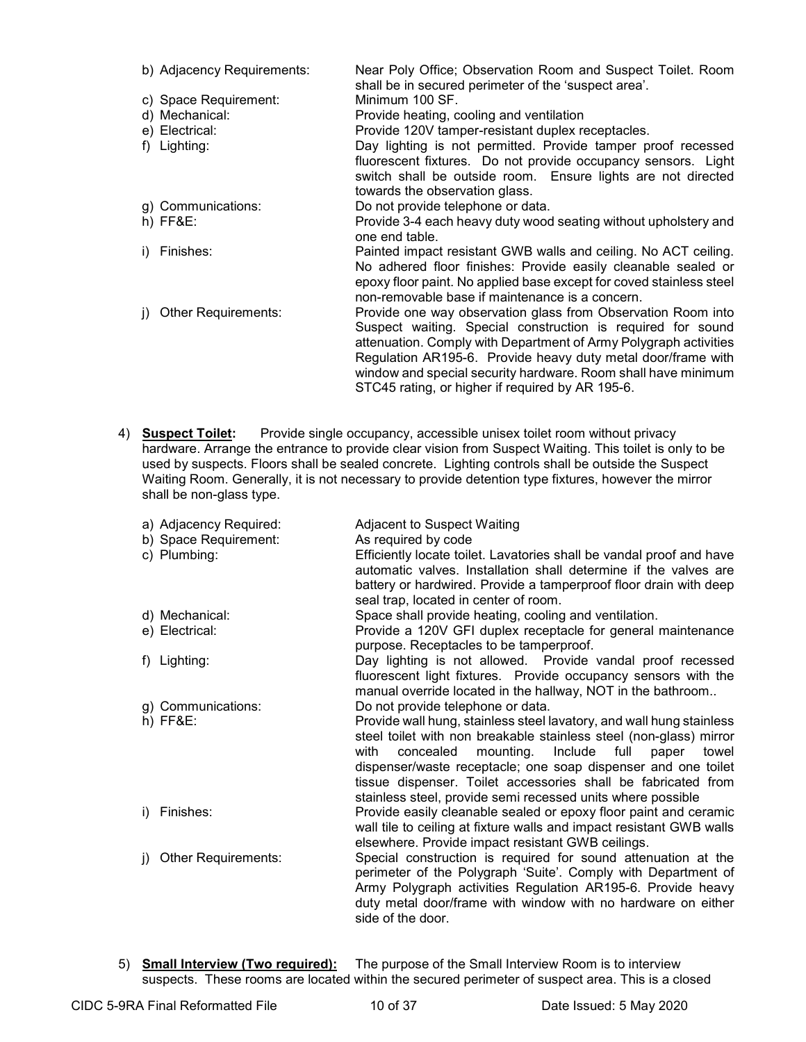| b) Adjacency Requirements:       | Near Poly Office; Observation Room and Suspect Toilet. Room<br>shall be in secured perimeter of the 'suspect area'.                                                                                                                                                                                                                                                                  |
|----------------------------------|--------------------------------------------------------------------------------------------------------------------------------------------------------------------------------------------------------------------------------------------------------------------------------------------------------------------------------------------------------------------------------------|
| c) Space Requirement:            | Minimum 100 SF.                                                                                                                                                                                                                                                                                                                                                                      |
| d) Mechanical:                   | Provide heating, cooling and ventilation                                                                                                                                                                                                                                                                                                                                             |
| e) Electrical:                   | Provide 120V tamper-resistant duplex receptacles.                                                                                                                                                                                                                                                                                                                                    |
| f) Lighting:                     | Day lighting is not permitted. Provide tamper proof recessed<br>fluorescent fixtures. Do not provide occupancy sensors. Light                                                                                                                                                                                                                                                        |
|                                  | switch shall be outside room. Ensure lights are not directed<br>towards the observation glass.                                                                                                                                                                                                                                                                                       |
| g) Communications:               | Do not provide telephone or data.                                                                                                                                                                                                                                                                                                                                                    |
| $h)$ FF&E:                       | Provide 3-4 each heavy duty wood seating without upholstery and<br>one end table.                                                                                                                                                                                                                                                                                                    |
| Finishes:<br>D.                  | Painted impact resistant GWB walls and ceiling. No ACT ceiling.<br>No adhered floor finishes: Provide easily cleanable sealed or<br>epoxy floor paint. No applied base except for coved stainless steel                                                                                                                                                                              |
|                                  | non-removable base if maintenance is a concern.                                                                                                                                                                                                                                                                                                                                      |
| <b>Other Requirements:</b><br>D. | Provide one way observation glass from Observation Room into<br>Suspect waiting. Special construction is required for sound<br>attenuation. Comply with Department of Army Polygraph activities<br>Regulation AR195-6. Provide heavy duty metal door/frame with<br>window and special security hardware. Room shall have minimum<br>STC45 rating, or higher if required by AR 195-6. |

4) **Suspect Toilet:** Provide single occupancy, accessible unisex toilet room without privacy hardware. Arrange the entrance to provide clear vision from Suspect Waiting. This toilet is only to be used by suspects. Floors shall be sealed concrete. Lighting controls shall be outside the Suspect Waiting Room. Generally, it is not necessary to provide detention type fixtures, however the mirror shall be non-glass type.

| a) Adjacency Required:     | Adjacent to Suspect Waiting                                          |
|----------------------------|----------------------------------------------------------------------|
| b) Space Requirement:      | As required by code                                                  |
| c) Plumbing:               | Efficiently locate toilet. Lavatories shall be vandal proof and have |
|                            | automatic valves. Installation shall determine if the valves are     |
|                            | battery or hardwired. Provide a tamperproof floor drain with deep    |
|                            | seal trap, located in center of room.                                |
| d) Mechanical:             | Space shall provide heating, cooling and ventilation.                |
| e) Electrical:             | Provide a 120V GFI duplex receptacle for general maintenance         |
|                            | purpose. Receptacles to be tamperproof.                              |
| Lighting:<br>t).           | Day lighting is not allowed. Provide vandal proof recessed           |
|                            | fluorescent light fixtures. Provide occupancy sensors with the       |
|                            | manual override located in the hallway, NOT in the bathroom          |
| g) Communications:         | Do not provide telephone or data.                                    |
| $h)$ FF&E:                 | Provide wall hung, stainless steel lavatory, and wall hung stainless |
|                            | steel toilet with non breakable stainless steel (non-glass) mirror   |
|                            | concealed<br>mounting.<br>Include full<br>with<br>paper<br>towel     |
|                            | dispenser/waste receptacle; one soap dispenser and one toilet        |
|                            | tissue dispenser. Toilet accessories shall be fabricated from        |
|                            | stainless steel, provide semi recessed units where possible          |
| Finishes:<br>i)            | Provide easily cleanable sealed or epoxy floor paint and ceramic     |
|                            | wall tile to ceiling at fixture walls and impact resistant GWB walls |
|                            | elsewhere. Provide impact resistant GWB ceilings.                    |
| <b>Other Requirements:</b> | Special construction is required for sound attenuation at the        |
|                            | perimeter of the Polygraph 'Suite'. Comply with Department of        |
|                            | Army Polygraph activities Regulation AR195-6. Provide heavy          |
|                            | duty metal door/frame with window with no hardware on either         |
|                            | side of the door.                                                    |
|                            |                                                                      |

5) **Small Interview (Two required):** The purpose of the Small Interview Room is to interview suspects. These rooms are located within the secured perimeter of suspect area. This is a closed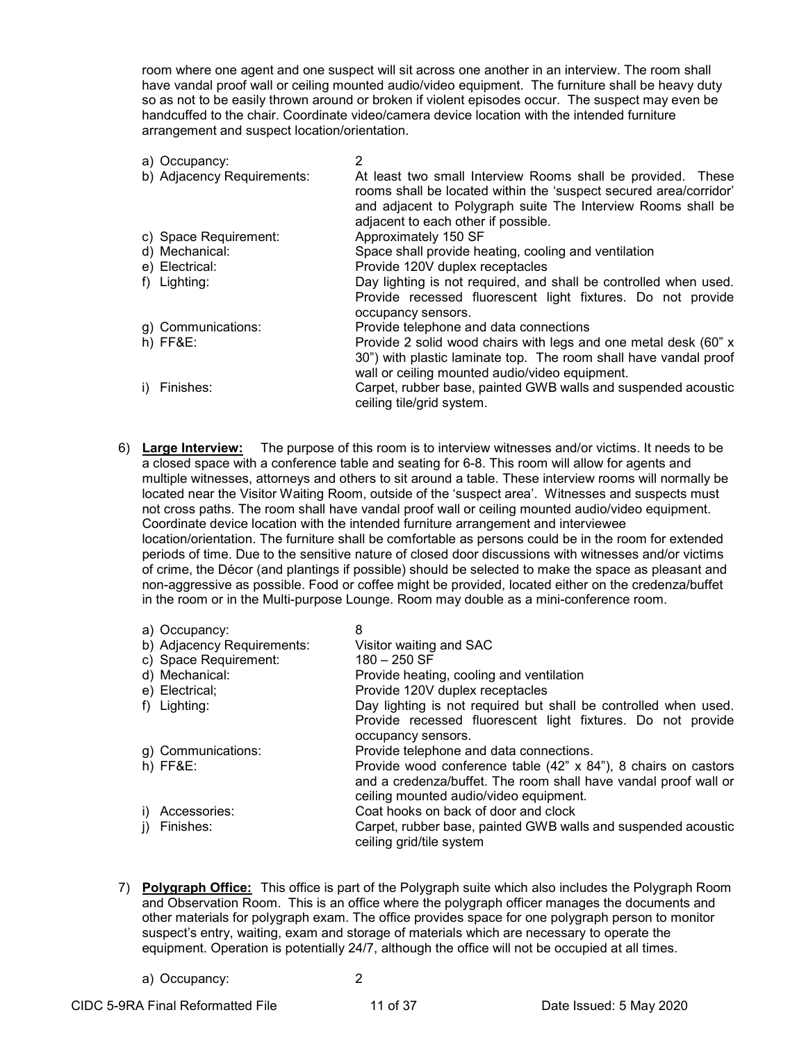room where one agent and one suspect will sit across one another in an interview. The room shall have vandal proof wall or ceiling mounted audio/video equipment. The furniture shall be heavy duty so as not to be easily thrown around or broken if violent episodes occur. The suspect may even be handcuffed to the chair. Coordinate video/camera device location with the intended furniture arrangement and suspect location/orientation.

| a) Occupancy:              | 2                                                                                                                                                                                                                                       |
|----------------------------|-----------------------------------------------------------------------------------------------------------------------------------------------------------------------------------------------------------------------------------------|
| b) Adjacency Requirements: | At least two small Interview Rooms shall be provided. These<br>rooms shall be located within the 'suspect secured area/corridor'<br>and adjacent to Polygraph suite The Interview Rooms shall be<br>adjacent to each other if possible. |
| c) Space Requirement:      | Approximately 150 SF                                                                                                                                                                                                                    |
| d) Mechanical:             | Space shall provide heating, cooling and ventilation                                                                                                                                                                                    |
| e) Electrical:             | Provide 120V duplex receptacles                                                                                                                                                                                                         |
| f) Lighting:               | Day lighting is not required, and shall be controlled when used.<br>Provide recessed fluorescent light fixtures. Do not provide<br>occupancy sensors.                                                                                   |
| g) Communications:         | Provide telephone and data connections                                                                                                                                                                                                  |
| $h)$ FF&E:                 | Provide 2 solid wood chairs with legs and one metal desk (60" x<br>30") with plastic laminate top. The room shall have vandal proof<br>wall or ceiling mounted audio/video equipment.                                                   |
| i) Finishes:               | Carpet, rubber base, painted GWB walls and suspended acoustic<br>ceiling tile/grid system.                                                                                                                                              |

6) **Large Interview:** The purpose of this room is to interview witnesses and/or victims. It needs to be a closed space with a conference table and seating for 6-8. This room will allow for agents and multiple witnesses, attorneys and others to sit around a table. These interview rooms will normally be located near the Visitor Waiting Room, outside of the 'suspect area'. Witnesses and suspects must not cross paths. The room shall have vandal proof wall or ceiling mounted audio/video equipment. Coordinate device location with the intended furniture arrangement and interviewee location/orientation. The furniture shall be comfortable as persons could be in the room for extended periods of time. Due to the sensitive nature of closed door discussions with witnesses and/or victims of crime, the Décor (and plantings if possible) should be selected to make the space as pleasant and non-aggressive as possible. Food or coffee might be provided, located either on the credenza/buffet in the room or in the Multi-purpose Lounge. Room may double as a mini-conference room.

| a) Occupancy:              | 8                                                               |
|----------------------------|-----------------------------------------------------------------|
| b) Adjacency Requirements: | Visitor waiting and SAC                                         |
| c) Space Requirement:      | $180 - 250$ SF                                                  |
| d) Mechanical:             | Provide heating, cooling and ventilation                        |
| e) Electrical;             | Provide 120V duplex receptacles                                 |
| f) Lighting:               | Day lighting is not required but shall be controlled when used. |
|                            | Provide recessed fluorescent light fixtures. Do not provide     |
|                            | occupancy sensors.                                              |
| g) Communications:         | Provide telephone and data connections.                         |
| $h)$ FF&E:                 | Provide wood conference table (42" x 84"), 8 chairs on castors  |
|                            | and a credenza/buffet. The room shall have vandal proof wall or |
|                            | ceiling mounted audio/video equipment.                          |
| i) Accessories:            | Coat hooks on back of door and clock                            |
| j) Finishes:               | Carpet, rubber base, painted GWB walls and suspended acoustic   |
|                            | ceiling grid/tile system                                        |

- 7) **Polygraph Office:** This office is part of the Polygraph suite which also includes the Polygraph Room and Observation Room. This is an office where the polygraph officer manages the documents and other materials for polygraph exam. The office provides space for one polygraph person to monitor suspect's entry, waiting, exam and storage of materials which are necessary to operate the equipment. Operation is potentially 24/7, although the office will not be occupied at all times.
	- a) Occupancy: 2
-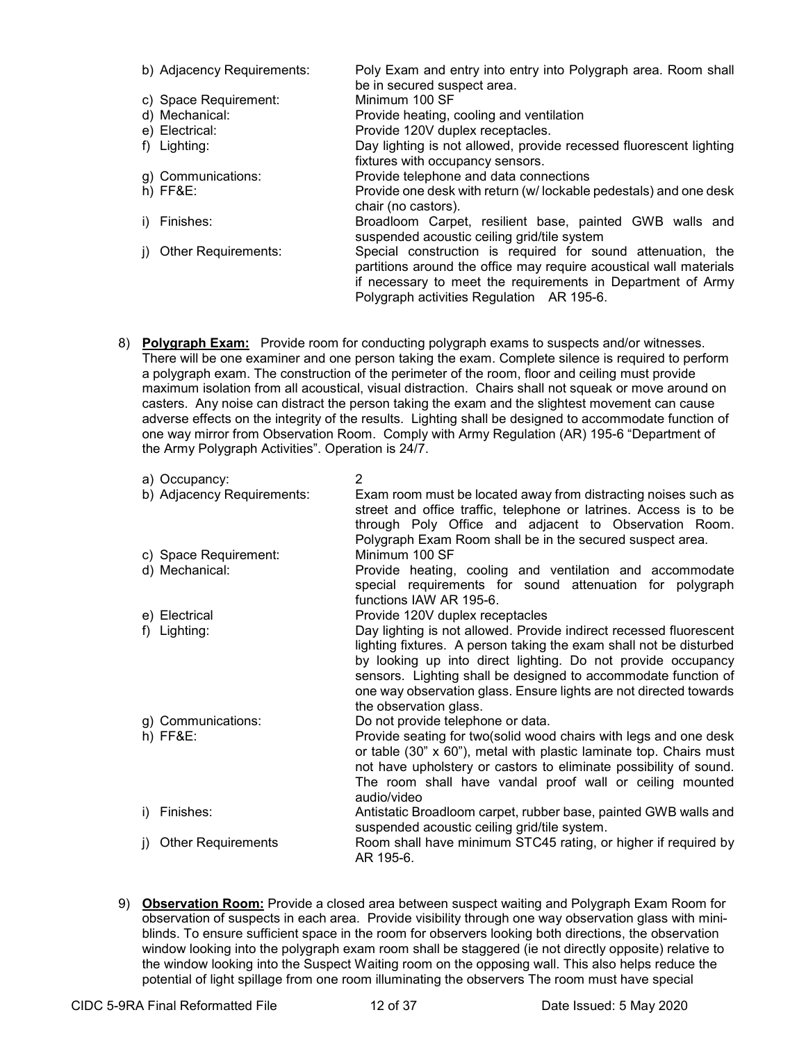| b) Adjacency Requirements: | Poly Exam and entry into entry into Polygraph area. Room shall                                                                                                                                                                                |
|----------------------------|-----------------------------------------------------------------------------------------------------------------------------------------------------------------------------------------------------------------------------------------------|
|                            | be in secured suspect area.                                                                                                                                                                                                                   |
| c) Space Requirement:      | Minimum 100 SF                                                                                                                                                                                                                                |
| d) Mechanical:             | Provide heating, cooling and ventilation                                                                                                                                                                                                      |
| e) Electrical:             | Provide 120V duplex receptacles.                                                                                                                                                                                                              |
| f) Lighting:               | Day lighting is not allowed, provide recessed fluorescent lighting                                                                                                                                                                            |
|                            | fixtures with occupancy sensors.                                                                                                                                                                                                              |
| g) Communications:         | Provide telephone and data connections                                                                                                                                                                                                        |
| $h)$ FF&E:                 | Provide one desk with return (w/lockable pedestals) and one desk<br>chair (no castors).                                                                                                                                                       |
| Finishes:                  | Broadloom Carpet, resilient base, painted GWB walls and<br>suspended acoustic ceiling grid/tile system                                                                                                                                        |
| Other Requirements:        | Special construction is required for sound attenuation, the<br>partitions around the office may require acoustical wall materials<br>if necessary to meet the requirements in Department of Army<br>Polygraph activities Regulation AR 195-6. |

8) **Polygraph Exam:** Provide room for conducting polygraph exams to suspects and/or witnesses. There will be one examiner and one person taking the exam. Complete silence is required to perform a polygraph exam. The construction of the perimeter of the room, floor and ceiling must provide maximum isolation from all acoustical, visual distraction. Chairs shall not squeak or move around on casters. Any noise can distract the person taking the exam and the slightest movement can cause adverse effects on the integrity of the results. Lighting shall be designed to accommodate function of one way mirror from Observation Room. Comply with Army Regulation (AR) 195-6 "Department of the Army Polygraph Activities". Operation is 24/7.

|    | a) Occupancy:                    | $\overline{2}$                                                                                                                                                                                                                                                                                                                                                            |
|----|----------------------------------|---------------------------------------------------------------------------------------------------------------------------------------------------------------------------------------------------------------------------------------------------------------------------------------------------------------------------------------------------------------------------|
|    | b) Adjacency Requirements:       | Exam room must be located away from distracting noises such as<br>street and office traffic, telephone or latrines. Access is to be<br>through Poly Office and adjacent to Observation Room.<br>Polygraph Exam Room shall be in the secured suspect area.                                                                                                                 |
|    | c) Space Requirement:            | Minimum 100 SF                                                                                                                                                                                                                                                                                                                                                            |
|    | d) Mechanical:                   | Provide heating, cooling and ventilation and accommodate<br>special requirements for sound attenuation for polygraph<br>functions IAW AR 195-6.                                                                                                                                                                                                                           |
|    | e) Electrical                    | Provide 120V duplex receptacles                                                                                                                                                                                                                                                                                                                                           |
|    | f) Lighting:                     | Day lighting is not allowed. Provide indirect recessed fluorescent<br>lighting fixtures. A person taking the exam shall not be disturbed<br>by looking up into direct lighting. Do not provide occupancy<br>sensors. Lighting shall be designed to accommodate function of<br>one way observation glass. Ensure lights are not directed towards<br>the observation glass. |
|    | g) Communications:<br>$h)$ FF&E: | Do not provide telephone or data.<br>Provide seating for two(solid wood chairs with legs and one desk<br>or table (30" x 60"), metal with plastic laminate top. Chairs must<br>not have upholstery or castors to eliminate possibility of sound.<br>The room shall have vandal proof wall or ceiling mounted<br>audio/video                                               |
| i) | Finishes:                        | Antistatic Broadloom carpet, rubber base, painted GWB walls and<br>suspended acoustic ceiling grid/tile system.                                                                                                                                                                                                                                                           |
| D. | <b>Other Requirements</b>        | Room shall have minimum STC45 rating, or higher if required by<br>AR 195-6.                                                                                                                                                                                                                                                                                               |

9) **Observation Room:** Provide a closed area between suspect waiting and Polygraph Exam Room for observation of suspects in each area. Provide visibility through one way observation glass with miniblinds. To ensure sufficient space in the room for observers looking both directions, the observation window looking into the polygraph exam room shall be staggered (ie not directly opposite) relative to the window looking into the Suspect Waiting room on the opposing wall. This also helps reduce the potential of light spillage from one room illuminating the observers The room must have special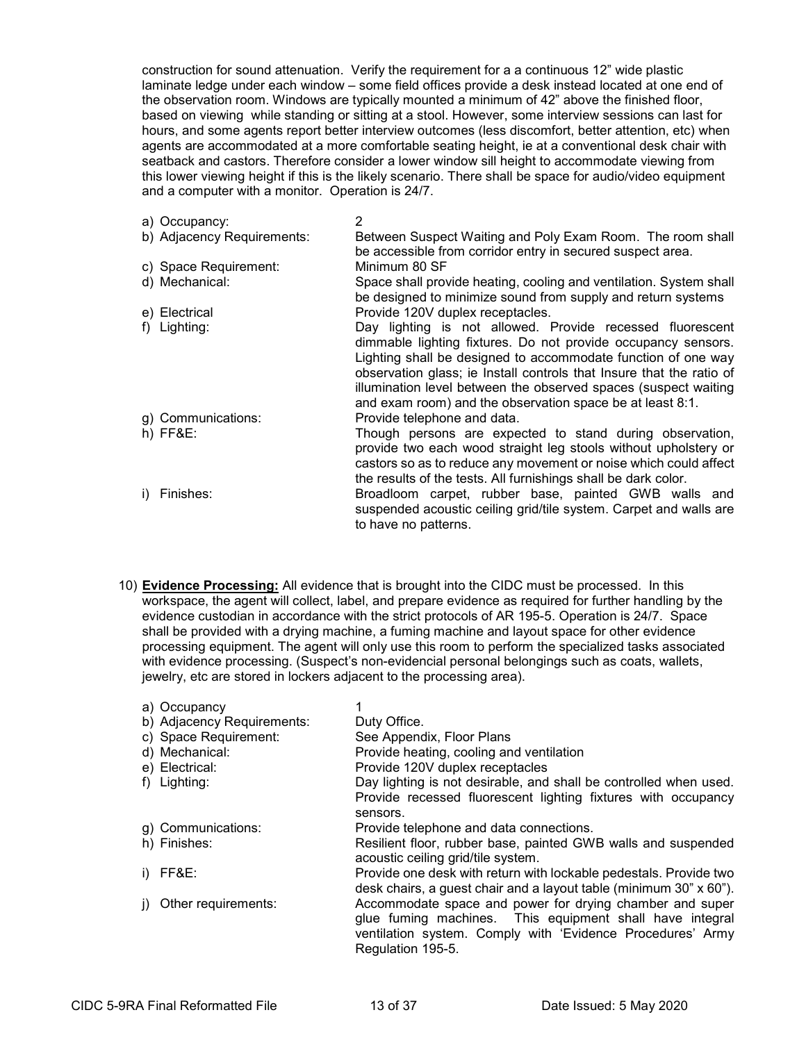construction for sound attenuation. Verify the requirement for a a continuous 12" wide plastic laminate ledge under each window – some field offices provide a desk instead located at one end of the observation room. Windows are typically mounted a minimum of 42" above the finished floor, based on viewing while standing or sitting at a stool. However, some interview sessions can last for hours, and some agents report better interview outcomes (less discomfort, better attention, etc) when agents are accommodated at a more comfortable seating height, ie at a conventional desk chair with seatback and castors. Therefore consider a lower window sill height to accommodate viewing from this lower viewing height if this is the likely scenario. There shall be space for audio/video equipment and a computer with a monitor. Operation is 24/7.

| a) Occupancy:              | 2                                                                                                                                                                                                                                                                                                                                                                                                   |
|----------------------------|-----------------------------------------------------------------------------------------------------------------------------------------------------------------------------------------------------------------------------------------------------------------------------------------------------------------------------------------------------------------------------------------------------|
| b) Adjacency Requirements: | Between Suspect Waiting and Poly Exam Room. The room shall<br>be accessible from corridor entry in secured suspect area.                                                                                                                                                                                                                                                                            |
| c) Space Requirement:      | Minimum 80 SF                                                                                                                                                                                                                                                                                                                                                                                       |
| d) Mechanical:             | Space shall provide heating, cooling and ventilation. System shall<br>be designed to minimize sound from supply and return systems                                                                                                                                                                                                                                                                  |
| e) Electrical              | Provide 120V duplex receptacles.                                                                                                                                                                                                                                                                                                                                                                    |
| f) Lighting:               | Day lighting is not allowed. Provide recessed fluorescent<br>dimmable lighting fixtures. Do not provide occupancy sensors.<br>Lighting shall be designed to accommodate function of one way<br>observation glass; ie Install controls that Insure that the ratio of<br>illumination level between the observed spaces (suspect waiting<br>and exam room) and the observation space be at least 8:1. |
| g) Communications:         | Provide telephone and data.                                                                                                                                                                                                                                                                                                                                                                         |
| $h)$ FF&E:                 | Though persons are expected to stand during observation,<br>provide two each wood straight leg stools without upholstery or<br>castors so as to reduce any movement or noise which could affect<br>the results of the tests. All furnishings shall be dark color.                                                                                                                                   |
| i) Finishes:               | Broadloom carpet, rubber base, painted GWB walls and<br>suspended acoustic ceiling grid/tile system. Carpet and walls are<br>to have no patterns.                                                                                                                                                                                                                                                   |

10) **Evidence Processing:** All evidence that is brought into the CIDC must be processed. In this workspace, the agent will collect, label, and prepare evidence as required for further handling by the evidence custodian in accordance with the strict protocols of AR 195-5. Operation is 24/7. Space shall be provided with a drying machine, a fuming machine and layout space for other evidence processing equipment. The agent will only use this room to perform the specialized tasks associated with evidence processing. (Suspect's non-evidencial personal belongings such as coats, wallets, jewelry, etc are stored in lockers adjacent to the processing area).

| a) Occupancy               |                                                                    |
|----------------------------|--------------------------------------------------------------------|
| b) Adjacency Requirements: | Duty Office.                                                       |
| c) Space Requirement:      | See Appendix, Floor Plans                                          |
| d) Mechanical:             | Provide heating, cooling and ventilation                           |
| e) Electrical:             | Provide 120V duplex receptacles                                    |
| f) Lighting:               | Day lighting is not desirable, and shall be controlled when used.  |
|                            | Provide recessed fluorescent lighting fixtures with occupancy      |
|                            | sensors.                                                           |
| g) Communications:         | Provide telephone and data connections.                            |
| h) Finishes:               | Resilient floor, rubber base, painted GWB walls and suspended      |
|                            | acoustic ceiling grid/tile system.                                 |
| FF&E:                      | Provide one desk with return with lockable pedestals. Provide two  |
|                            | desk chairs, a guest chair and a layout table (minimum 30" x 60"). |
| Other requirements:        | Accommodate space and power for drying chamber and super           |
|                            | glue fuming machines. This equipment shall have integral           |
|                            | ventilation system. Comply with 'Evidence Procedures' Army         |
|                            | Regulation 195-5.                                                  |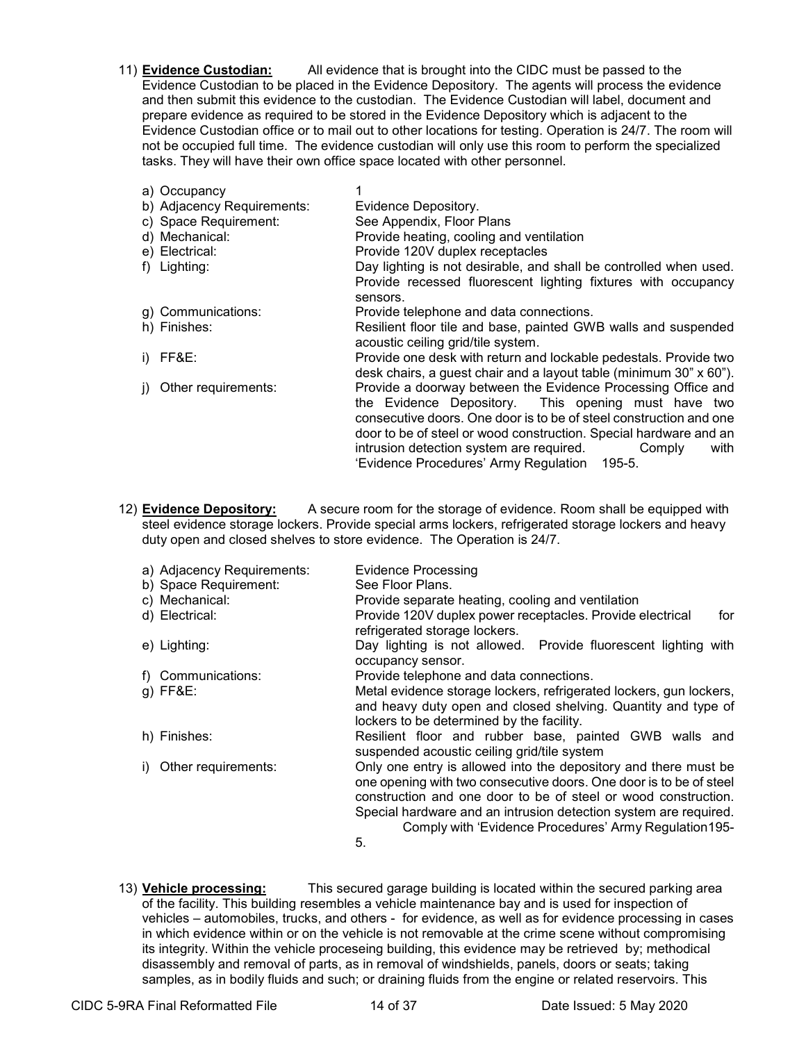11) **Evidence Custodian:** All evidence that is brought into the CIDC must be passed to the Evidence Custodian to be placed in the Evidence Depository. The agents will process the evidence and then submit this evidence to the custodian. The Evidence Custodian will label, document and prepare evidence as required to be stored in the Evidence Depository which is adjacent to the Evidence Custodian office or to mail out to other locations for testing. Operation is 24/7. The room will not be occupied full time. The evidence custodian will only use this room to perform the specialized tasks. They will have their own office space located with other personnel.

| a) Occupancy               |                                                                                                                                                                                                                                                                                                                                                                              |
|----------------------------|------------------------------------------------------------------------------------------------------------------------------------------------------------------------------------------------------------------------------------------------------------------------------------------------------------------------------------------------------------------------------|
| b) Adjacency Requirements: | Evidence Depository.                                                                                                                                                                                                                                                                                                                                                         |
| c) Space Requirement:      | See Appendix, Floor Plans                                                                                                                                                                                                                                                                                                                                                    |
| d) Mechanical:             | Provide heating, cooling and ventilation                                                                                                                                                                                                                                                                                                                                     |
| e) Electrical:             | Provide 120V duplex receptacles                                                                                                                                                                                                                                                                                                                                              |
| f) Lighting:               | Day lighting is not desirable, and shall be controlled when used.                                                                                                                                                                                                                                                                                                            |
|                            | Provide recessed fluorescent lighting fixtures with occupancy<br>sensors.                                                                                                                                                                                                                                                                                                    |
| g) Communications:         | Provide telephone and data connections.                                                                                                                                                                                                                                                                                                                                      |
| h) Finishes:               | Resilient floor tile and base, painted GWB walls and suspended<br>acoustic ceiling grid/tile system.                                                                                                                                                                                                                                                                         |
| i) $FF8E$ :                | Provide one desk with return and lockable pedestals. Provide two<br>desk chairs, a guest chair and a layout table (minimum 30" x 60").                                                                                                                                                                                                                                       |
| Other requirements:        | Provide a doorway between the Evidence Processing Office and<br>the Evidence Depository. This opening must have two<br>consecutive doors. One door is to be of steel construction and one<br>door to be of steel or wood construction. Special hardware and an<br>intrusion detection system are required.<br>Comply<br>with<br>'Evidence Procedures' Army Regulation 195-5. |
|                            |                                                                                                                                                                                                                                                                                                                                                                              |

12) **Evidence Depository:** A secure room for the storage of evidence. Room shall be equipped with steel evidence storage lockers. Provide special arms lockers, refrigerated storage lockers and heavy duty open and closed shelves to store evidence. The Operation is 24/7.

| a) Adjacency Requirements:<br>b) Space Requirement: | <b>Evidence Processing</b><br>See Floor Plans.                                                                                                                                                                                                                                                                                              |
|-----------------------------------------------------|---------------------------------------------------------------------------------------------------------------------------------------------------------------------------------------------------------------------------------------------------------------------------------------------------------------------------------------------|
| c) Mechanical:<br>d) Electrical:                    | Provide separate heating, cooling and ventilation<br>Provide 120V duplex power receptacles. Provide electrical<br>for<br>refrigerated storage lockers.                                                                                                                                                                                      |
| e) Lighting:                                        | Day lighting is not allowed. Provide fluorescent lighting with<br>occupancy sensor.                                                                                                                                                                                                                                                         |
| Communications:                                     | Provide telephone and data connections.                                                                                                                                                                                                                                                                                                     |
| $q$ ) FF&E:                                         | Metal evidence storage lockers, refrigerated lockers, gun lockers,<br>and heavy duty open and closed shelving. Quantity and type of<br>lockers to be determined by the facility.                                                                                                                                                            |
| h) Finishes:                                        | Resilient floor and rubber base, painted GWB walls and<br>suspended acoustic ceiling grid/tile system                                                                                                                                                                                                                                       |
| Other requirements:                                 | Only one entry is allowed into the depository and there must be<br>one opening with two consecutive doors. One door is to be of steel<br>construction and one door to be of steel or wood construction.<br>Special hardware and an intrusion detection system are required.<br>Comply with 'Evidence Procedures' Army Regulation 195-<br>5. |

13) **Vehicle processing:** This secured garage building is located within the secured parking area of the facility. This building resembles a vehicle maintenance bay and is used for inspection of vehicles – automobiles, trucks, and others - for evidence, as well as for evidence processing in cases in which evidence within or on the vehicle is not removable at the crime scene without compromising its integrity. Within the vehicle proceseing building, this evidence may be retrieved by; methodical disassembly and removal of parts, as in removal of windshields, panels, doors or seats; taking samples, as in bodily fluids and such; or draining fluids from the engine or related reservoirs. This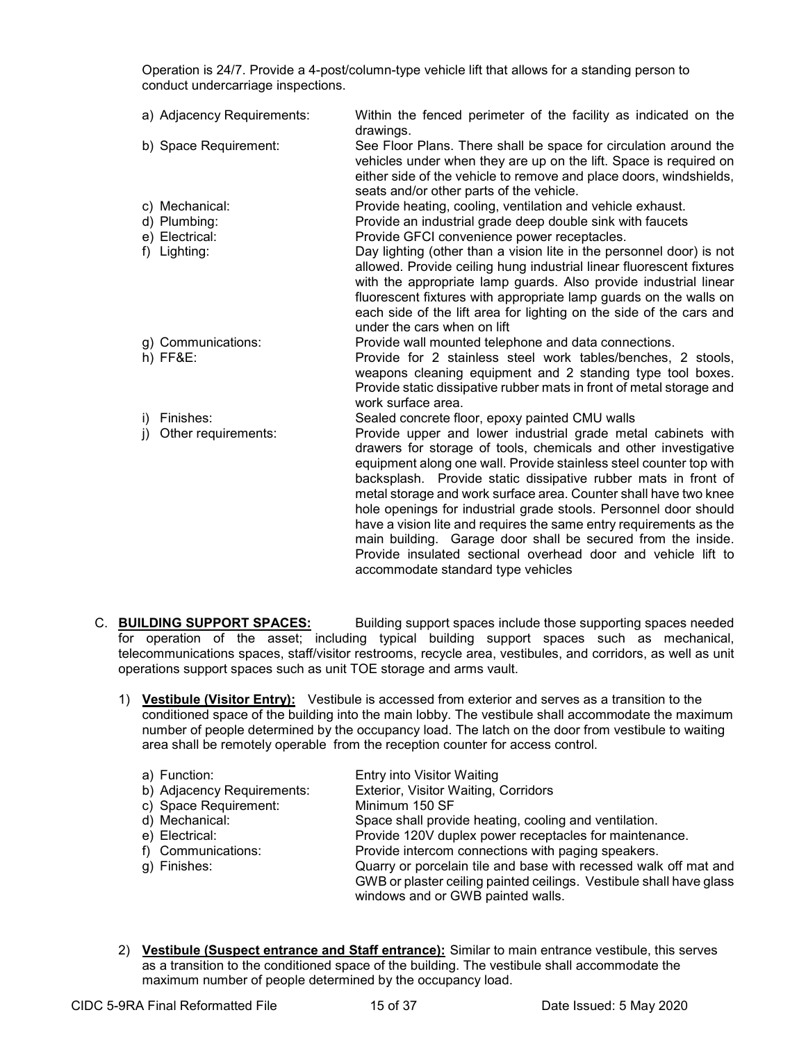Operation is 24/7. Provide a 4-post/column-type vehicle lift that allows for a standing person to conduct undercarriage inspections.

|    | a) Adjacency Requirements: | Within the fenced perimeter of the facility as indicated on the<br>drawings.                                                                                                                                                                                                                                                                                                                                                                                                                                                                                                                                                                                 |
|----|----------------------------|--------------------------------------------------------------------------------------------------------------------------------------------------------------------------------------------------------------------------------------------------------------------------------------------------------------------------------------------------------------------------------------------------------------------------------------------------------------------------------------------------------------------------------------------------------------------------------------------------------------------------------------------------------------|
|    | b) Space Requirement:      | See Floor Plans. There shall be space for circulation around the<br>vehicles under when they are up on the lift. Space is required on<br>either side of the vehicle to remove and place doors, windshields,<br>seats and/or other parts of the vehicle.                                                                                                                                                                                                                                                                                                                                                                                                      |
|    | c) Mechanical:             | Provide heating, cooling, ventilation and vehicle exhaust.                                                                                                                                                                                                                                                                                                                                                                                                                                                                                                                                                                                                   |
|    | d) Plumbing:               | Provide an industrial grade deep double sink with faucets                                                                                                                                                                                                                                                                                                                                                                                                                                                                                                                                                                                                    |
|    | e) Electrical:             | Provide GFCI convenience power receptacles.                                                                                                                                                                                                                                                                                                                                                                                                                                                                                                                                                                                                                  |
|    | f) Lighting:               | Day lighting (other than a vision lite in the personnel door) is not<br>allowed. Provide ceiling hung industrial linear fluorescent fixtures<br>with the appropriate lamp guards. Also provide industrial linear<br>fluorescent fixtures with appropriate lamp guards on the walls on<br>each side of the lift area for lighting on the side of the cars and<br>under the cars when on lift                                                                                                                                                                                                                                                                  |
|    | g) Communications:         | Provide wall mounted telephone and data connections.                                                                                                                                                                                                                                                                                                                                                                                                                                                                                                                                                                                                         |
|    | h) FF&E:                   | Provide for 2 stainless steel work tables/benches, 2 stools,<br>weapons cleaning equipment and 2 standing type tool boxes.<br>Provide static dissipative rubber mats in front of metal storage and<br>work surface area.                                                                                                                                                                                                                                                                                                                                                                                                                                     |
|    | i) Finishes:               | Sealed concrete floor, epoxy painted CMU walls                                                                                                                                                                                                                                                                                                                                                                                                                                                                                                                                                                                                               |
| j) | Other requirements:        | Provide upper and lower industrial grade metal cabinets with<br>drawers for storage of tools, chemicals and other investigative<br>equipment along one wall. Provide stainless steel counter top with<br>backsplash. Provide static dissipative rubber mats in front of<br>metal storage and work surface area. Counter shall have two knee<br>hole openings for industrial grade stools. Personnel door should<br>have a vision lite and requires the same entry requirements as the<br>main building. Garage door shall be secured from the inside.<br>Provide insulated sectional overhead door and vehicle lift to<br>accommodate standard type vehicles |

- C. **BUILDING SUPPORT SPACES:** Building support spaces include those supporting spaces needed for operation of the asset; including typical building support spaces such as mechanical, telecommunications spaces, staff/visitor restrooms, recycle area, vestibules, and corridors, as well as unit operations support spaces such as unit TOE storage and arms vault.
	- 1) **Vestibule (Visitor Entry):** Vestibule is accessed from exterior and serves as a transition to the conditioned space of the building into the main lobby. The vestibule shall accommodate the maximum number of people determined by the occupancy load. The latch on the door from vestibule to waiting area shall be remotely operable from the reception counter for access control.

| a) Function:                            | Entry into Visitor Waiting                                          |
|-----------------------------------------|---------------------------------------------------------------------|
| b) Adjacency Requirements:              | Exterior, Visitor Waiting, Corridors                                |
| c) Space Requirement:<br>Minimum 150 SF |                                                                     |
| d) Mechanical:                          | Space shall provide heating, cooling and ventilation.               |
| e) Electrical:                          | Provide 120V duplex power receptacles for maintenance.              |
| f) Communications:                      | Provide intercom connections with paging speakers.                  |
| g) Finishes:                            | Quarry or porcelain tile and base with recessed walk off mat and    |
|                                         | GWB or plaster ceiling painted ceilings. Vestibule shall have glass |
|                                         | windows and or GWB painted walls.                                   |
|                                         |                                                                     |

2) **Vestibule (Suspect entrance and Staff entrance):** Similar to main entrance vestibule, this serves as a transition to the conditioned space of the building. The vestibule shall accommodate the maximum number of people determined by the occupancy load.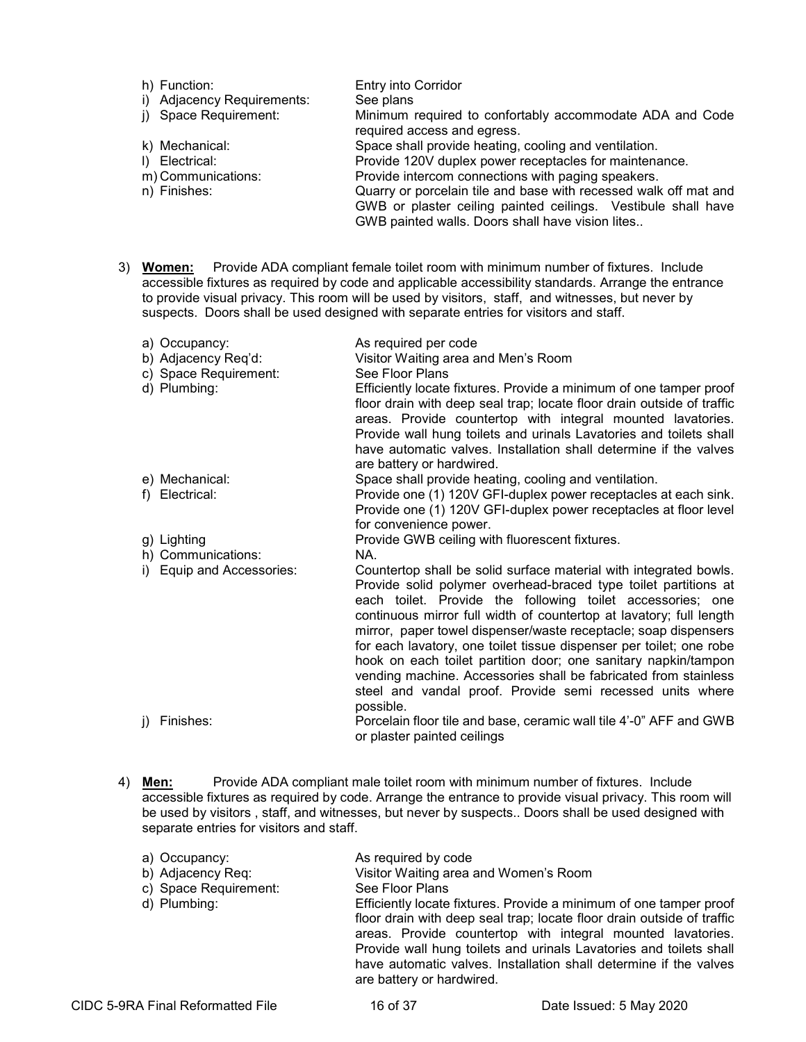| h) Function:               | <b>Entry into Corridor</b>                                                              |
|----------------------------|-----------------------------------------------------------------------------------------|
| i) Adjacency Requirements: | See plans                                                                               |
| j) Space Requirement:      | Minimum required to confortably accommodate ADA and Code<br>required access and egress. |
| k) Mechanical:             | Space shall provide heating, cooling and ventilation.                                   |
| I) Electrical:             | Provide 120V duplex power receptacles for maintenance.                                  |
| m) Communications:         | Provide intercom connections with paging speakers.                                      |
| n) Finishes:               | Quarry or porcelain tile and base with recessed walk off mat and                        |
|                            | GWB or plaster ceiling painted ceilings. Vestibule shall have                           |
|                            | GWB painted walls. Doors shall have vision lites                                        |

3) **Women:** Provide ADA compliant female toilet room with minimum number of fixtures. Include accessible fixtures as required by code and applicable accessibility standards. Arrange the entrance to provide visual privacy. This room will be used by visitors, staff, and witnesses, but never by suspects. Doors shall be used designed with separate entries for visitors and staff.

|    | a) Occupancy:<br>b) Adjacency Req'd:<br>c) Space Requirement:<br>d) Plumbing: | As required per code<br>Visitor Waiting area and Men's Room<br>See Floor Plans<br>Efficiently locate fixtures. Provide a minimum of one tamper proof<br>floor drain with deep seal trap; locate floor drain outside of traffic<br>areas. Provide countertop with integral mounted lavatories.<br>Provide wall hung toilets and urinals Lavatories and toilets shall<br>have automatic valves. Installation shall determine if the valves<br>are battery or hardwired.                                                                                                                                                              |
|----|-------------------------------------------------------------------------------|------------------------------------------------------------------------------------------------------------------------------------------------------------------------------------------------------------------------------------------------------------------------------------------------------------------------------------------------------------------------------------------------------------------------------------------------------------------------------------------------------------------------------------------------------------------------------------------------------------------------------------|
|    | e) Mechanical:<br>f) Electrical:                                              | Space shall provide heating, cooling and ventilation.<br>Provide one (1) 120V GFI-duplex power receptacles at each sink.<br>Provide one (1) 120V GFI-duplex power receptacles at floor level<br>for convenience power.                                                                                                                                                                                                                                                                                                                                                                                                             |
|    | g) Lighting<br>h) Communications:                                             | Provide GWB ceiling with fluorescent fixtures.<br>NA.                                                                                                                                                                                                                                                                                                                                                                                                                                                                                                                                                                              |
|    | i) Equip and Accessories:                                                     | Countertop shall be solid surface material with integrated bowls.<br>Provide solid polymer overhead-braced type toilet partitions at<br>each toilet. Provide the following toilet accessories; one<br>continuous mirror full width of countertop at lavatory; full length<br>mirror, paper towel dispenser/waste receptacle; soap dispensers<br>for each lavatory, one toilet tissue dispenser per toilet; one robe<br>hook on each toilet partition door; one sanitary napkin/tampon<br>vending machine. Accessories shall be fabricated from stainless<br>steel and vandal proof. Provide semi recessed units where<br>possible. |
| I) | Finishes:                                                                     | Porcelain floor tile and base, ceramic wall tile 4'-0" AFF and GWB<br>or plaster painted ceilings                                                                                                                                                                                                                                                                                                                                                                                                                                                                                                                                  |

4) **Men:** Provide ADA compliant male toilet room with minimum number of fixtures. Include accessible fixtures as required by code. Arrange the entrance to provide visual privacy. This room will be used by visitors , staff, and witnesses, but never by suspects.. Doors shall be used designed with separate entries for visitors and staff.

| a) Occupancy:         | As required by code                                                                                                                                                                                                                                                               |
|-----------------------|-----------------------------------------------------------------------------------------------------------------------------------------------------------------------------------------------------------------------------------------------------------------------------------|
| b) Adjacency Req:     | Visitor Waiting area and Women's Room                                                                                                                                                                                                                                             |
| c) Space Requirement: | See Floor Plans                                                                                                                                                                                                                                                                   |
| d) Plumbing:          | Efficiently locate fixtures. Provide a minimum of one tamper proof<br>floor drain with deep seal trap; locate floor drain outside of traffic<br>areas. Provide countertop with integral mounted lavatories.<br>Provide wall hung toilets and urinals Lavatories and toilets shall |
|                       | have automatic valves. Installation shall determine if the valves                                                                                                                                                                                                                 |

are battery or hardwired.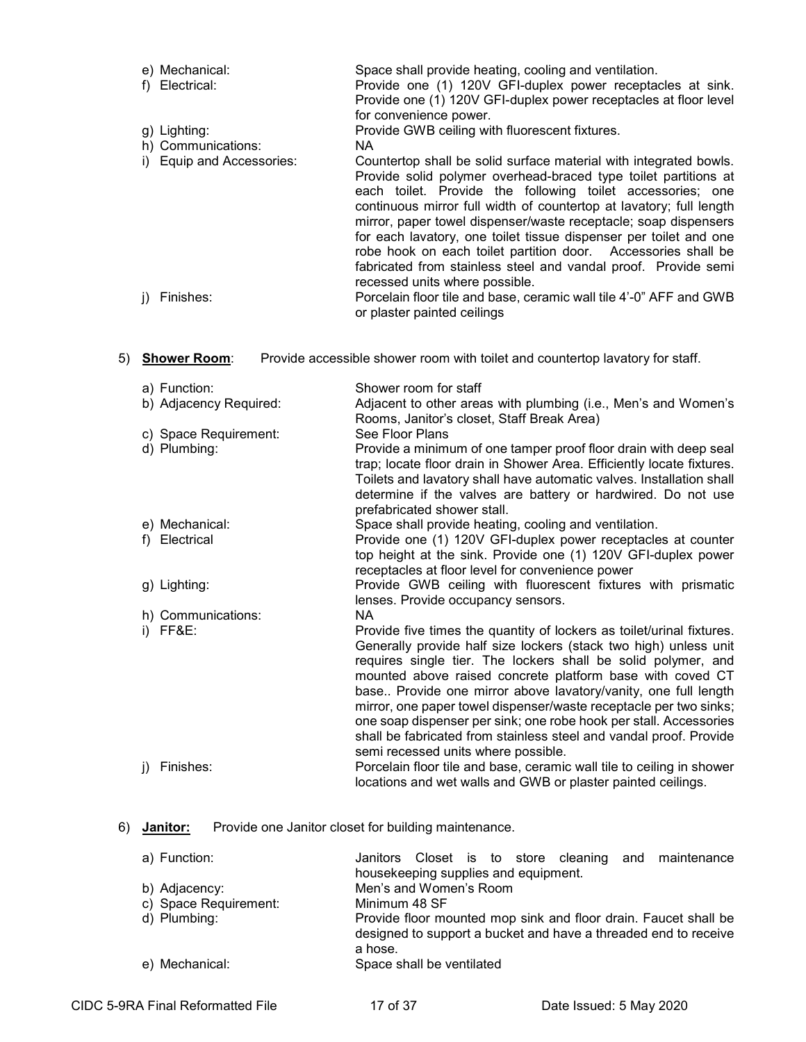|    | e) Mechanical:<br>f) Electrical: | Space shall provide heating, cooling and ventilation.<br>Provide one (1) 120V GFI-duplex power receptacles at sink.<br>Provide one (1) 120V GFI-duplex power receptacles at floor level<br>for convenience power.                                                                                                                                                                                                                                                                                                                                                                                |
|----|----------------------------------|--------------------------------------------------------------------------------------------------------------------------------------------------------------------------------------------------------------------------------------------------------------------------------------------------------------------------------------------------------------------------------------------------------------------------------------------------------------------------------------------------------------------------------------------------------------------------------------------------|
|    | g) Lighting:                     | Provide GWB ceiling with fluorescent fixtures.                                                                                                                                                                                                                                                                                                                                                                                                                                                                                                                                                   |
|    | h) Communications:               | <b>NA</b>                                                                                                                                                                                                                                                                                                                                                                                                                                                                                                                                                                                        |
|    | i) Equip and Accessories:        | Countertop shall be solid surface material with integrated bowls.<br>Provide solid polymer overhead-braced type toilet partitions at<br>each toilet. Provide the following toilet accessories; one<br>continuous mirror full width of countertop at lavatory; full length<br>mirror, paper towel dispenser/waste receptacle; soap dispensers<br>for each lavatory, one toilet tissue dispenser per toilet and one<br>robe hook on each toilet partition door. Accessories shall be<br>fabricated from stainless steel and vandal proof. Provide semi<br>recessed units where possible.           |
|    | Finishes:<br>j)                  | Porcelain floor tile and base, ceramic wall tile 4'-0" AFF and GWB                                                                                                                                                                                                                                                                                                                                                                                                                                                                                                                               |
|    |                                  | or plaster painted ceilings                                                                                                                                                                                                                                                                                                                                                                                                                                                                                                                                                                      |
|    |                                  |                                                                                                                                                                                                                                                                                                                                                                                                                                                                                                                                                                                                  |
| 5) | <b>Shower Room:</b>              | Provide accessible shower room with toilet and countertop lavatory for staff.                                                                                                                                                                                                                                                                                                                                                                                                                                                                                                                    |
|    | a) Function:                     | Shower room for staff                                                                                                                                                                                                                                                                                                                                                                                                                                                                                                                                                                            |
|    | b) Adjacency Required:           | Adjacent to other areas with plumbing (i.e., Men's and Women's<br>Rooms, Janitor's closet, Staff Break Area)                                                                                                                                                                                                                                                                                                                                                                                                                                                                                     |
|    | c) Space Requirement:            | See Floor Plans                                                                                                                                                                                                                                                                                                                                                                                                                                                                                                                                                                                  |
|    | d) Plumbing:                     | Provide a minimum of one tamper proof floor drain with deep seal<br>trap; locate floor drain in Shower Area. Efficiently locate fixtures.<br>Toilets and lavatory shall have automatic valves. Installation shall<br>determine if the valves are battery or hardwired. Do not use<br>prefabricated shower stall.                                                                                                                                                                                                                                                                                 |
|    | e) Mechanical:                   | Space shall provide heating, cooling and ventilation.                                                                                                                                                                                                                                                                                                                                                                                                                                                                                                                                            |
|    | f) Electrical                    | Provide one (1) 120V GFI-duplex power receptacles at counter<br>top height at the sink. Provide one (1) 120V GFI-duplex power<br>receptacles at floor level for convenience power                                                                                                                                                                                                                                                                                                                                                                                                                |
|    | g) Lighting:                     | Provide GWB ceiling with fluorescent fixtures with prismatic<br>lenses. Provide occupancy sensors.                                                                                                                                                                                                                                                                                                                                                                                                                                                                                               |
|    | h) Communications:               | <b>NA</b>                                                                                                                                                                                                                                                                                                                                                                                                                                                                                                                                                                                        |
|    | i) FF&E:                         | Provide five times the quantity of lockers as toilet/urinal fixtures.<br>Generally provide half size lockers (stack two high) unless unit<br>requires single tier. The lockers shall be solid polymer, and<br>mounted above raised concrete platform base with coved CT<br>base Provide one mirror above lavatory/vanity, one full length<br>mirror, one paper towel dispenser/waste receptacle per two sinks;<br>one soap dispenser per sink; one robe hook per stall. Accessories<br>shall be fabricated from stainless steel and vandal proof. Provide<br>semi recessed units where possible. |
|    | Finishes:<br>$\mathsf{I}$        | Porcelain floor tile and base, ceramic wall tile to ceiling in shower<br>locations and wet walls and GWB or plaster painted ceilings.                                                                                                                                                                                                                                                                                                                                                                                                                                                            |
|    |                                  |                                                                                                                                                                                                                                                                                                                                                                                                                                                                                                                                                                                                  |

# 6) **Janitor:** Provide one Janitor closet for building maintenance.

| a) Function:          | Janitors Closet is to store cleaning and maintenance                       |
|-----------------------|----------------------------------------------------------------------------|
|                       | housekeeping supplies and equipment.                                       |
| b) Adjacency:         | Men's and Women's Room                                                     |
| c) Space Requirement: | Minimum 48 SF                                                              |
| d) Plumbing:          | Provide floor mounted mop sink and floor drain. Faucet shall be            |
|                       | designed to support a bucket and have a threaded end to receive<br>a hose. |
|                       |                                                                            |
| e) Mechanical:        | Space shall be ventilated                                                  |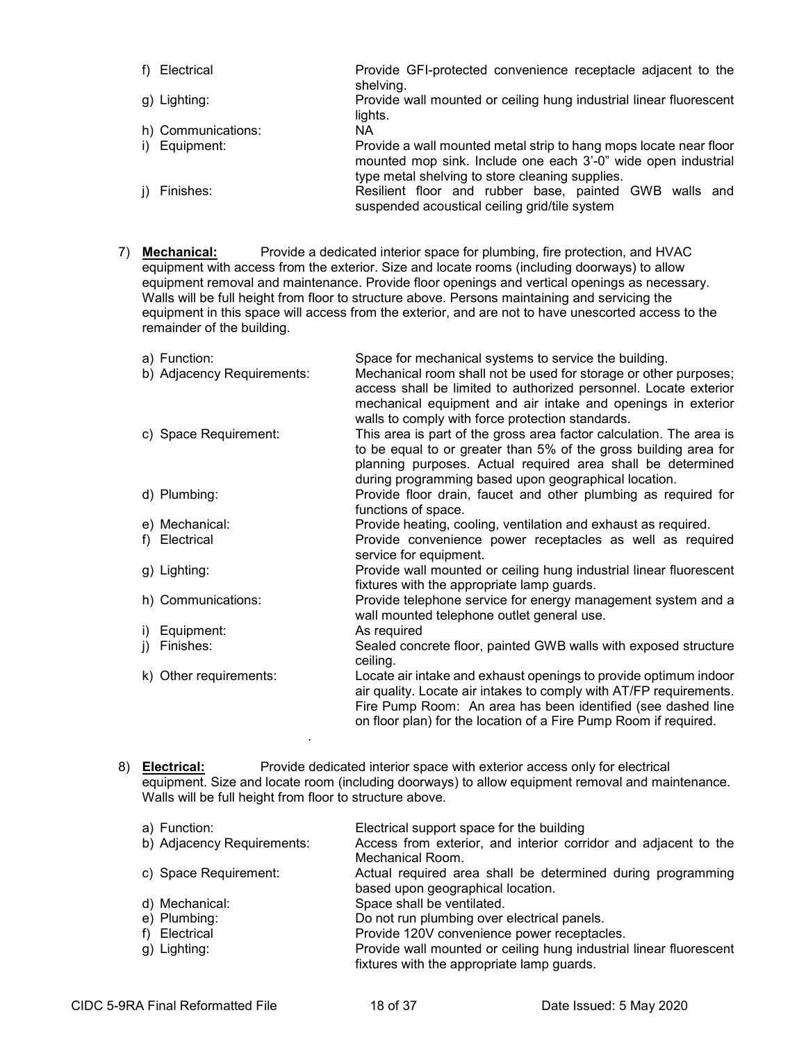| f) Electrical      | Provide GFI-protected convenience receptacle adjacent to the<br>shelving.                                                                                                             |
|--------------------|---------------------------------------------------------------------------------------------------------------------------------------------------------------------------------------|
| g) Lighting:       | Provide wall mounted or ceiling hung industrial linear fluorescent<br>lights.                                                                                                         |
| h) Communications: | NA.                                                                                                                                                                                   |
| i) Equipment:      | Provide a wall mounted metal strip to hang mops locate near floor<br>mounted mop sink. Include one each 3'-0" wide open industrial<br>type metal shelving to store cleaning supplies. |
| j) Finishes:       | Resilient floor and rubber base, painted GWB walls and<br>suspended acoustical ceiling grid/tile system                                                                               |

7) **Mechanical:** Provide a dedicated interior space for plumbing, fire protection, and HVAC equipment with access from the exterior. Size and locate rooms (including doorways) to allow equipment removal and maintenance. Provide floor openings and vertical openings as necessary. Walls will be full height from floor to structure above. Persons maintaining and servicing the equipment in this space will access from the exterior, and are not to have unescorted access to the remainder of the building.

|     | a) Function:<br>b) Adjacency Requirements: | Space for mechanical systems to service the building.<br>Mechanical room shall not be used for storage or other purposes;<br>access shall be limited to authorized personnel. Locate exterior                                                                                                                              |
|-----|--------------------------------------------|----------------------------------------------------------------------------------------------------------------------------------------------------------------------------------------------------------------------------------------------------------------------------------------------------------------------------|
|     | c) Space Requirement:                      | mechanical equipment and air intake and openings in exterior<br>walls to comply with force protection standards.<br>This area is part of the gross area factor calculation. The area is<br>to be equal to or greater than 5% of the gross building area for<br>planning purposes. Actual required area shall be determined |
|     | d) Plumbing:                               | during programming based upon geographical location.<br>Provide floor drain, faucet and other plumbing as required for<br>functions of space.                                                                                                                                                                              |
|     | e) Mechanical:                             | Provide heating, cooling, ventilation and exhaust as required.                                                                                                                                                                                                                                                             |
| t). | Electrical                                 | Provide convenience power receptacles as well as required<br>service for equipment.                                                                                                                                                                                                                                        |
|     | g) Lighting:                               | Provide wall mounted or ceiling hung industrial linear fluorescent<br>fixtures with the appropriate lamp guards.                                                                                                                                                                                                           |
|     | h) Communications:                         | Provide telephone service for energy management system and a<br>wall mounted telephone outlet general use.                                                                                                                                                                                                                 |
| i)  | Equipment:                                 | As required                                                                                                                                                                                                                                                                                                                |
| j)  | Finishes:                                  | Sealed concrete floor, painted GWB walls with exposed structure<br>ceiling.                                                                                                                                                                                                                                                |
|     | k) Other requirements:                     | Locate air intake and exhaust openings to provide optimum indoor<br>air quality. Locate air intakes to comply with AT/FP requirements.<br>Fire Pump Room: An area has been identified (see dashed line<br>on floor plan) for the location of a Fire Pump Room if required.                                                 |

8) **Electrical:** Provide dedicated interior space with exterior access only for electrical equipment. Size and locate room (including doorways) to allow equipment removal and maintenance. Walls will be full height from floor to structure above.

| a) Function:               | Electrical support space for the building                          |
|----------------------------|--------------------------------------------------------------------|
| b) Adjacency Requirements: | Access from exterior, and interior corridor and adjacent to the    |
|                            | Mechanical Room.                                                   |
| c) Space Requirement:      | Actual required area shall be determined during programming        |
|                            | based upon geographical location.                                  |
| d) Mechanical:             | Space shall be ventilated.                                         |
| e) Plumbing:               | Do not run plumbing over electrical panels.                        |
| f) Electrical              | Provide 120V convenience power receptacles.                        |
| g) Lighting:               | Provide wall mounted or ceiling hung industrial linear fluorescent |
|                            | fixtures with the appropriate lamp guards.                         |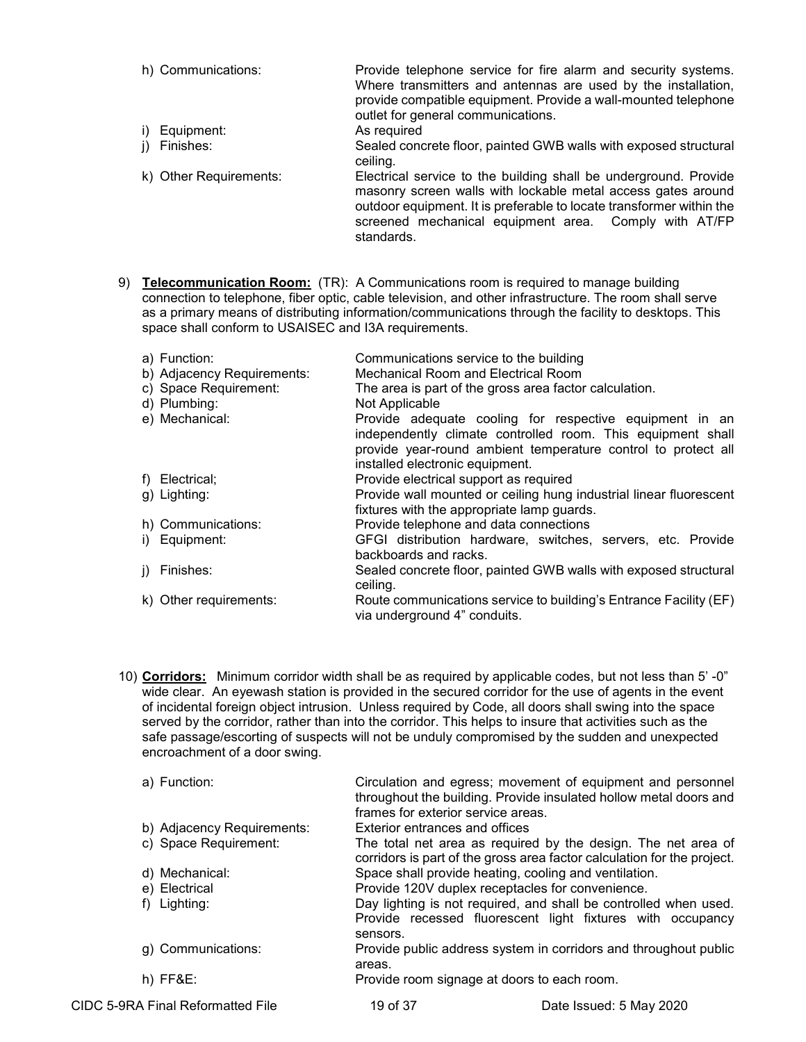- h) Communications: Provide telephone service for fire alarm and security systems. Where transmitters and antennas are used by the installation, provide compatible equipment. Provide a wall-mounted telephone outlet for general communications. i) Equipment: As required<br>i) Finishes: Sealed conc Sealed concrete floor, painted GWB walls with exposed structural
- ceiling. k) Other Requirements: Electrical service to the building shall be underground. Provide masonry screen walls with lockable metal access gates around outdoor equipment. It is preferable to locate transformer within the screened mechanical equipment area. Comply with AT/FP standards.
- 9) **Telecommunication Room:** (TR): A Communications room is required to manage building connection to telephone, fiber optic, cable television, and other infrastructure. The room shall serve as a primary means of distributing information/communications through the facility to desktops. This space shall conform to USAISEC and I3A requirements.

|              | a) Function:               | Communications service to the building                                                                                                                                                                                     |
|--------------|----------------------------|----------------------------------------------------------------------------------------------------------------------------------------------------------------------------------------------------------------------------|
|              | b) Adjacency Requirements: | <b>Mechanical Room and Electrical Room</b>                                                                                                                                                                                 |
|              | c) Space Requirement:      | The area is part of the gross area factor calculation.                                                                                                                                                                     |
|              | d) Plumbing:               | Not Applicable                                                                                                                                                                                                             |
|              | e) Mechanical:             | Provide adequate cooling for respective equipment in an<br>independently climate controlled room. This equipment shall<br>provide year-round ambient temperature control to protect all<br>installed electronic equipment. |
|              | f) Electrical;             | Provide electrical support as required                                                                                                                                                                                     |
| g) Lighting: |                            | Provide wall mounted or ceiling hung industrial linear fluorescent<br>fixtures with the appropriate lamp guards.                                                                                                           |
|              | h) Communications:         | Provide telephone and data connections                                                                                                                                                                                     |
|              | i) Equipment:              | GFGI distribution hardware, switches, servers, etc. Provide<br>backboards and racks.                                                                                                                                       |
| j) Finishes: |                            | Sealed concrete floor, painted GWB walls with exposed structural<br>ceiling.                                                                                                                                               |
|              | k) Other requirements:     | Route communications service to building's Entrance Facility (EF)<br>via underground 4" conduits.                                                                                                                          |

10) **Corridors:** Minimum corridor width shall be as required by applicable codes, but not less than 5' -0" wide clear. An eyewash station is provided in the secured corridor for the use of agents in the event of incidental foreign object intrusion. Unless required by Code, all doors shall swing into the space served by the corridor, rather than into the corridor. This helps to insure that activities such as the safe passage/escorting of suspects will not be unduly compromised by the sudden and unexpected encroachment of a door swing.

| a) Function:               | Circulation and egress; movement of equipment and personnel<br>throughout the building. Provide insulated hollow metal doors and<br>frames for exterior service areas. |
|----------------------------|------------------------------------------------------------------------------------------------------------------------------------------------------------------------|
| b) Adjacency Requirements: | <b>Exterior entrances and offices</b>                                                                                                                                  |
| c) Space Requirement:      | The total net area as required by the design. The net area of<br>corridors is part of the gross area factor calculation for the project.                               |
| d) Mechanical:             | Space shall provide heating, cooling and ventilation.                                                                                                                  |
| e) Electrical              | Provide 120V duplex receptacles for convenience.                                                                                                                       |
| f) Lighting:               | Day lighting is not required, and shall be controlled when used.<br>Provide recessed fluorescent light fixtures with occupancy<br>sensors.                             |
| g) Communications:         | Provide public address system in corridors and throughout public<br>areas.                                                                                             |
| $h)$ FF&E:                 | Provide room signage at doors to each room.                                                                                                                            |

CIDC 5-9RA Final Reformatted File 19 of 37 Date Issued: 5 May 2020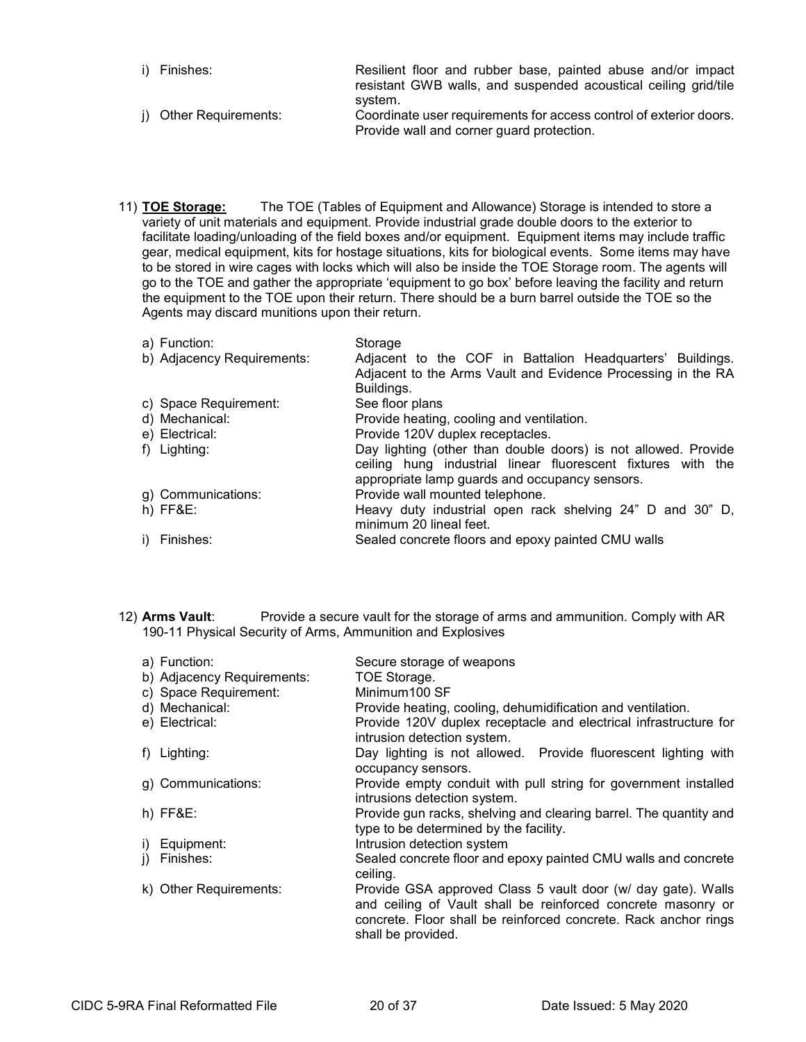- i) Finishes: Resilient floor and rubber base, painted abuse and/or impact resistant GWB walls, and suspended acoustical ceiling grid/tile system. j) Other Requirements: Coordinate user requirements for access control of exterior doors.
- Provide wall and corner guard protection.
- 11) **TOE Storage:** The TOE (Tables of Equipment and Allowance) Storage is intended to store a variety of unit materials and equipment. Provide industrial grade double doors to the exterior to facilitate loading/unloading of the field boxes and/or equipment. Equipment items may include traffic gear, medical equipment, kits for hostage situations, kits for biological events. Some items may have to be stored in wire cages with locks which will also be inside the TOE Storage room. The agents will go to the TOE and gather the appropriate 'equipment to go box' before leaving the facility and return the equipment to the TOE upon their return. There should be a burn barrel outside the TOE so the Agents may discard munitions upon their return.

| a) Function:<br>b) Adjacency Requirements: | Storage<br>Adjacent to the COF in Battalion Headquarters' Buildings.                                                                                                             |
|--------------------------------------------|----------------------------------------------------------------------------------------------------------------------------------------------------------------------------------|
|                                            | Adjacent to the Arms Vault and Evidence Processing in the RA<br>Buildings.                                                                                                       |
| c) Space Requirement:                      | See floor plans                                                                                                                                                                  |
| d) Mechanical:                             | Provide heating, cooling and ventilation.                                                                                                                                        |
| e) Electrical:                             | Provide 120V duplex receptacles.                                                                                                                                                 |
| f) Lighting:                               | Day lighting (other than double doors) is not allowed. Provide<br>ceiling hung industrial linear fluorescent fixtures with the<br>appropriate lamp guards and occupancy sensors. |
| g) Communications:                         | Provide wall mounted telephone.                                                                                                                                                  |
| $h)$ FF&E:                                 | Heavy duty industrial open rack shelving 24" D and 30" D,<br>minimum 20 lineal feet.                                                                                             |
| i) Finishes:                               | Sealed concrete floors and epoxy painted CMU walls                                                                                                                               |

12) **Arms Vault**: Provide a secure vault for the storage of arms and ammunition. Comply with AR 190-11 Physical Security of Arms, Ammunition and Explosives

| a) Function:<br>b) Adjacency Requirements: | Secure storage of weapons<br>TOE Storage.                                                                                                                                                                             |
|--------------------------------------------|-----------------------------------------------------------------------------------------------------------------------------------------------------------------------------------------------------------------------|
| c) Space Requirement:                      | Minimum100 SF                                                                                                                                                                                                         |
| d) Mechanical:                             | Provide heating, cooling, dehumidification and ventilation.                                                                                                                                                           |
| e) Electrical:                             | Provide 120V duplex receptacle and electrical infrastructure for<br>intrusion detection system.                                                                                                                       |
| f) Lighting:                               | Day lighting is not allowed. Provide fluorescent lighting with<br>occupancy sensors.                                                                                                                                  |
| g) Communications:                         | Provide empty conduit with pull string for government installed<br>intrusions detection system.                                                                                                                       |
| $h)$ FF&E:                                 | Provide gun racks, shelving and clearing barrel. The quantity and<br>type to be determined by the facility.                                                                                                           |
| i) Equipment:                              | Intrusion detection system                                                                                                                                                                                            |
| j) Finishes:                               | Sealed concrete floor and epoxy painted CMU walls and concrete<br>ceiling.                                                                                                                                            |
| k) Other Requirements:                     | Provide GSA approved Class 5 vault door (w/ day gate). Walls<br>and ceiling of Vault shall be reinforced concrete masonry or<br>concrete. Floor shall be reinforced concrete. Rack anchor rings<br>shall be provided. |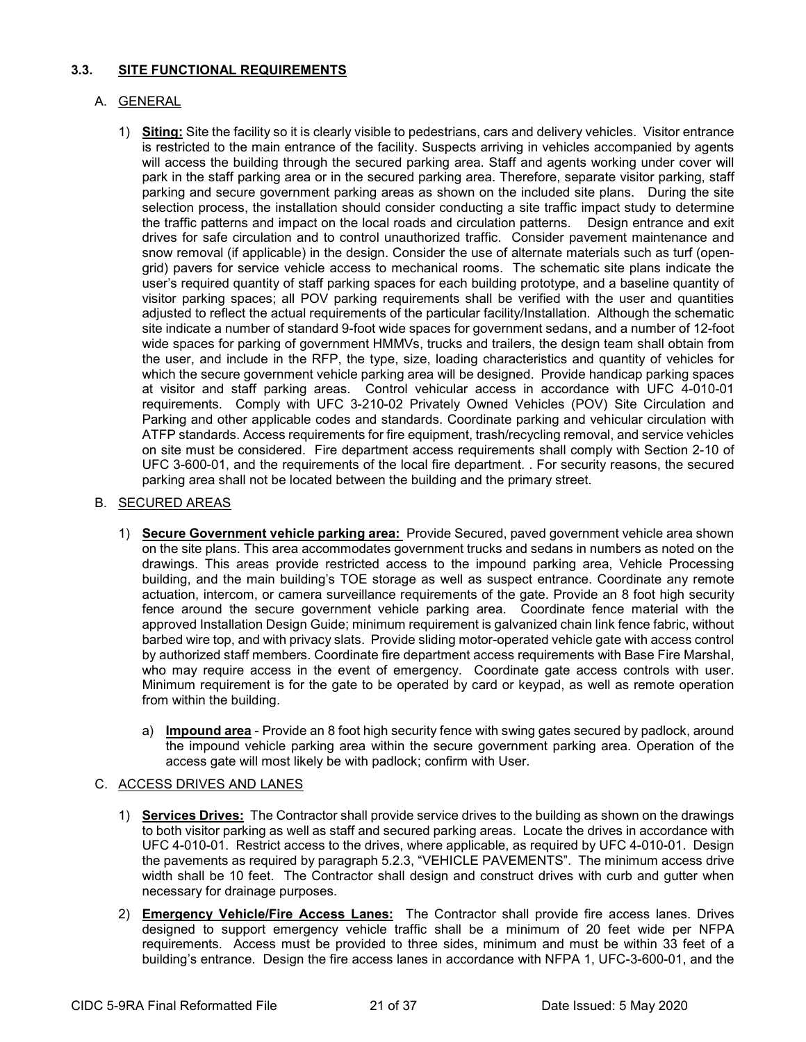### **3.3. SITE FUNCTIONAL REQUIREMENTS**

# A. GENERAL

1) **Siting:** Site the facility so it is clearly visible to pedestrians, cars and delivery vehicles. Visitor entrance is restricted to the main entrance of the facility. Suspects arriving in vehicles accompanied by agents will access the building through the secured parking area. Staff and agents working under cover will park in the staff parking area or in the secured parking area. Therefore, separate visitor parking, staff parking and secure government parking areas as shown on the included site plans. During the site selection process, the installation should consider conducting a site traffic impact study to determine the traffic patterns and impact on the local roads and circulation patterns. Design entrance and exit drives for safe circulation and to control unauthorized traffic. Consider pavement maintenance and snow removal (if applicable) in the design. Consider the use of alternate materials such as turf (opengrid) pavers for service vehicle access to mechanical rooms. The schematic site plans indicate the user's required quantity of staff parking spaces for each building prototype, and a baseline quantity of visitor parking spaces; all POV parking requirements shall be verified with the user and quantities adjusted to reflect the actual requirements of the particular facility/Installation. Although the schematic site indicate a number of standard 9-foot wide spaces for government sedans, and a number of 12-foot wide spaces for parking of government HMMVs, trucks and trailers, the design team shall obtain from the user, and include in the RFP, the type, size, loading characteristics and quantity of vehicles for which the secure government vehicle parking area will be designed. Provide handicap parking spaces at visitor and staff parking areas. Control vehicular access in accordance with UFC 4-010-01 requirements. Comply with UFC 3-210-02 Privately Owned Vehicles (POV) Site Circulation and Parking and other applicable codes and standards. Coordinate parking and vehicular circulation with ATFP standards. Access requirements for fire equipment, trash/recycling removal, and service vehicles on site must be considered. Fire department access requirements shall comply with Section 2-10 of UFC 3-600-01, and the requirements of the local fire department. . For security reasons, the secured parking area shall not be located between the building and the primary street.

### B. SECURED AREAS

- 1) **Secure Government vehicle parking area:** Provide Secured, paved government vehicle area shown on the site plans. This area accommodates government trucks and sedans in numbers as noted on the drawings. This areas provide restricted access to the impound parking area, Vehicle Processing building, and the main building's TOE storage as well as suspect entrance. Coordinate any remote actuation, intercom, or camera surveillance requirements of the gate. Provide an 8 foot high security fence around the secure government vehicle parking area. Coordinate fence material with the approved Installation Design Guide; minimum requirement is galvanized chain link fence fabric, without barbed wire top, and with privacy slats. Provide sliding motor-operated vehicle gate with access control by authorized staff members. Coordinate fire department access requirements with Base Fire Marshal, who may require access in the event of emergency. Coordinate gate access controls with user. Minimum requirement is for the gate to be operated by card or keypad, as well as remote operation from within the building.
	- a) **Impound area** Provide an 8 foot high security fence with swing gates secured by padlock, around the impound vehicle parking area within the secure government parking area. Operation of the access gate will most likely be with padlock; confirm with User.

### C. ACCESS DRIVES AND LANES

- 1) **Services Drives:** The Contractor shall provide service drives to the building as shown on the drawings to both visitor parking as well as staff and secured parking areas. Locate the drives in accordance with UFC 4-010-01. Restrict access to the drives, where applicable, as required by UFC 4-010-01. Design the pavements as required by paragraph 5.2.3, "VEHICLE PAVEMENTS". The minimum access drive width shall be 10 feet. The Contractor shall design and construct drives with curb and gutter when necessary for drainage purposes.
- 2) **Emergency Vehicle/Fire Access Lanes:** The Contractor shall provide fire access lanes. Drives designed to support emergency vehicle traffic shall be a minimum of 20 feet wide per NFPA requirements. Access must be provided to three sides, minimum and must be within 33 feet of a building's entrance. Design the fire access lanes in accordance with NFPA 1, UFC-3-600-01, and the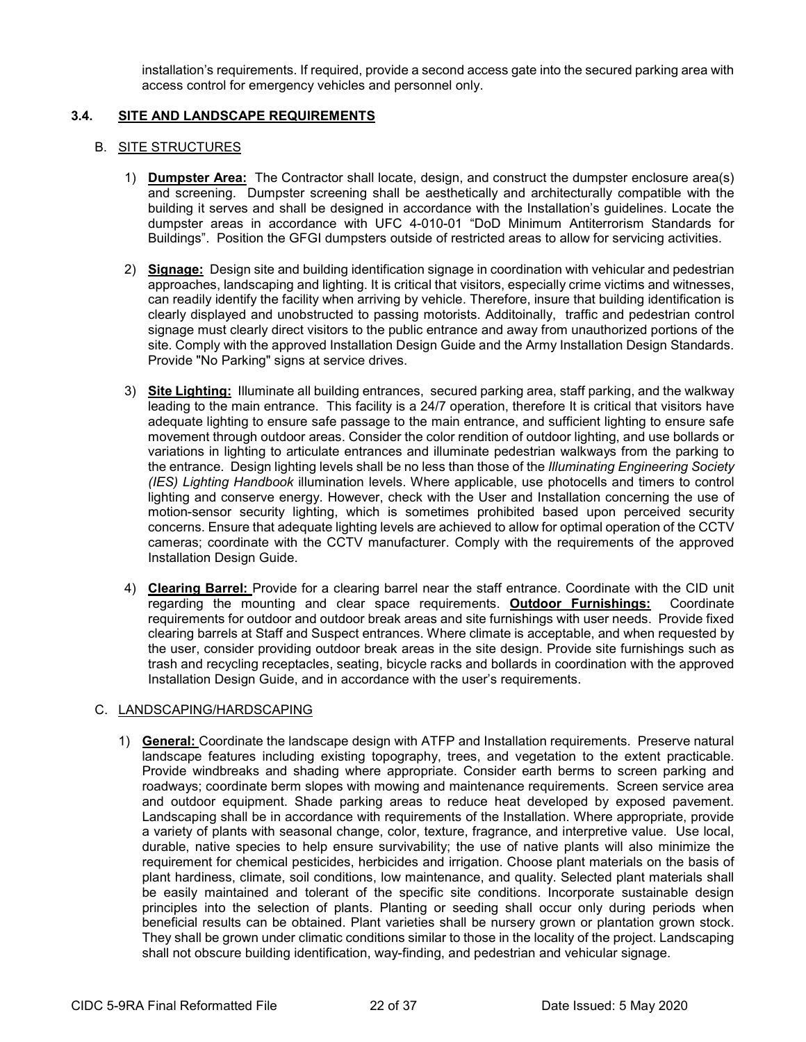installation's requirements. If required, provide a second access gate into the secured parking area with access control for emergency vehicles and personnel only.

#### **3.4. SITE AND LANDSCAPE REQUIREMENTS**

#### B. SITE STRUCTURES

- 1) **Dumpster Area:** The Contractor shall locate, design, and construct the dumpster enclosure area(s) and screening. Dumpster screening shall be aesthetically and architecturally compatible with the building it serves and shall be designed in accordance with the Installation's guidelines. Locate the dumpster areas in accordance with UFC 4-010-01 "DoD Minimum Antiterrorism Standards for Buildings". Position the GFGI dumpsters outside of restricted areas to allow for servicing activities.
- 2) **Signage:** Design site and building identification signage in coordination with vehicular and pedestrian approaches, landscaping and lighting. It is critical that visitors, especially crime victims and witnesses, can readily identify the facility when arriving by vehicle. Therefore, insure that building identification is clearly displayed and unobstructed to passing motorists. Additoinally, traffic and pedestrian control signage must clearly direct visitors to the public entrance and away from unauthorized portions of the site. Comply with the approved Installation Design Guide and the Army Installation Design Standards. Provide "No Parking" signs at service drives.
- 3) **Site Lighting:** Illuminate all building entrances, secured parking area, staff parking, and the walkway leading to the main entrance. This facility is a 24/7 operation, therefore It is critical that visitors have adequate lighting to ensure safe passage to the main entrance, and sufficient lighting to ensure safe movement through outdoor areas. Consider the color rendition of outdoor lighting, and use bollards or variations in lighting to articulate entrances and illuminate pedestrian walkways from the parking to the entrance. Design lighting levels shall be no less than those of the *Illuminating Engineering Society (IES) Lighting Handbook* illumination levels. Where applicable, use photocells and timers to control lighting and conserve energy. However, check with the User and Installation concerning the use of motion-sensor security lighting, which is sometimes prohibited based upon perceived security concerns. Ensure that adequate lighting levels are achieved to allow for optimal operation of the CCTV cameras; coordinate with the CCTV manufacturer. Comply with the requirements of the approved Installation Design Guide.
- 4) **Clearing Barrel:** Provide for a clearing barrel near the staff entrance. Coordinate with the CID unit regarding the mounting and clear space requirements. **Outdoor Furnishings:** Coordinate requirements for outdoor and outdoor break areas and site furnishings with user needs. Provide fixed clearing barrels at Staff and Suspect entrances. Where climate is acceptable, and when requested by the user, consider providing outdoor break areas in the site design. Provide site furnishings such as trash and recycling receptacles, seating, bicycle racks and bollards in coordination with the approved Installation Design Guide, and in accordance with the user's requirements.

### C. LANDSCAPING/HARDSCAPING

1) **General:** Coordinate the landscape design with ATFP and Installation requirements. Preserve natural landscape features including existing topography, trees, and vegetation to the extent practicable. Provide windbreaks and shading where appropriate. Consider earth berms to screen parking and roadways; coordinate berm slopes with mowing and maintenance requirements. Screen service area and outdoor equipment. Shade parking areas to reduce heat developed by exposed pavement. Landscaping shall be in accordance with requirements of the Installation. Where appropriate, provide a variety of plants with seasonal change, color, texture, fragrance, and interpretive value. Use local, durable, native species to help ensure survivability; the use of native plants will also minimize the requirement for chemical pesticides, herbicides and irrigation. Choose plant materials on the basis of plant hardiness, climate, soil conditions, low maintenance, and quality. Selected plant materials shall be easily maintained and tolerant of the specific site conditions. Incorporate sustainable design principles into the selection of plants. Planting or seeding shall occur only during periods when beneficial results can be obtained. Plant varieties shall be nursery grown or plantation grown stock. They shall be grown under climatic conditions similar to those in the locality of the project. Landscaping shall not obscure building identification, way-finding, and pedestrian and vehicular signage.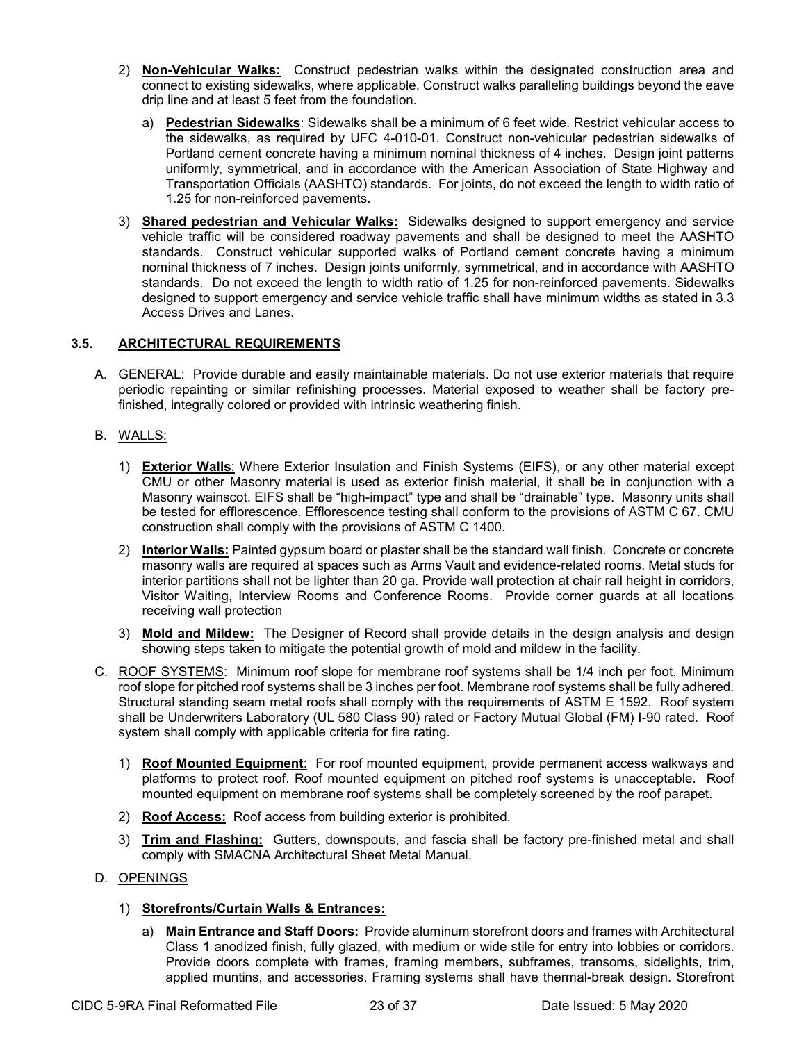- 2) **Non-Vehicular Walks:** Construct pedestrian walks within the designated construction area and connect to existing sidewalks, where applicable. Construct walks paralleling buildings beyond the eave drip line and at least 5 feet from the foundation.
	- a) **Pedestrian Sidewalks**: Sidewalks shall be a minimum of 6 feet wide. Restrict vehicular access to the sidewalks, as required by UFC 4-010-01. Construct non-vehicular pedestrian sidewalks of Portland cement concrete having a minimum nominal thickness of 4 inches. Design joint patterns uniformly, symmetrical, and in accordance with the American Association of State Highway and Transportation Officials (AASHTO) standards. For joints, do not exceed the length to width ratio of 1.25 for non-reinforced pavements.
- 3) **Shared pedestrian and Vehicular Walks:** Sidewalks designed to support emergency and service vehicle traffic will be considered roadway pavements and shall be designed to meet the AASHTO standards. Construct vehicular supported walks of Portland cement concrete having a minimum nominal thickness of 7 inches. Design joints uniformly, symmetrical, and in accordance with AASHTO standards. Do not exceed the length to width ratio of 1.25 for non-reinforced pavements. Sidewalks designed to support emergency and service vehicle traffic shall have minimum widths as stated in 3.3 Access Drives and Lanes.

### **3.5. ARCHITECTURAL REQUIREMENTS**

- A. GENERAL: Provide durable and easily maintainable materials. Do not use exterior materials that require periodic repainting or similar refinishing processes. Material exposed to weather shall be factory prefinished, integrally colored or provided with intrinsic weathering finish.
- B. WALLS:
	- 1) **Exterior Walls**: Where Exterior Insulation and Finish Systems (EIFS), or any other material except CMU or other Masonry material is used as exterior finish material, it shall be in conjunction with a Masonry wainscot. EIFS shall be "high-impact" type and shall be "drainable" type. Masonry units shall be tested for efflorescence. Efflorescence testing shall conform to the provisions of ASTM C 67. CMU construction shall comply with the provisions of ASTM C 1400.
	- 2) **Interior Walls:** Painted gypsum board or plaster shall be the standard wall finish. Concrete or concrete masonry walls are required at spaces such as Arms Vault and evidence-related rooms. Metal studs for interior partitions shall not be lighter than 20 ga. Provide wall protection at chair rail height in corridors, Visitor Waiting, Interview Rooms and Conference Rooms. Provide corner guards at all locations receiving wall protection
	- 3) **Mold and Mildew:** The Designer of Record shall provide details in the design analysis and design showing steps taken to mitigate the potential growth of mold and mildew in the facility.
- C. ROOF SYSTEMS: Minimum roof slope for membrane roof systems shall be 1/4 inch per foot. Minimum roof slope for pitched roof systems shall be 3 inches per foot. Membrane roof systems shall be fully adhered. Structural standing seam metal roofs shall comply with the requirements of ASTM E 1592. Roof system shall be Underwriters Laboratory (UL 580 Class 90) rated or Factory Mutual Global (FM) I-90 rated. Roof system shall comply with applicable criteria for fire rating.
	- 1) **Roof Mounted Equipment**: For roof mounted equipment, provide permanent access walkways and platforms to protect roof. Roof mounted equipment on pitched roof systems is unacceptable. Roof mounted equipment on membrane roof systems shall be completely screened by the roof parapet.
	- 2) **Roof Access:** Roof access from building exterior is prohibited.
	- 3) **Trim and Flashing:** Gutters, downspouts, and fascia shall be factory pre-finished metal and shall comply with SMACNA Architectural Sheet Metal Manual.
- D. OPENINGS
	- 1) **Storefronts/Curtain Walls & Entrances:**
		- a) **Main Entrance and Staff Doors:** Provide aluminum storefront doors and frames with Architectural Class 1 anodized finish, fully glazed, with medium or wide stile for entry into lobbies or corridors. Provide doors complete with frames, framing members, subframes, transoms, sidelights, trim, applied muntins, and accessories. Framing systems shall have thermal-break design. Storefront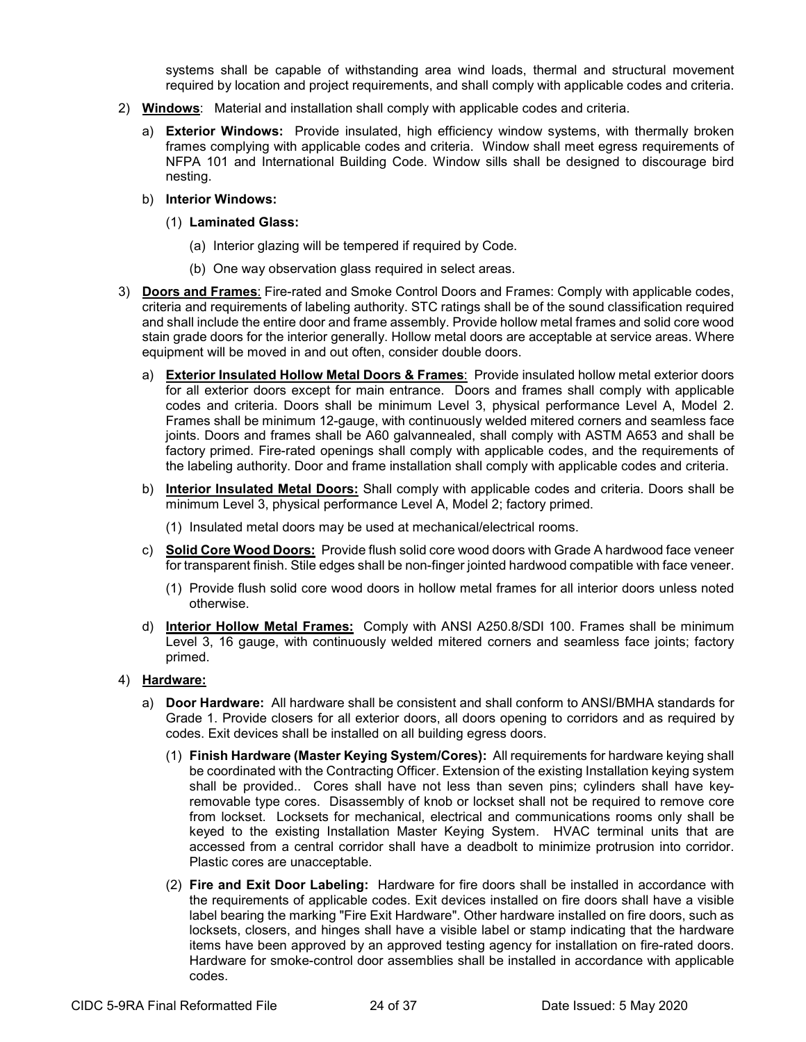systems shall be capable of withstanding area wind loads, thermal and structural movement required by location and project requirements, and shall comply with applicable codes and criteria.

- 2) **Windows**: Material and installation shall comply with applicable codes and criteria.
	- a) **Exterior Windows:** Provide insulated, high efficiency window systems, with thermally broken frames complying with applicable codes and criteria. Window shall meet egress requirements of NFPA 101 and International Building Code. Window sills shall be designed to discourage bird nesting.
	- b) **Interior Windows:**
		- (1) **Laminated Glass:**
			- (a) Interior glazing will be tempered if required by Code.
			- (b) One way observation glass required in select areas.
- 3) **Doors and Frames**: Fire-rated and Smoke Control Doors and Frames: Comply with applicable codes, criteria and requirements of labeling authority. STC ratings shall be of the sound classification required and shall include the entire door and frame assembly. Provide hollow metal frames and solid core wood stain grade doors for the interior generally. Hollow metal doors are acceptable at service areas. Where equipment will be moved in and out often, consider double doors.
	- a) **Exterior Insulated Hollow Metal Doors & Frames**: Provide insulated hollow metal exterior doors for all exterior doors except for main entrance. Doors and frames shall comply with applicable codes and criteria. Doors shall be minimum Level 3, physical performance Level A, Model 2. Frames shall be minimum 12-gauge, with continuously welded mitered corners and seamless face joints. Doors and frames shall be A60 galvannealed, shall comply with ASTM A653 and shall be factory primed. Fire-rated openings shall comply with applicable codes, and the requirements of the labeling authority. Door and frame installation shall comply with applicable codes and criteria.
	- b) **Interior Insulated Metal Doors:** Shall comply with applicable codes and criteria. Doors shall be minimum Level 3, physical performance Level A, Model 2; factory primed.
		- (1) Insulated metal doors may be used at mechanical/electrical rooms.
	- c) **Solid Core Wood Doors:** Provide flush solid core wood doors with Grade A hardwood face veneer for transparent finish. Stile edges shall be non-finger jointed hardwood compatible with face veneer.
		- (1) Provide flush solid core wood doors in hollow metal frames for all interior doors unless noted otherwise.
	- d) **Interior Hollow Metal Frames:** Comply with ANSI A250.8/SDI 100. Frames shall be minimum Level 3, 16 gauge, with continuously welded mitered corners and seamless face joints; factory primed.

#### 4) **Hardware:**

- a) **Door Hardware:** All hardware shall be consistent and shall conform to ANSI/BMHA standards for Grade 1. Provide closers for all exterior doors, all doors opening to corridors and as required by codes. Exit devices shall be installed on all building egress doors.
	- (1) **Finish Hardware (Master Keying System/Cores):** All requirements for hardware keying shall be coordinated with the Contracting Officer. Extension of the existing Installation keying system shall be provided.. Cores shall have not less than seven pins; cylinders shall have keyremovable type cores. Disassembly of knob or lockset shall not be required to remove core from lockset. Locksets for mechanical, electrical and communications rooms only shall be keyed to the existing Installation Master Keying System. HVAC terminal units that are accessed from a central corridor shall have a deadbolt to minimize protrusion into corridor. Plastic cores are unacceptable.
	- (2) **Fire and Exit Door Labeling:** Hardware for fire doors shall be installed in accordance with the requirements of applicable codes. Exit devices installed on fire doors shall have a visible label bearing the marking "Fire Exit Hardware". Other hardware installed on fire doors, such as locksets, closers, and hinges shall have a visible label or stamp indicating that the hardware items have been approved by an approved testing agency for installation on fire-rated doors. Hardware for smoke-control door assemblies shall be installed in accordance with applicable codes.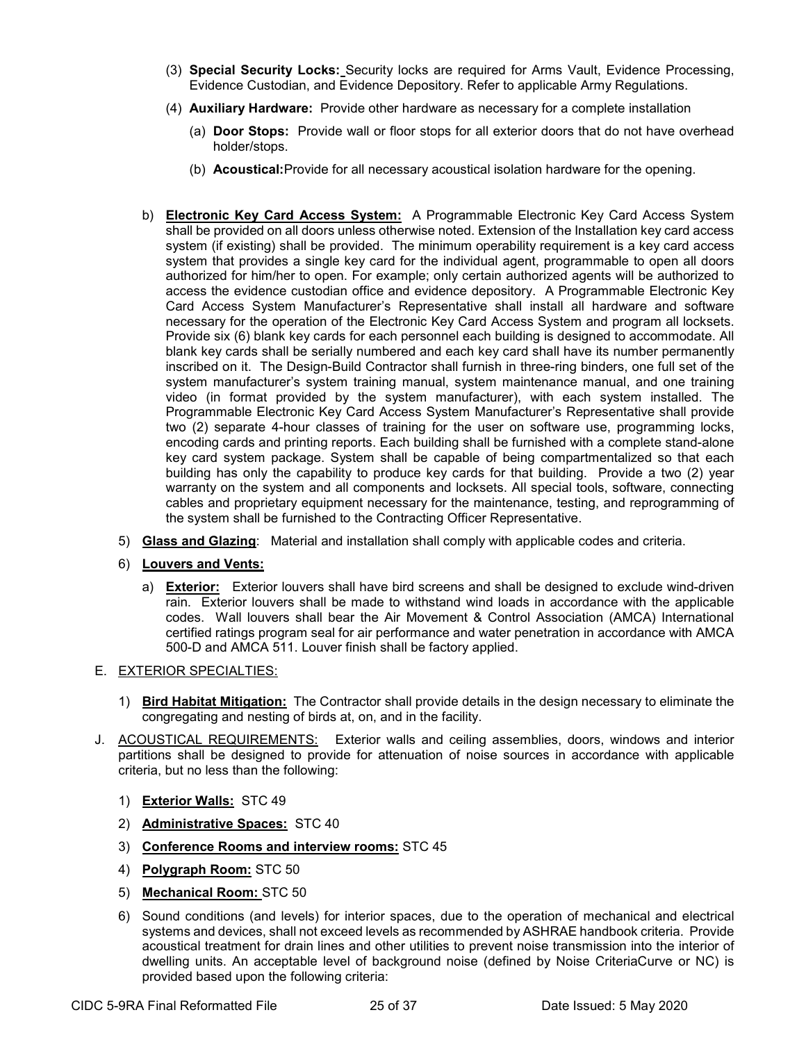- (3) **Special Security Locks:** Security locks are required for Arms Vault, Evidence Processing, Evidence Custodian, and Evidence Depository. Refer to applicable Army Regulations.
- (4) **Auxiliary Hardware:** Provide other hardware as necessary for a complete installation
	- (a) **Door Stops:** Provide wall or floor stops for all exterior doors that do not have overhead holder/stops.
	- (b) **Acoustical:**Provide for all necessary acoustical isolation hardware for the opening.
- b) **Electronic Key Card Access System:** A Programmable Electronic Key Card Access System shall be provided on all doors unless otherwise noted. Extension of the Installation key card access system (if existing) shall be provided. The minimum operability requirement is a key card access system that provides a single key card for the individual agent, programmable to open all doors authorized for him/her to open. For example; only certain authorized agents will be authorized to access the evidence custodian office and evidence depository. A Programmable Electronic Key Card Access System Manufacturer's Representative shall install all hardware and software necessary for the operation of the Electronic Key Card Access System and program all locksets. Provide six (6) blank key cards for each personnel each building is designed to accommodate. All blank key cards shall be serially numbered and each key card shall have its number permanently inscribed on it. The Design-Build Contractor shall furnish in three-ring binders, one full set of the system manufacturer's system training manual, system maintenance manual, and one training video (in format provided by the system manufacturer), with each system installed. The Programmable Electronic Key Card Access System Manufacturer's Representative shall provide two (2) separate 4-hour classes of training for the user on software use, programming locks, encoding cards and printing reports. Each building shall be furnished with a complete stand-alone key card system package. System shall be capable of being compartmentalized so that each building has only the capability to produce key cards for that building. Provide a two (2) year warranty on the system and all components and locksets. All special tools, software, connecting cables and proprietary equipment necessary for the maintenance, testing, and reprogramming of the system shall be furnished to the Contracting Officer Representative.
- 5) **Glass and Glazing**: Material and installation shall comply with applicable codes and criteria.
- 6) **Louvers and Vents:**
	- a) **Exterior:** Exterior louvers shall have bird screens and shall be designed to exclude wind-driven rain. Exterior louvers shall be made to withstand wind loads in accordance with the applicable codes. Wall louvers shall bear the Air Movement & Control Association (AMCA) International certified ratings program seal for air performance and water penetration in accordance with AMCA 500-D and AMCA 511. Louver finish shall be factory applied.

### E. EXTERIOR SPECIALTIES:

- 1) **Bird Habitat Mitigation:** The Contractor shall provide details in the design necessary to eliminate the congregating and nesting of birds at, on, and in the facility.
- J. ACOUSTICAL REQUIREMENTS: Exterior walls and ceiling assemblies, doors, windows and interior partitions shall be designed to provide for attenuation of noise sources in accordance with applicable criteria, but no less than the following:
	- 1) **Exterior Walls:** STC 49
	- 2) **Administrative Spaces:** STC 40
	- 3) **Conference Rooms and interview rooms:** STC 45
	- 4) **Polygraph Room:** STC 50
	- 5) **Mechanical Room:** STC 50
	- 6) Sound conditions (and levels) for interior spaces, due to the operation of mechanical and electrical systems and devices, shall not exceed levels as recommended by ASHRAE handbook criteria. Provide acoustical treatment for drain lines and other utilities to prevent noise transmission into the interior of dwelling units. An acceptable level of background noise (defined by Noise CriteriaCurve or NC) is provided based upon the following criteria: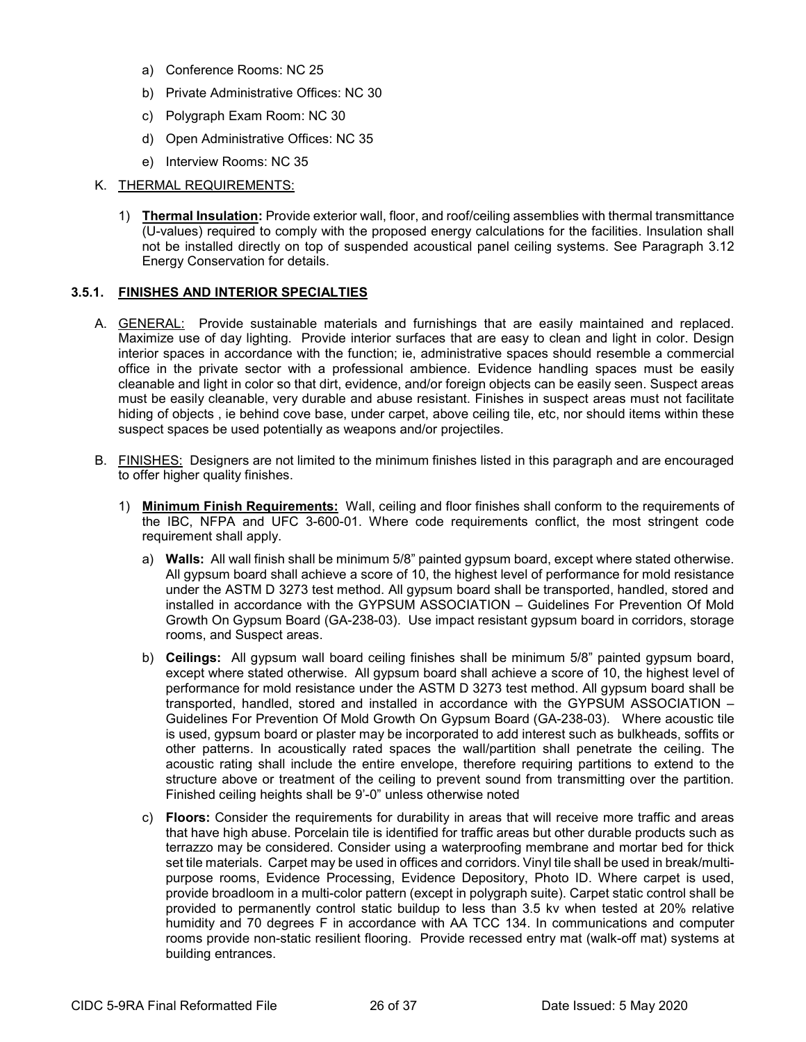- a) Conference Rooms: NC 25
- b) Private Administrative Offices: NC 30
- c) Polygraph Exam Room: NC 30
- d) Open Administrative Offices: NC 35
- e) Interview Rooms: NC 35

#### K. THERMAL REQUIREMENTS:

1) **Thermal Insulation:** Provide exterior wall, floor, and roof/ceiling assemblies with thermal transmittance (U-values) required to comply with the proposed energy calculations for the facilities. Insulation shall not be installed directly on top of suspended acoustical panel ceiling systems. See Paragraph 3.12 Energy Conservation for details.

#### **3.5.1. FINISHES AND INTERIOR SPECIALTIES**

- A. GENERAL: Provide sustainable materials and furnishings that are easily maintained and replaced. Maximize use of day lighting. Provide interior surfaces that are easy to clean and light in color. Design interior spaces in accordance with the function; ie, administrative spaces should resemble a commercial office in the private sector with a professional ambience. Evidence handling spaces must be easily cleanable and light in color so that dirt, evidence, and/or foreign objects can be easily seen. Suspect areas must be easily cleanable, very durable and abuse resistant. Finishes in suspect areas must not facilitate hiding of objects , ie behind cove base, under carpet, above ceiling tile, etc, nor should items within these suspect spaces be used potentially as weapons and/or projectiles.
- B. FINISHES: Designers are not limited to the minimum finishes listed in this paragraph and are encouraged to offer higher quality finishes.
	- 1) **Minimum Finish Requirements:** Wall, ceiling and floor finishes shall conform to the requirements of the IBC, NFPA and UFC 3-600-01. Where code requirements conflict, the most stringent code requirement shall apply.
		- a) **Walls:** All wall finish shall be minimum 5/8" painted gypsum board, except where stated otherwise. All gypsum board shall achieve a score of 10, the highest level of performance for mold resistance under the ASTM D 3273 test method. All gypsum board shall be transported, handled, stored and installed in accordance with the GYPSUM ASSOCIATION – Guidelines For Prevention Of Mold Growth On Gypsum Board (GA-238-03). Use impact resistant gypsum board in corridors, storage rooms, and Suspect areas.
		- b) **Ceilings:** All gypsum wall board ceiling finishes shall be minimum 5/8" painted gypsum board, except where stated otherwise. All gypsum board shall achieve a score of 10, the highest level of performance for mold resistance under the ASTM D 3273 test method. All gypsum board shall be transported, handled, stored and installed in accordance with the GYPSUM ASSOCIATION – Guidelines For Prevention Of Mold Growth On Gypsum Board (GA-238-03). Where acoustic tile is used, gypsum board or plaster may be incorporated to add interest such as bulkheads, soffits or other patterns. In acoustically rated spaces the wall/partition shall penetrate the ceiling. The acoustic rating shall include the entire envelope, therefore requiring partitions to extend to the structure above or treatment of the ceiling to prevent sound from transmitting over the partition. Finished ceiling heights shall be 9'-0" unless otherwise noted
		- c) **Floors:** Consider the requirements for durability in areas that will receive more traffic and areas that have high abuse. Porcelain tile is identified for traffic areas but other durable products such as terrazzo may be considered. Consider using a waterproofing membrane and mortar bed for thick set tile materials. Carpet may be used in offices and corridors. Vinyl tile shall be used in break/multipurpose rooms, Evidence Processing, Evidence Depository, Photo ID. Where carpet is used, provide broadloom in a multi-color pattern (except in polygraph suite). Carpet static control shall be provided to permanently control static buildup to less than 3.5 kv when tested at 20% relative humidity and 70 degrees F in accordance with AA TCC 134. In communications and computer rooms provide non-static resilient flooring. Provide recessed entry mat (walk-off mat) systems at building entrances.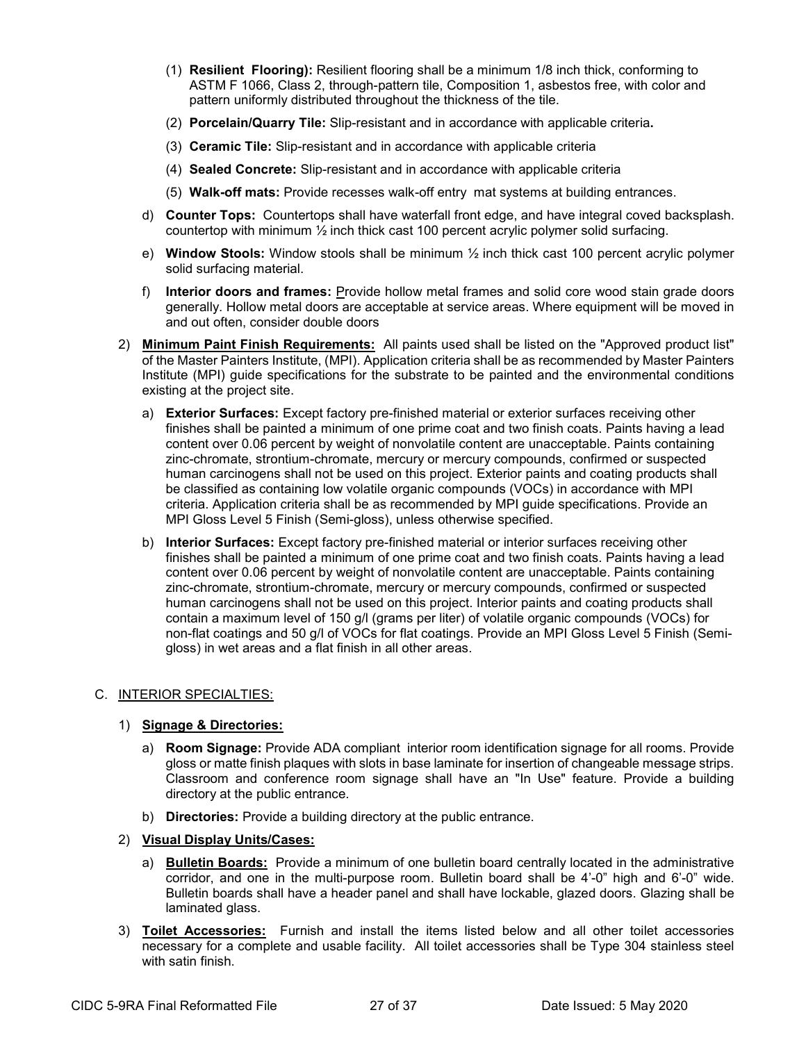- (1) **Resilient Flooring):** Resilient flooring shall be a minimum 1/8 inch thick, conforming to ASTM F 1066, Class 2, through-pattern tile, Composition 1, asbestos free, with color and pattern uniformly distributed throughout the thickness of the tile.
- (2) **Porcelain/Quarry Tile:** Slip-resistant and in accordance with applicable criteria**.**
- (3) **Ceramic Tile:** Slip-resistant and in accordance with applicable criteria
- (4) **Sealed Concrete:** Slip-resistant and in accordance with applicable criteria
- (5) **Walk-off mats:** Provide recesses walk-off entry mat systems at building entrances.
- d) **Counter Tops:** Countertops shall have waterfall front edge, and have integral coved backsplash. countertop with minimum  $\frac{1}{2}$  inch thick cast 100 percent acrylic polymer solid surfacing.
- e) **Window Stools:** Window stools shall be minimum ½ inch thick cast 100 percent acrylic polymer solid surfacing material.
- f) **Interior doors and frames:** Provide hollow metal frames and solid core wood stain grade doors generally. Hollow metal doors are acceptable at service areas. Where equipment will be moved in and out often, consider double doors
- 2) **Minimum Paint Finish Requirements:** All paints used shall be listed on the "Approved product list" of the Master Painters Institute, (MPI). Application criteria shall be as recommended by Master Painters Institute (MPI) guide specifications for the substrate to be painted and the environmental conditions existing at the project site.
	- a) **Exterior Surfaces:** Except factory pre-finished material or exterior surfaces receiving other finishes shall be painted a minimum of one prime coat and two finish coats. Paints having a lead content over 0.06 percent by weight of nonvolatile content are unacceptable. Paints containing zinc-chromate, strontium-chromate, mercury or mercury compounds, confirmed or suspected human carcinogens shall not be used on this project. Exterior paints and coating products shall be classified as containing low volatile organic compounds (VOCs) in accordance with MPI criteria. Application criteria shall be as recommended by MPI guide specifications. Provide an MPI Gloss Level 5 Finish (Semi-gloss), unless otherwise specified.
	- b) **Interior Surfaces:** Except factory pre-finished material or interior surfaces receiving other finishes shall be painted a minimum of one prime coat and two finish coats. Paints having a lead content over 0.06 percent by weight of nonvolatile content are unacceptable. Paints containing zinc-chromate, strontium-chromate, mercury or mercury compounds, confirmed or suspected human carcinogens shall not be used on this project. Interior paints and coating products shall contain a maximum level of 150 g/l (grams per liter) of volatile organic compounds (VOCs) for non-flat coatings and 50 g/l of VOCs for flat coatings. Provide an MPI Gloss Level 5 Finish (Semigloss) in wet areas and a flat finish in all other areas.

### C. INTERIOR SPECIALTIES:

### 1) **Signage & Directories:**

- a) **Room Signage:** Provide ADA compliant interior room identification signage for all rooms. Provide gloss or matte finish plaques with slots in base laminate for insertion of changeable message strips. Classroom and conference room signage shall have an "In Use" feature. Provide a building directory at the public entrance.
- b) **Directories:** Provide a building directory at the public entrance.
- 2) **Visual Display Units/Cases:**
	- a) **Bulletin Boards:** Provide a minimum of one bulletin board centrally located in the administrative corridor, and one in the multi-purpose room. Bulletin board shall be 4'-0" high and 6'-0" wide. Bulletin boards shall have a header panel and shall have lockable, glazed doors. Glazing shall be laminated glass.
- 3) **Toilet Accessories:** Furnish and install the items listed below and all other toilet accessories necessary for a complete and usable facility. All toilet accessories shall be Type 304 stainless steel with satin finish.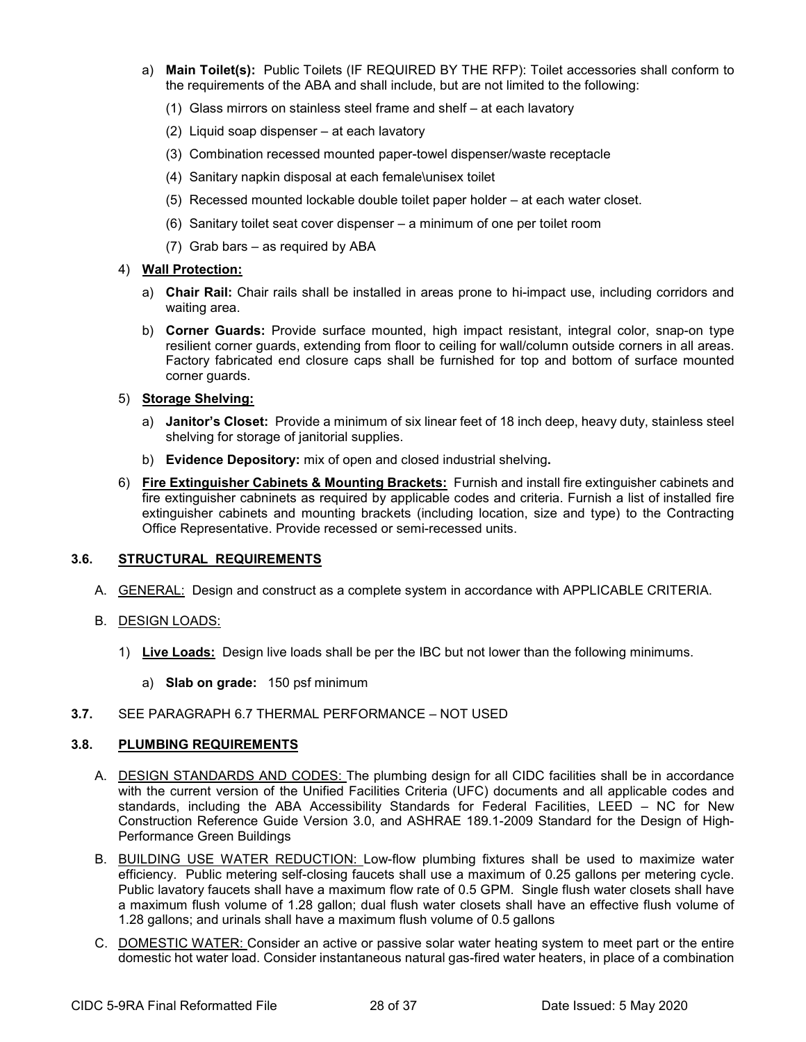- a) **Main Toilet(s):** Public Toilets (IF REQUIRED BY THE RFP): Toilet accessories shall conform to the requirements of the ABA and shall include, but are not limited to the following:
	- (1) Glass mirrors on stainless steel frame and shelf at each lavatory
	- (2) Liquid soap dispenser at each lavatory
	- (3) Combination recessed mounted paper-towel dispenser/waste receptacle
	- (4) Sanitary napkin disposal at each female\unisex toilet
	- (5) Recessed mounted lockable double toilet paper holder at each water closet.
	- (6) Sanitary toilet seat cover dispenser a minimum of one per toilet room
	- (7) Grab bars as required by ABA

#### 4) **Wall Protection:**

- a) **Chair Rail:** Chair rails shall be installed in areas prone to hi-impact use, including corridors and waiting area.
- b) **Corner Guards:** Provide surface mounted, high impact resistant, integral color, snap-on type resilient corner guards, extending from floor to ceiling for wall/column outside corners in all areas. Factory fabricated end closure caps shall be furnished for top and bottom of surface mounted corner guards.

#### 5) **Storage Shelving:**

- a) **Janitor's Closet:** Provide a minimum of six linear feet of 18 inch deep, heavy duty, stainless steel shelving for storage of janitorial supplies.
- b) **Evidence Depository:** mix of open and closed industrial shelving**.**
- 6) **Fire Extinguisher Cabinets & Mounting Brackets:** Furnish and install fire extinguisher cabinets and fire extinguisher cabninets as required by applicable codes and criteria. Furnish a list of installed fire extinguisher cabinets and mounting brackets (including location, size and type) to the Contracting Office Representative. Provide recessed or semi-recessed units.

### **3.6. STRUCTURAL REQUIREMENTS**

- A. GENERAL: Design and construct as a complete system in accordance with APPLICABLE CRITERIA.
- B. DESIGN LOADS:
	- 1) **Live Loads:** Design live loads shall be per the IBC but not lower than the following minimums.
		- a) **Slab on grade:** 150 psf minimum
- **3.7.** SEE PARAGRAPH 6.7 THERMAL PERFORMANCE NOT USED

### **3.8. PLUMBING REQUIREMENTS**

- A. DESIGN STANDARDS AND CODES: The plumbing design for all CIDC facilities shall be in accordance with the current version of the Unified Facilities Criteria (UFC) documents and all applicable codes and standards, including the ABA Accessibility Standards for Federal Facilities, LEED – NC for New Construction Reference Guide Version 3.0, and ASHRAE 189.1-2009 Standard for the Design of High-Performance Green Buildings
- B. BUILDING USE WATER REDUCTION: Low-flow plumbing fixtures shall be used to maximize water efficiency. Public metering self-closing faucets shall use a maximum of 0.25 gallons per metering cycle. Public lavatory faucets shall have a maximum flow rate of 0.5 GPM. Single flush water closets shall have a maximum flush volume of 1.28 gallon; dual flush water closets shall have an effective flush volume of 1.28 gallons; and urinals shall have a maximum flush volume of 0.5 gallons
- C. DOMESTIC WATER: Consider an active or passive solar water heating system to meet part or the entire domestic hot water load. Consider instantaneous natural gas-fired water heaters, in place of a combination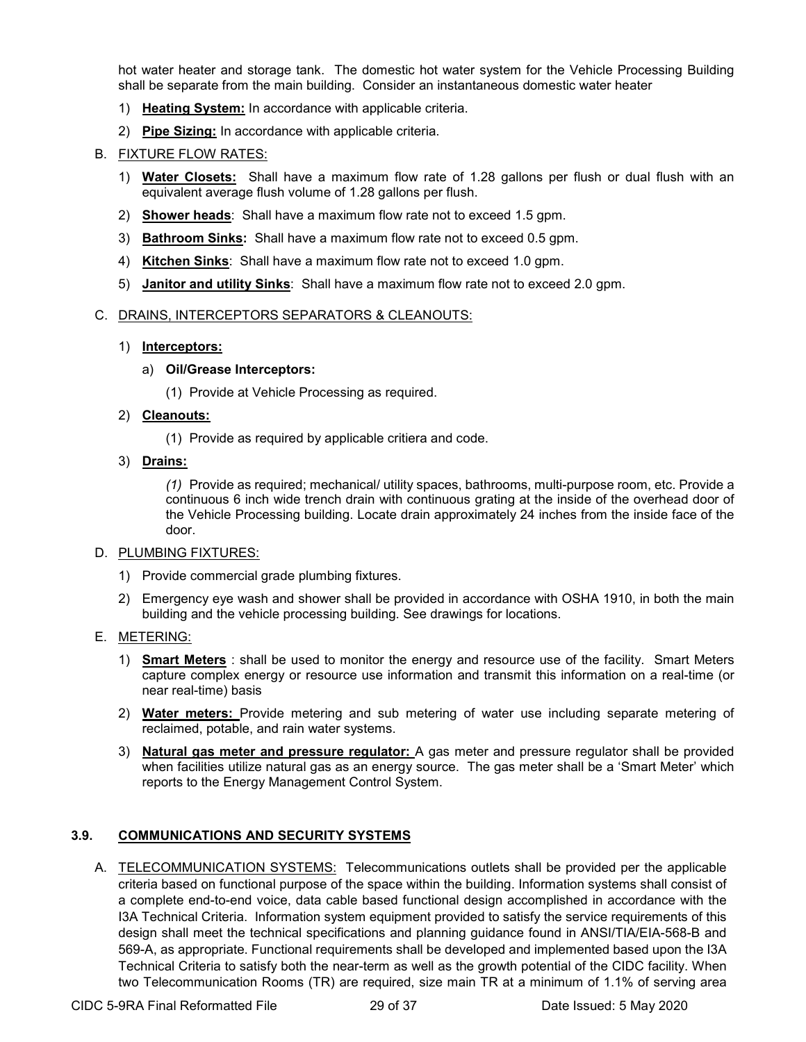hot water heater and storage tank. The domestic hot water system for the Vehicle Processing Building shall be separate from the main building. Consider an instantaneous domestic water heater

- 1) **Heating System:** In accordance with applicable criteria.
- 2) **Pipe Sizing:** In accordance with applicable criteria.

#### B. FIXTURE FLOW RATES:

- 1) **Water Closets:** Shall have a maximum flow rate of 1.28 gallons per flush or dual flush with an equivalent average flush volume of 1.28 gallons per flush.
- 2) **Shower heads**: Shall have a maximum flow rate not to exceed 1.5 gpm.
- 3) **Bathroom Sinks:** Shall have a maximum flow rate not to exceed 0.5 gpm.
- 4) **Kitchen Sinks**: Shall have a maximum flow rate not to exceed 1.0 gpm.
- 5) **Janitor and utility Sinks**: Shall have a maximum flow rate not to exceed 2.0 gpm.

#### C. DRAINS, INTERCEPTORS SEPARATORS & CLEANOUTS:

#### 1) **Interceptors:**

#### a) **Oil/Grease Interceptors:**

(1) Provide at Vehicle Processing as required.

#### 2) **Cleanouts:**

- (1) Provide as required by applicable critiera and code.
- 3) **Drains:**

*(1)* Provide as required; mechanical/ utility spaces, bathrooms, multi-purpose room, etc. Provide a continuous 6 inch wide trench drain with continuous grating at the inside of the overhead door of the Vehicle Processing building. Locate drain approximately 24 inches from the inside face of the door.

#### D. PLUMBING FIXTURES:

- 1) Provide commercial grade plumbing fixtures.
- 2) Emergency eye wash and shower shall be provided in accordance with OSHA 1910, in both the main building and the vehicle processing building. See drawings for locations.

#### E. METERING:

- 1) **Smart Meters** : shall be used to monitor the energy and resource use of the facility. Smart Meters capture complex energy or resource use information and transmit this information on a real-time (or near real-time) basis
- 2) **Water meters:** Provide metering and sub metering of water use including separate metering of reclaimed, potable, and rain water systems.
- 3) **Natural gas meter and pressure regulator:** A gas meter and pressure regulator shall be provided when facilities utilize natural gas as an energy source. The gas meter shall be a 'Smart Meter' which reports to the Energy Management Control System.

### **3.9. COMMUNICATIONS AND SECURITY SYSTEMS**

A. TELECOMMUNICATION SYSTEMS: Telecommunications outlets shall be provided per the applicable criteria based on functional purpose of the space within the building. Information systems shall consist of a complete end-to-end voice, data cable based functional design accomplished in accordance with the I3A Technical Criteria. Information system equipment provided to satisfy the service requirements of this design shall meet the technical specifications and planning guidance found in ANSI/TIA/EIA-568-B and 569-A, as appropriate. Functional requirements shall be developed and implemented based upon the I3A Technical Criteria to satisfy both the near-term as well as the growth potential of the CIDC facility. When two Telecommunication Rooms (TR) are required, size main TR at a minimum of 1.1% of serving area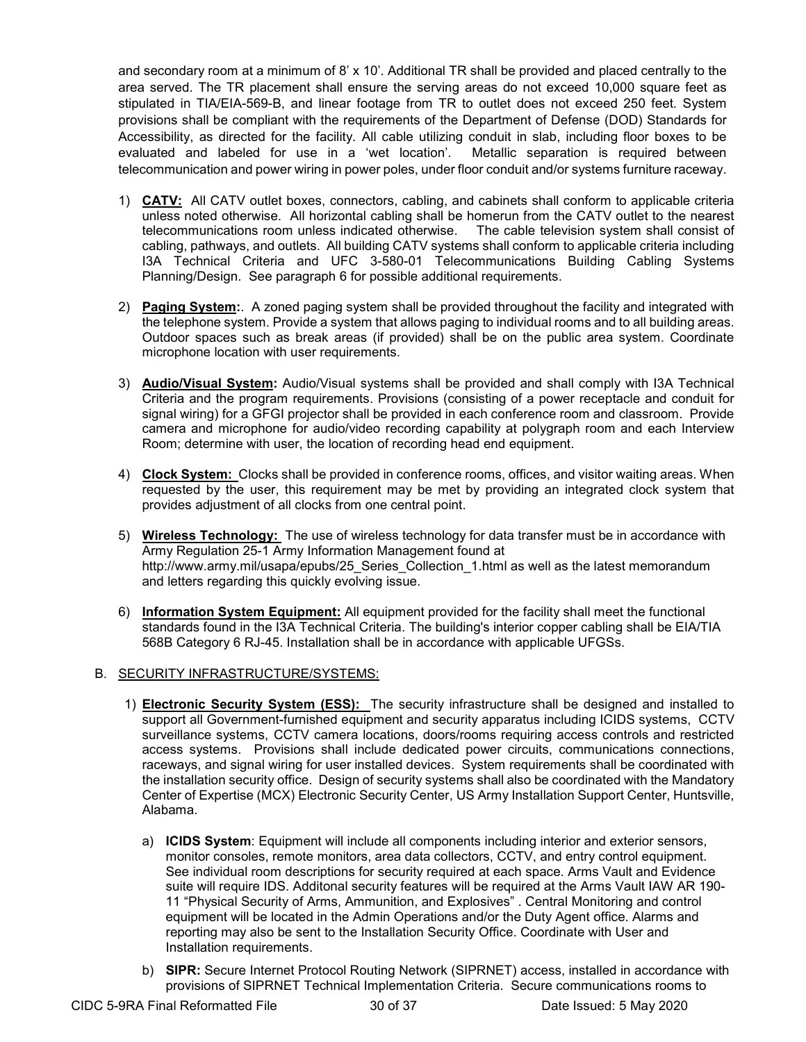and secondary room at a minimum of 8' x 10'. Additional TR shall be provided and placed centrally to the area served. The TR placement shall ensure the serving areas do not exceed 10,000 square feet as stipulated in TIA/EIA-569-B, and linear footage from TR to outlet does not exceed 250 feet. System provisions shall be compliant with the requirements of the Department of Defense (DOD) Standards for Accessibility, as directed for the facility. All cable utilizing conduit in slab, including floor boxes to be evaluated and labeled for use in a 'wet location'. Metallic separation is required between telecommunication and power wiring in power poles, under floor conduit and/or systems furniture raceway.

- 1) **CATV:** All CATV outlet boxes, connectors, cabling, and cabinets shall conform to applicable criteria unless noted otherwise. All horizontal cabling shall be homerun from the CATV outlet to the nearest telecommunications room unless indicated otherwise. The cable television system shall consist of cabling, pathways, and outlets. All building CATV systems shall conform to applicable criteria including I3A Technical Criteria and UFC 3-580-01 Telecommunications Building Cabling Systems Planning/Design. See paragraph 6 for possible additional requirements.
- 2) **Paging System:**. A zoned paging system shall be provided throughout the facility and integrated with the telephone system. Provide a system that allows paging to individual rooms and to all building areas. Outdoor spaces such as break areas (if provided) shall be on the public area system. Coordinate microphone location with user requirements.
- 3) **Audio/Visual System:** Audio/Visual systems shall be provided and shall comply with I3A Technical Criteria and the program requirements. Provisions (consisting of a power receptacle and conduit for signal wiring) for a GFGI projector shall be provided in each conference room and classroom. Provide camera and microphone for audio/video recording capability at polygraph room and each Interview Room; determine with user, the location of recording head end equipment.
- 4) **Clock System:** Clocks shall be provided in conference rooms, offices, and visitor waiting areas. When requested by the user, this requirement may be met by providing an integrated clock system that provides adjustment of all clocks from one central point.
- 5) **Wireless Technology:** The use of wireless technology for data transfer must be in accordance with Army Regulation 25-1 Army Information Management found at http://www.army.mil/usapa/epubs/25 Series Collection 1.html as well as the latest memorandum and letters regarding this quickly evolving issue.
- 6) **Information System Equipment:** All equipment provided for the facility shall meet the functional standards found in the I3A Technical Criteria. The building's interior copper cabling shall be EIA/TIA 568B Category 6 RJ-45. Installation shall be in accordance with applicable UFGSs.

### B. SECURITY INFRASTRUCTURE/SYSTEMS:

- 1) **Electronic Security System (ESS):** The security infrastructure shall be designed and installed to support all Government-furnished equipment and security apparatus including ICIDS systems, CCTV surveillance systems, CCTV camera locations, doors/rooms requiring access controls and restricted access systems. Provisions shall include dedicated power circuits, communications connections, raceways, and signal wiring for user installed devices. System requirements shall be coordinated with the installation security office. Design of security systems shall also be coordinated with the Mandatory Center of Expertise (MCX) Electronic Security Center, US Army Installation Support Center, Huntsville, Alabama.
	- a) **ICIDS System**: Equipment will include all components including interior and exterior sensors, monitor consoles, remote monitors, area data collectors, CCTV, and entry control equipment. See individual room descriptions for security required at each space. Arms Vault and Evidence suite will require IDS. Additonal security features will be required at the Arms Vault IAW AR 190- 11 "Physical Security of Arms, Ammunition, and Explosives" . Central Monitoring and control equipment will be located in the Admin Operations and/or the Duty Agent office. Alarms and reporting may also be sent to the Installation Security Office. Coordinate with User and Installation requirements.
	- b) **SIPR:** Secure Internet Protocol Routing Network (SIPRNET) access, installed in accordance with provisions of SIPRNET Technical Implementation Criteria. Secure communications rooms to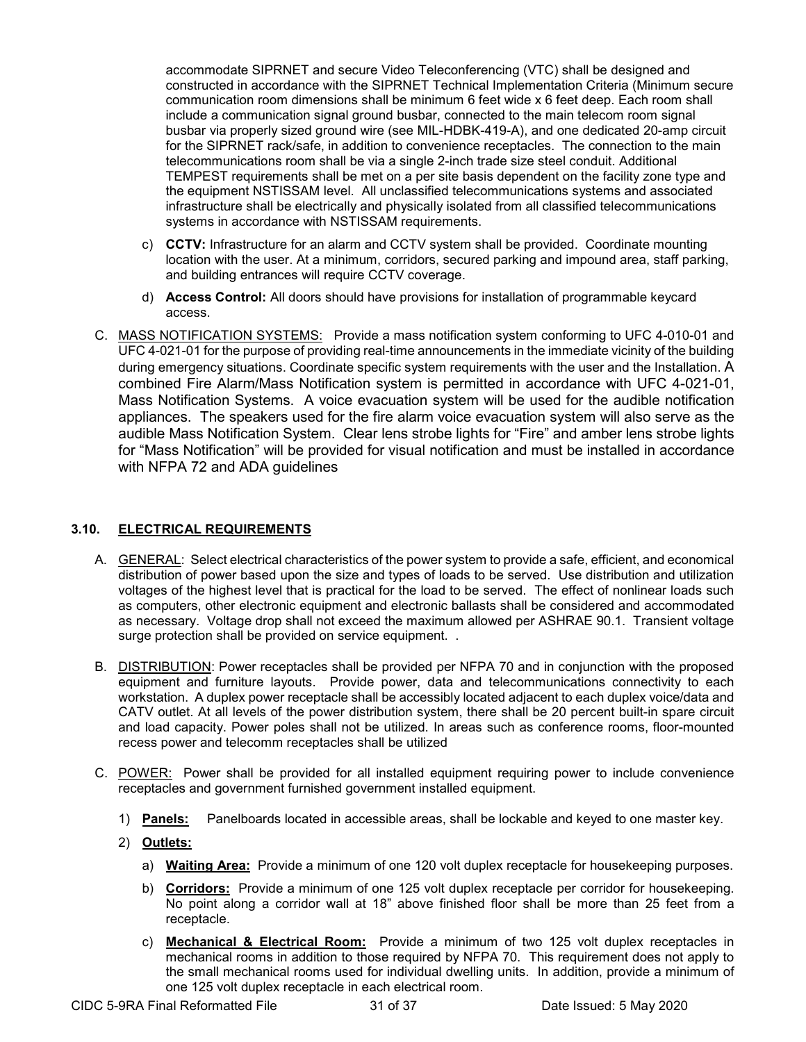accommodate SIPRNET and secure Video Teleconferencing (VTC) shall be designed and constructed in accordance with the SIPRNET Technical Implementation Criteria (Minimum secure communication room dimensions shall be minimum 6 feet wide x 6 feet deep. Each room shall include a communication signal ground busbar, connected to the main telecom room signal busbar via properly sized ground wire (see MIL-HDBK-419-A), and one dedicated 20-amp circuit for the SIPRNET rack/safe, in addition to convenience receptacles. The connection to the main telecommunications room shall be via a single 2-inch trade size steel conduit. Additional TEMPEST requirements shall be met on a per site basis dependent on the facility zone type and the equipment NSTISSAM level. All unclassified telecommunications systems and associated infrastructure shall be electrically and physically isolated from all classified telecommunications systems in accordance with NSTISSAM requirements.

- c) **CCTV:** Infrastructure for an alarm and CCTV system shall be provided. Coordinate mounting location with the user. At a minimum, corridors, secured parking and impound area, staff parking, and building entrances will require CCTV coverage.
- d) **Access Control:** All doors should have provisions for installation of programmable keycard access.
- C. MASS NOTIFICATION SYSTEMS: Provide a mass notification system conforming to UFC 4-010-01 and UFC 4-021-01 for the purpose of providing real-time announcements in the immediate vicinity of the building during emergency situations. Coordinate specific system requirements with the user and the Installation. A combined Fire Alarm/Mass Notification system is permitted in accordance with UFC 4-021-01, Mass Notification Systems. A voice evacuation system will be used for the audible notification appliances. The speakers used for the fire alarm voice evacuation system will also serve as the audible Mass Notification System. Clear lens strobe lights for "Fire" and amber lens strobe lights for "Mass Notification" will be provided for visual notification and must be installed in accordance with NFPA 72 and ADA guidelines

### **3.10. ELECTRICAL REQUIREMENTS**

- A. GENERAL: Select electrical characteristics of the power system to provide a safe, efficient, and economical distribution of power based upon the size and types of loads to be served. Use distribution and utilization voltages of the highest level that is practical for the load to be served. The effect of nonlinear loads such as computers, other electronic equipment and electronic ballasts shall be considered and accommodated as necessary. Voltage drop shall not exceed the maximum allowed per ASHRAE 90.1. Transient voltage surge protection shall be provided on service equipment. .
- B. DISTRIBUTION: Power receptacles shall be provided per NFPA 70 and in conjunction with the proposed equipment and furniture layouts. Provide power, data and telecommunications connectivity to each workstation. A duplex power receptacle shall be accessibly located adjacent to each duplex voice/data and CATV outlet. At all levels of the power distribution system, there shall be 20 percent built-in spare circuit and load capacity. Power poles shall not be utilized. In areas such as conference rooms, floor-mounted recess power and telecomm receptacles shall be utilized
- C. POWER: Power shall be provided for all installed equipment requiring power to include convenience receptacles and government furnished government installed equipment.
	- 1) **Panels:** Panelboards located in accessible areas, shall be lockable and keyed to one master key.
	- 2) **Outlets:**
		- a) **Waiting Area:** Provide a minimum of one 120 volt duplex receptacle for housekeeping purposes.
		- b) **Corridors:** Provide a minimum of one 125 volt duplex receptacle per corridor for housekeeping. No point along a corridor wall at 18" above finished floor shall be more than 25 feet from a receptacle.
		- c) **Mechanical & Electrical Room:** Provide a minimum of two 125 volt duplex receptacles in mechanical rooms in addition to those required by NFPA 70. This requirement does not apply to the small mechanical rooms used for individual dwelling units. In addition, provide a minimum of one 125 volt duplex receptacle in each electrical room.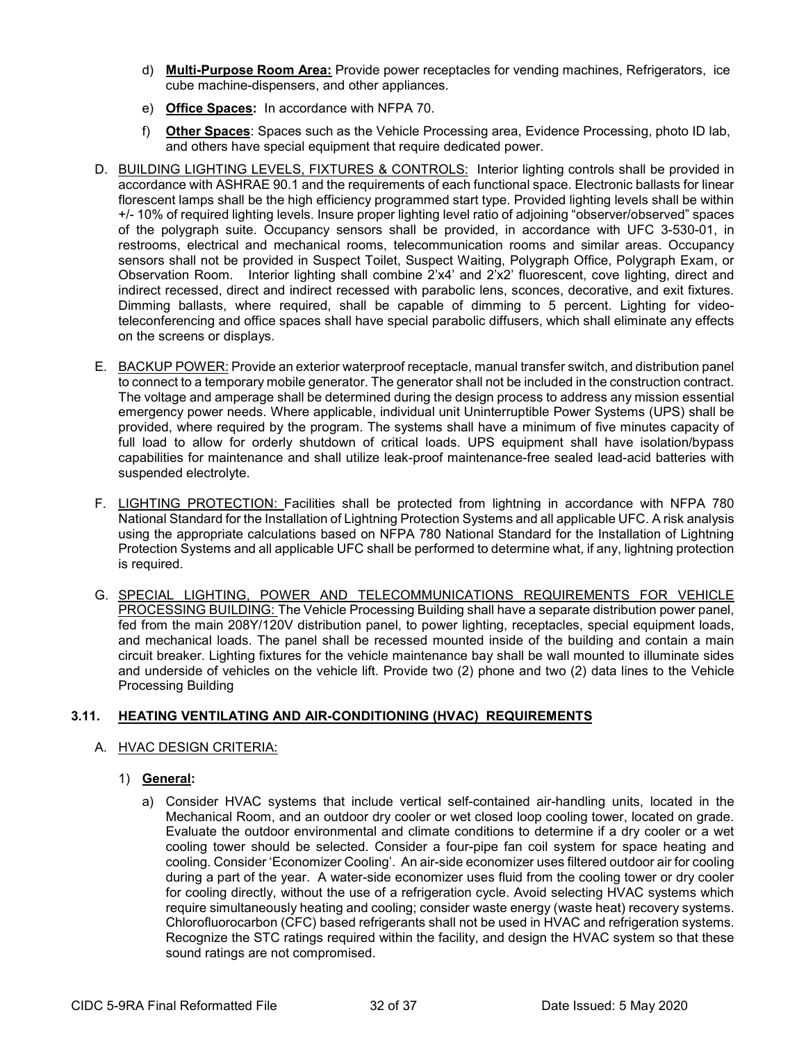- d) **Multi-Purpose Room Area:** Provide power receptacles for vending machines, Refrigerators, ice cube machine-dispensers, and other appliances.
- e) **Office Spaces:** In accordance with NFPA 70.
- f) **Other Spaces**: Spaces such as the Vehicle Processing area, Evidence Processing, photo ID lab, and others have special equipment that require dedicated power.
- D. BUILDING LIGHTING LEVELS, FIXTURES & CONTROLS: Interior lighting controls shall be provided in accordance with ASHRAE 90.1 and the requirements of each functional space. Electronic ballasts for linear florescent lamps shall be the high efficiency programmed start type. Provided lighting levels shall be within +/- 10% of required lighting levels. Insure proper lighting level ratio of adjoining "observer/observed" spaces of the polygraph suite. Occupancy sensors shall be provided, in accordance with UFC 3-530-01, in restrooms, electrical and mechanical rooms, telecommunication rooms and similar areas. Occupancy sensors shall not be provided in Suspect Toilet, Suspect Waiting, Polygraph Office, Polygraph Exam, or Observation Room. Interior lighting shall combine 2'x4' and 2'x2' fluorescent, cove lighting, direct and indirect recessed, direct and indirect recessed with parabolic lens, sconces, decorative, and exit fixtures. Dimming ballasts, where required, shall be capable of dimming to 5 percent. Lighting for videoteleconferencing and office spaces shall have special parabolic diffusers, which shall eliminate any effects on the screens or displays.
- E. BACKUP POWER: Provide an exterior waterproof receptacle, manual transfer switch, and distribution panel to connect to a temporary mobile generator. The generator shall not be included in the construction contract. The voltage and amperage shall be determined during the design process to address any mission essential emergency power needs. Where applicable, individual unit Uninterruptible Power Systems (UPS) shall be provided, where required by the program. The systems shall have a minimum of five minutes capacity of full load to allow for orderly shutdown of critical loads. UPS equipment shall have isolation/bypass capabilities for maintenance and shall utilize leak-proof maintenance-free sealed lead-acid batteries with suspended electrolyte.
- F. LIGHTING PROTECTION: Facilities shall be protected from lightning in accordance with NFPA 780 National Standard for the Installation of Lightning Protection Systems and all applicable UFC. A risk analysis using the appropriate calculations based on NFPA 780 National Standard for the Installation of Lightning Protection Systems and all applicable UFC shall be performed to determine what, if any, lightning protection is required.
- G. SPECIAL LIGHTING, POWER AND TELECOMMUNICATIONS REQUIREMENTS FOR VEHICLE PROCESSING BUILDING: The Vehicle Processing Building shall have a separate distribution power panel, fed from the main 208Y/120V distribution panel, to power lighting, receptacles, special equipment loads, and mechanical loads. The panel shall be recessed mounted inside of the building and contain a main circuit breaker. Lighting fixtures for the vehicle maintenance bay shall be wall mounted to illuminate sides and underside of vehicles on the vehicle lift. Provide two (2) phone and two (2) data lines to the Vehicle Processing Building

# **3.11. HEATING VENTILATING AND AIR-CONDITIONING (HVAC) REQUIREMENTS**

### A. HVAC DESIGN CRITERIA:

- 1) **General:**
	- a) Consider HVAC systems that include vertical self-contained air-handling units, located in the Mechanical Room, and an outdoor dry cooler or wet closed loop cooling tower, located on grade. Evaluate the outdoor environmental and climate conditions to determine if a dry cooler or a wet cooling tower should be selected. Consider a four-pipe fan coil system for space heating and cooling. Consider 'Economizer Cooling'. An air-side economizer uses filtered outdoor air for cooling during a part of the year. A water-side economizer uses fluid from the cooling tower or dry cooler for cooling directly, without the use of a refrigeration cycle. Avoid selecting HVAC systems which require simultaneously heating and cooling; consider waste energy (waste heat) recovery systems. Chlorofluorocarbon (CFC) based refrigerants shall not be used in HVAC and refrigeration systems. Recognize the STC ratings required within the facility, and design the HVAC system so that these sound ratings are not compromised.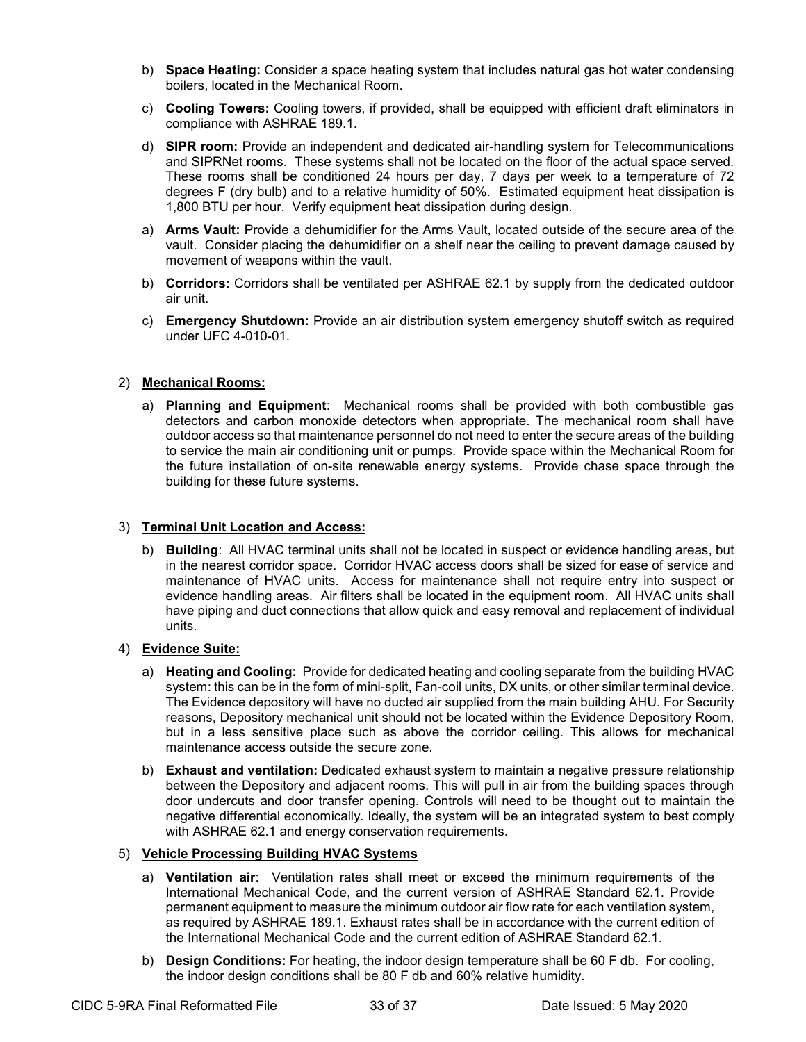- b) **Space Heating:** Consider a space heating system that includes natural gas hot water condensing boilers, located in the Mechanical Room.
- c) **Cooling Towers:** Cooling towers, if provided, shall be equipped with efficient draft eliminators in compliance with ASHRAE 189.1.
- d) **SIPR room:** Provide an independent and dedicated air-handling system for Telecommunications and SIPRNet rooms. These systems shall not be located on the floor of the actual space served. These rooms shall be conditioned 24 hours per day, 7 days per week to a temperature of 72 degrees F (dry bulb) and to a relative humidity of 50%. Estimated equipment heat dissipation is 1,800 BTU per hour. Verify equipment heat dissipation during design.
- a) **Arms Vault:** Provide a dehumidifier for the Arms Vault, located outside of the secure area of the vault. Consider placing the dehumidifier on a shelf near the ceiling to prevent damage caused by movement of weapons within the vault.
- b) **Corridors:** Corridors shall be ventilated per ASHRAE 62.1 by supply from the dedicated outdoor air unit.
- c) **Emergency Shutdown:** Provide an air distribution system emergency shutoff switch as required under UFC 4-010-01.

### 2) **Mechanical Rooms:**

a) **Planning and Equipment**: Mechanical rooms shall be provided with both combustible gas detectors and carbon monoxide detectors when appropriate. The mechanical room shall have outdoor access so that maintenance personnel do not need to enter the secure areas of the building to service the main air conditioning unit or pumps. Provide space within the Mechanical Room for the future installation of on-site renewable energy systems. Provide chase space through the building for these future systems.

#### 3) **Terminal Unit Location and Access:**

b) **Building**: All HVAC terminal units shall not be located in suspect or evidence handling areas, but in the nearest corridor space. Corridor HVAC access doors shall be sized for ease of service and maintenance of HVAC units. Access for maintenance shall not require entry into suspect or evidence handling areas. Air filters shall be located in the equipment room. All HVAC units shall have piping and duct connections that allow quick and easy removal and replacement of individual units.

### 4) **Evidence Suite:**

- a) **Heating and Cooling:** Provide for dedicated heating and cooling separate from the building HVAC system: this can be in the form of mini-split, Fan-coil units, DX units, or other similar terminal device. The Evidence depository will have no ducted air supplied from the main building AHU. For Security reasons, Depository mechanical unit should not be located within the Evidence Depository Room, but in a less sensitive place such as above the corridor ceiling. This allows for mechanical maintenance access outside the secure zone.
- b) **Exhaust and ventilation:** Dedicated exhaust system to maintain a negative pressure relationship between the Depository and adjacent rooms. This will pull in air from the building spaces through door undercuts and door transfer opening. Controls will need to be thought out to maintain the negative differential economically. Ideally, the system will be an integrated system to best comply with ASHRAE 62.1 and energy conservation requirements.

### 5) **Vehicle Processing Building HVAC Systems**

- a) **Ventilation air**: Ventilation rates shall meet or exceed the minimum requirements of the International Mechanical Code, and the current version of ASHRAE Standard 62.1. Provide permanent equipment to measure the minimum outdoor air flow rate for each ventilation system, as required by ASHRAE 189.1. Exhaust rates shall be in accordance with the current edition of the International Mechanical Code and the current edition of ASHRAE Standard 62.1.
- b) **Design Conditions:** For heating, the indoor design temperature shall be 60 F db. For cooling, the indoor design conditions shall be 80 F db and 60% relative humidity.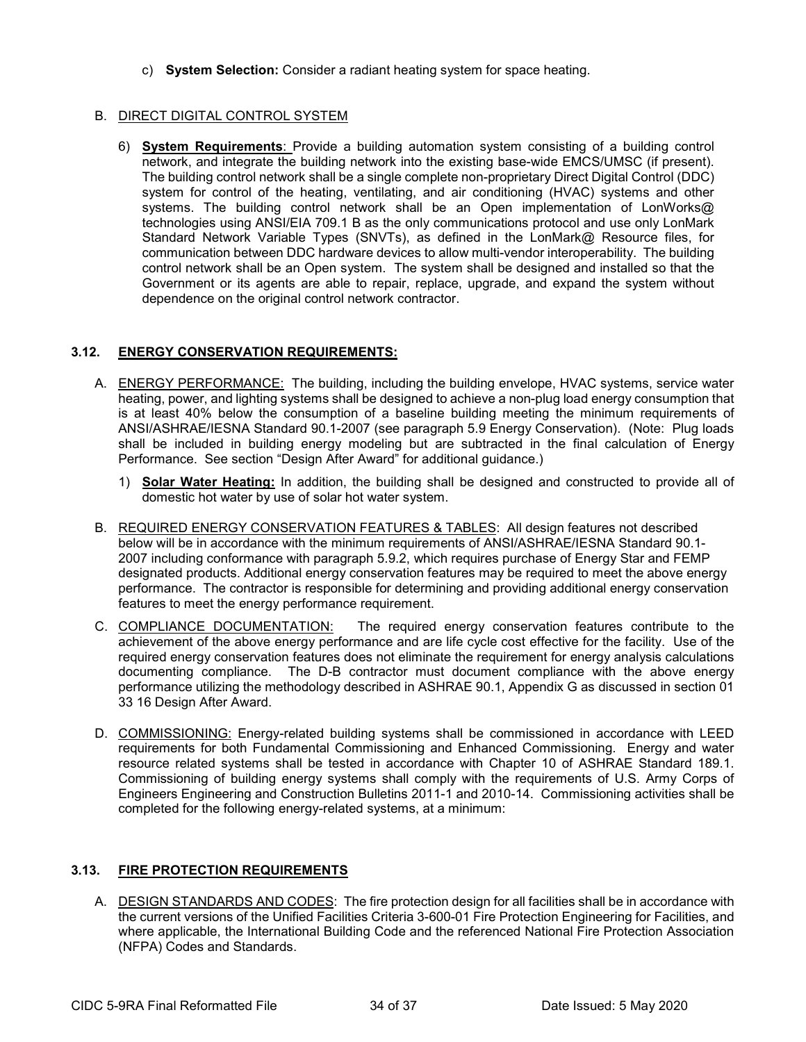c) **System Selection:** Consider a radiant heating system for space heating.

# **B. DIRECT DIGITAL CONTROL SYSTEM**

6) **System Requirements**: Provide a building automation system consisting of a building control network, and integrate the building network into the existing base-wide EMCS/UMSC (if present). The building control network shall be a single complete non-proprietary Direct Digital Control (DDC) system for control of the heating, ventilating, and air conditioning (HVAC) systems and other systems. The building control network shall be an Open implementation of LonWorks@ technologies using ANSI/EIA 709.1 B as the only communications protocol and use only LonMark Standard Network Variable Types (SNVTs), as defined in the LonMark@ Resource files, for communication between DDC hardware devices to allow multi-vendor interoperability. The building control network shall be an Open system. The system shall be designed and installed so that the Government or its agents are able to repair, replace, upgrade, and expand the system without dependence on the original control network contractor.

# **3.12. ENERGY CONSERVATION REQUIREMENTS:**

- A. ENERGY PERFORMANCE: The building, including the building envelope, HVAC systems, service water heating, power, and lighting systems shall be designed to achieve a non-plug load energy consumption that is at least 40% below the consumption of a baseline building meeting the minimum requirements of ANSI/ASHRAE/IESNA Standard 90.1-2007 (see paragraph 5.9 Energy Conservation). (Note: Plug loads shall be included in building energy modeling but are subtracted in the final calculation of Energy Performance. See section "Design After Award" for additional guidance.)
	- 1) **Solar Water Heating:** In addition, the building shall be designed and constructed to provide all of domestic hot water by use of solar hot water system.
- B. REQUIRED ENERGY CONSERVATION FEATURES & TABLES: All design features not described below will be in accordance with the minimum requirements of ANSI/ASHRAE/IESNA Standard 90.1- 2007 including conformance with paragraph 5.9.2, which requires purchase of Energy Star and FEMP designated products. Additional energy conservation features may be required to meet the above energy performance. The contractor is responsible for determining and providing additional energy conservation features to meet the energy performance requirement.
- C. COMPLIANCE DOCUMENTATION: The required energy conservation features contribute to the achievement of the above energy performance and are life cycle cost effective for the facility. Use of the required energy conservation features does not eliminate the requirement for energy analysis calculations documenting compliance. The D-B contractor must document compliance with the above energy performance utilizing the methodology described in ASHRAE 90.1, Appendix G as discussed in section 01 33 16 Design After Award.
- D. COMMISSIONING: Energy-related building systems shall be commissioned in accordance with LEED requirements for both Fundamental Commissioning and Enhanced Commissioning. Energy and water resource related systems shall be tested in accordance with Chapter 10 of ASHRAE Standard 189.1. Commissioning of building energy systems shall comply with the requirements of U.S. Army Corps of Engineers Engineering and Construction Bulletins 2011-1 and 2010-14. Commissioning activities shall be completed for the following energy-related systems, at a minimum:

### **3.13. FIRE PROTECTION REQUIREMENTS**

A. DESIGN STANDARDS AND CODES: The fire protection design for all facilities shall be in accordance with the current versions of the Unified Facilities Criteria 3-600-01 Fire Protection Engineering for Facilities, and where applicable, the International Building Code and the referenced National Fire Protection Association (NFPA) Codes and Standards.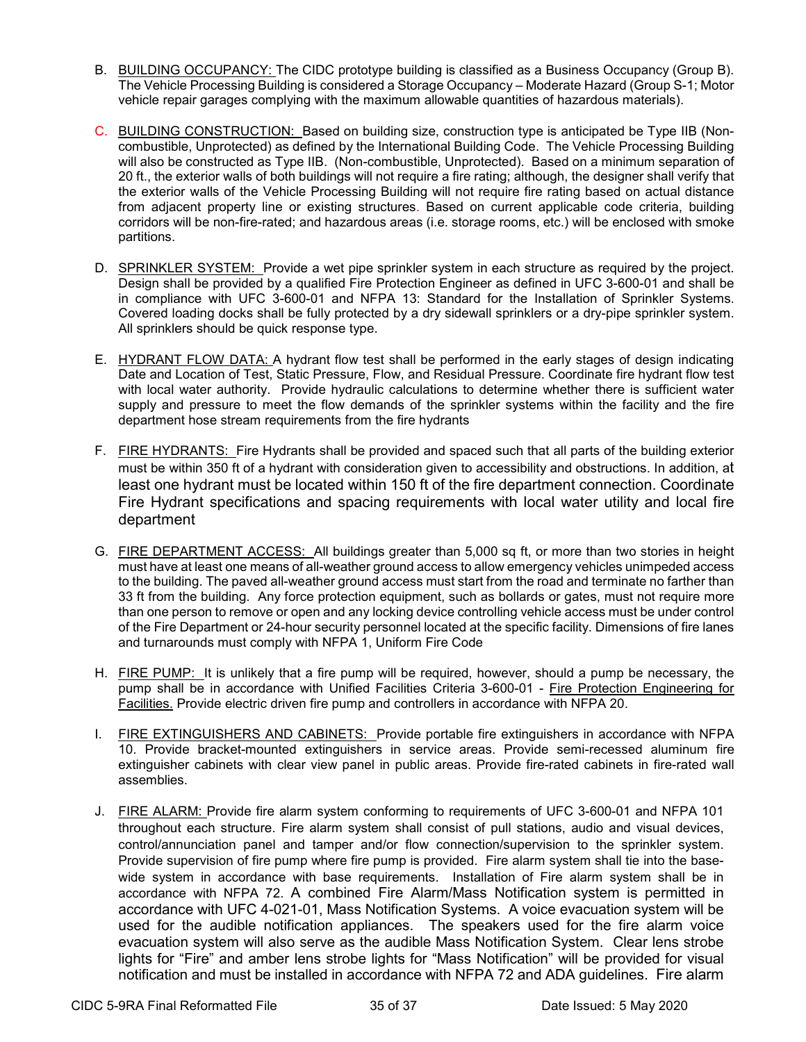- B. BUILDING OCCUPANCY: The CIDC prototype building is classified as a Business Occupancy (Group B). The Vehicle Processing Building is considered a Storage Occupancy – Moderate Hazard (Group S-1; Motor vehicle repair garages complying with the maximum allowable quantities of hazardous materials).
- C. BUILDING CONSTRUCTION: Based on building size, construction type is anticipated be Type IIB (Noncombustible, Unprotected) as defined by the International Building Code. The Vehicle Processing Building will also be constructed as Type IIB. (Non-combustible, Unprotected). Based on a minimum separation of 20 ft., the exterior walls of both buildings will not require a fire rating; although, the designer shall verify that the exterior walls of the Vehicle Processing Building will not require fire rating based on actual distance from adjacent property line or existing structures. Based on current applicable code criteria, building corridors will be non-fire-rated; and hazardous areas (i.e. storage rooms, etc.) will be enclosed with smoke partitions.
- D. SPRINKLER SYSTEM: Provide a wet pipe sprinkler system in each structure as required by the project. Design shall be provided by a qualified Fire Protection Engineer as defined in UFC 3-600-01 and shall be in compliance with UFC 3-600-01 and NFPA 13: Standard for the Installation of Sprinkler Systems. Covered loading docks shall be fully protected by a dry sidewall sprinklers or a dry-pipe sprinkler system. All sprinklers should be quick response type.
- E. HYDRANT FLOW DATA: A hydrant flow test shall be performed in the early stages of design indicating Date and Location of Test, Static Pressure, Flow, and Residual Pressure. Coordinate fire hydrant flow test with local water authority. Provide hydraulic calculations to determine whether there is sufficient water supply and pressure to meet the flow demands of the sprinkler systems within the facility and the fire department hose stream requirements from the fire hydrants
- F. FIRE HYDRANTS: Fire Hydrants shall be provided and spaced such that all parts of the building exterior must be within 350 ft of a hydrant with consideration given to accessibility and obstructions. In addition, at least one hydrant must be located within 150 ft of the fire department connection. Coordinate Fire Hydrant specifications and spacing requirements with local water utility and local fire department
- G. FIRE DEPARTMENT ACCESS: All buildings greater than 5,000 sq ft, or more than two stories in height must have at least one means of all-weather ground access to allow emergency vehicles unimpeded access to the building. The paved all-weather ground access must start from the road and terminate no farther than 33 ft from the building. Any force protection equipment, such as bollards or gates, must not require more than one person to remove or open and any locking device controlling vehicle access must be under control of the Fire Department or 24-hour security personnel located at the specific facility. Dimensions of fire lanes and turnarounds must comply with NFPA 1, Uniform Fire Code
- H. FIRE PUMP: It is unlikely that a fire pump will be required, however, should a pump be necessary, the pump shall be in accordance with Unified Facilities Criteria 3-600-01 - Fire Protection Engineering for Facilities. Provide electric driven fire pump and controllers in accordance with NFPA 20.
- I. FIRE EXTINGUISHERS AND CABINETS: Provide portable fire extinguishers in accordance with NFPA 10. Provide bracket-mounted extinguishers in service areas. Provide semi-recessed aluminum fire extinguisher cabinets with clear view panel in public areas. Provide fire-rated cabinets in fire-rated wall assemblies.
- J. FIRE ALARM: Provide fire alarm system conforming to requirements of UFC 3-600-01 and NFPA 101 throughout each structure. Fire alarm system shall consist of pull stations, audio and visual devices, control/annunciation panel and tamper and/or flow connection/supervision to the sprinkler system. Provide supervision of fire pump where fire pump is provided. Fire alarm system shall tie into the basewide system in accordance with base requirements. Installation of Fire alarm system shall be in accordance with NFPA 72. A combined Fire Alarm/Mass Notification system is permitted in accordance with UFC 4-021-01, Mass Notification Systems. A voice evacuation system will be used for the audible notification appliances. The speakers used for the fire alarm voice evacuation system will also serve as the audible Mass Notification System. Clear lens strobe lights for "Fire" and amber lens strobe lights for "Mass Notification" will be provided for visual notification and must be installed in accordance with NFPA 72 and ADA guidelines. Fire alarm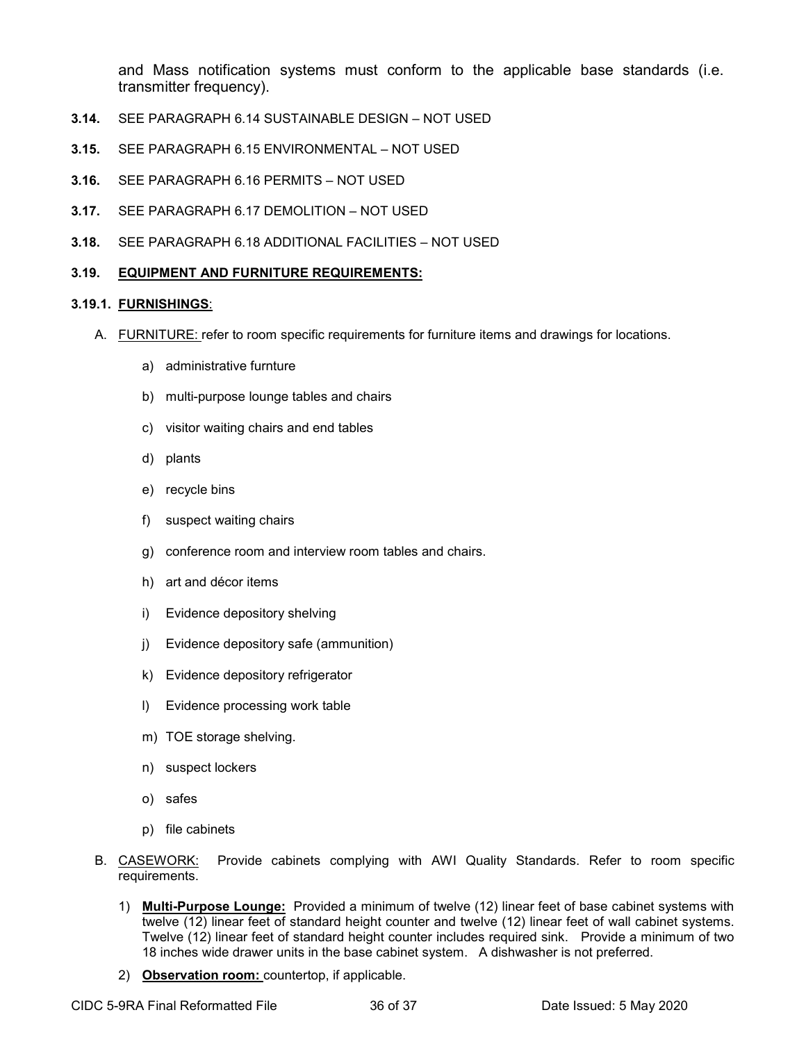and Mass notification systems must conform to the applicable base standards (i.e. transmitter frequency).

- **3.14.** SEE PARAGRAPH 6.14 SUSTAINABLE DESIGN NOT USED
- **3.15.** SEE PARAGRAPH 6.15 ENVIRONMENTAL NOT USED
- **3.16.** SEE PARAGRAPH 6.16 PERMITS NOT USED
- **3.17.** SEE PARAGRAPH 6.17 DEMOLITION NOT USED
- **3.18.** SEE PARAGRAPH 6.18 ADDITIONAL FACILITIES NOT USED

#### **3.19. EQUIPMENT AND FURNITURE REQUIREMENTS:**

#### **3.19.1. FURNISHINGS**:

- A. FURNITURE: refer to room specific requirements for furniture items and drawings for locations.
	- a) administrative furnture
	- b) multi-purpose lounge tables and chairs
	- c) visitor waiting chairs and end tables
	- d) plants
	- e) recycle bins
	- f) suspect waiting chairs
	- g) conference room and interview room tables and chairs.
	- h) art and décor items
	- i) Evidence depository shelving
	- j) Evidence depository safe (ammunition)
	- k) Evidence depository refrigerator
	- l) Evidence processing work table
	- m) TOE storage shelving.
	- n) suspect lockers
	- o) safes
	- p) file cabinets
- B. CASEWORK: Provide cabinets complying with AWI Quality Standards. Refer to room specific requirements.
	- 1) **Multi-Purpose Lounge:** Provided a minimum of twelve (12) linear feet of base cabinet systems with twelve (12) linear feet of standard height counter and twelve (12) linear feet of wall cabinet systems. Twelve (12) linear feet of standard height counter includes required sink. Provide a minimum of two 18 inches wide drawer units in the base cabinet system. A dishwasher is not preferred.
	- 2) **Observation room:** countertop, if applicable.